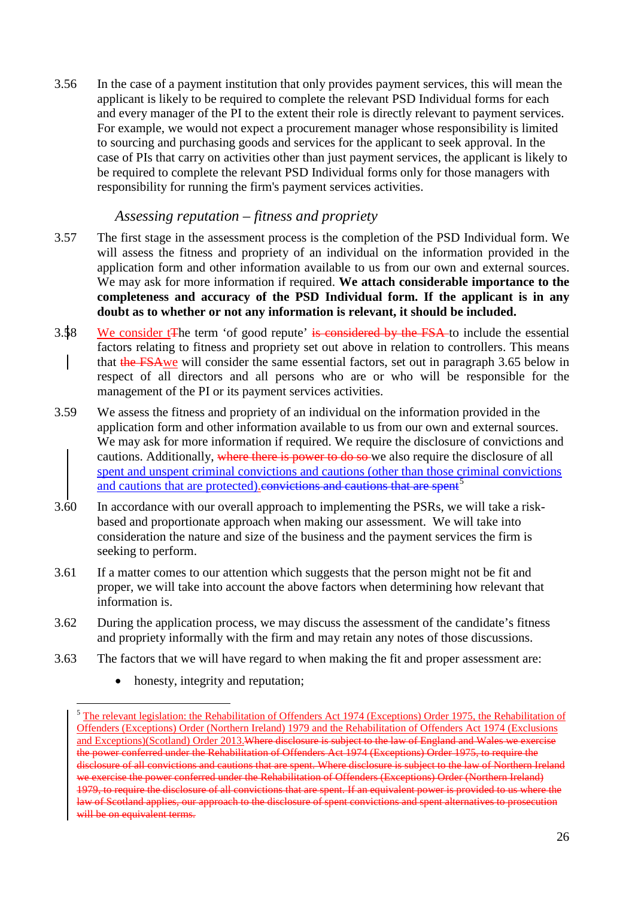3.56 In the case of a payment institution that only provides payment services, this will mean the applicant is likely to be required to complete the relevant PSD Individual forms for each and every manager of the PI to the extent their role is directly relevant to payment services. For example, we would not expect a procurement manager whose responsibility is limited to sourcing and purchasing goods and services for the applicant to seek approval. In the case of PIs that carry on activities other than just payment services, the applicant is likely to be required to complete the relevant PSD Individual forms only for those managers with responsibility for running the firm's payment services activities.

#### *Assessing reputation – fitness and propriety*

- 3.57 The first stage in the assessment process is the completion of the PSD Individual form. We will assess the fitness and propriety of an individual on the information provided in the application form and other information available to us from our own and external sources. We may ask for more information if required. **We attach considerable importance to the completeness and accuracy of the PSD Individual form. If the applicant is in any doubt as to whether or not any information is relevant, it should be included.**
- 3.58 We consider t<sub>The term</sub> 'of good repute' is considered by the FSA to include the essential factors relating to fitness and propriety set out above in relation to controllers. This means that the FSAwe will consider the same essential factors, set out in paragraph 3.65 below in respect of all directors and all persons who are or who will be responsible for the management of the PI or its payment services activities.
- 3.59 We assess the fitness and propriety of an individual on the information provided in the application form and other information available to us from our own and external sources. We may ask for more information if required. We require the disclosure of convictions and cautions. Additionally, where there is power to do so we also require the disclosure of all spent and unspent criminal convictions and cautions (other than those criminal convictions and cautions that are protected). convictions and cautions that are spent<sup>[5](#page-25-0)</sup>
- 3.60 In accordance with our overall approach to implementing the PSRs, we will take a riskbased and proportionate approach when making our assessment. We will take into consideration the nature and size of the business and the payment services the firm is seeking to perform.
- 3.61 If a matter comes to our attention which suggests that the person might not be fit and proper, we will take into account the above factors when determining how relevant that information is.
- 3.62 During the application process, we may discuss the assessment of the candidate's fitness and propriety informally with the firm and may retain any notes of those discussions.
- 3.63 The factors that we will have regard to when making the fit and proper assessment are:
	- honesty, integrity and reputation;

-

<span id="page-25-0"></span><sup>&</sup>lt;sup>5</sup> The relevant legislation: the Rehabilitation of Offenders Act 1974 (Exceptions) Order 1975, the Rehabilitation of Offenders (Exceptions) Order (Northern Ireland) 1979 and the Rehabilitation of Offenders Act 1974 (Exclusions and Exceptions)(Scotland) Order 2013.Where disclosure is subject to the law of England and Wales we exercise the power conferred under the Rehabilitation of Offenders Act 1974 (Exceptions) Order 1975, to require the disclosure of all convictions and cautions that are spent. Where disclosure is subject to the law of Northern Ireland we exercise the power conferred under the Rehabilitation of Offenders (Exceptions) Order (Northern Ireland) 1979, to require the disclosure of all convictions that are spent. If an equivalent power is provided to us where the law of Scotland applies, our approach to the disclosure of spent convictions and spent alternatives to prosecution will be on equivalent terms.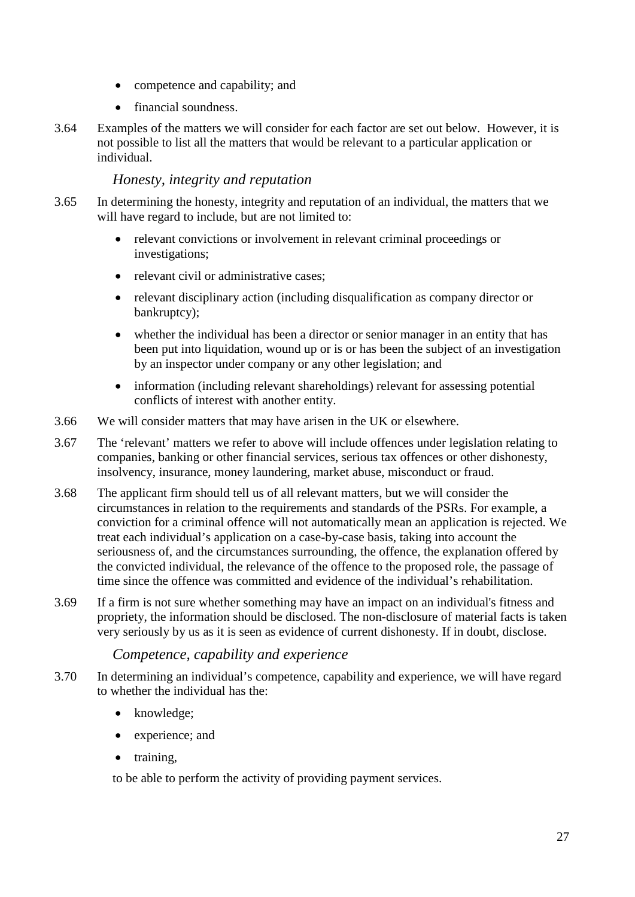- competence and capability; and
- financial soundness.
- 3.64 Examples of the matters we will consider for each factor are set out below. However, it is not possible to list all the matters that would be relevant to a particular application or individual.

#### *Honesty, integrity and reputation*

- 3.65 In determining the honesty, integrity and reputation of an individual, the matters that we will have regard to include, but are not limited to:
	- relevant convictions or involvement in relevant criminal proceedings or investigations;
	- relevant civil or administrative cases:
	- relevant disciplinary action (including disqualification as company director or bankruptcy);
	- whether the individual has been a director or senior manager in an entity that has been put into liquidation, wound up or is or has been the subject of an investigation by an inspector under company or any other legislation; and
	- information (including relevant shareholdings) relevant for assessing potential conflicts of interest with another entity.
- 3.66 We will consider matters that may have arisen in the UK or elsewhere.
- 3.67 The 'relevant' matters we refer to above will include offences under legislation relating to companies, banking or other financial services, serious tax offences or other dishonesty, insolvency, insurance, money laundering, market abuse, misconduct or fraud.
- 3.68 The applicant firm should tell us of all relevant matters, but we will consider the circumstances in relation to the requirements and standards of the PSRs. For example, a conviction for a criminal offence will not automatically mean an application is rejected. We treat each individual's application on a case-by-case basis, taking into account the seriousness of, and the circumstances surrounding, the offence, the explanation offered by the convicted individual, the relevance of the offence to the proposed role, the passage of time since the offence was committed and evidence of the individual's rehabilitation.
- 3.69 If a firm is not sure whether something may have an impact on an individual's fitness and propriety, the information should be disclosed. The non-disclosure of material facts is taken very seriously by us as it is seen as evidence of current dishonesty. If in doubt, disclose.

#### *Competence, capability and experience*

- 3.70 In determining an individual's competence, capability and experience, we will have regard to whether the individual has the:
	- knowledge;
	- experience; and
	- training,

to be able to perform the activity of providing payment services.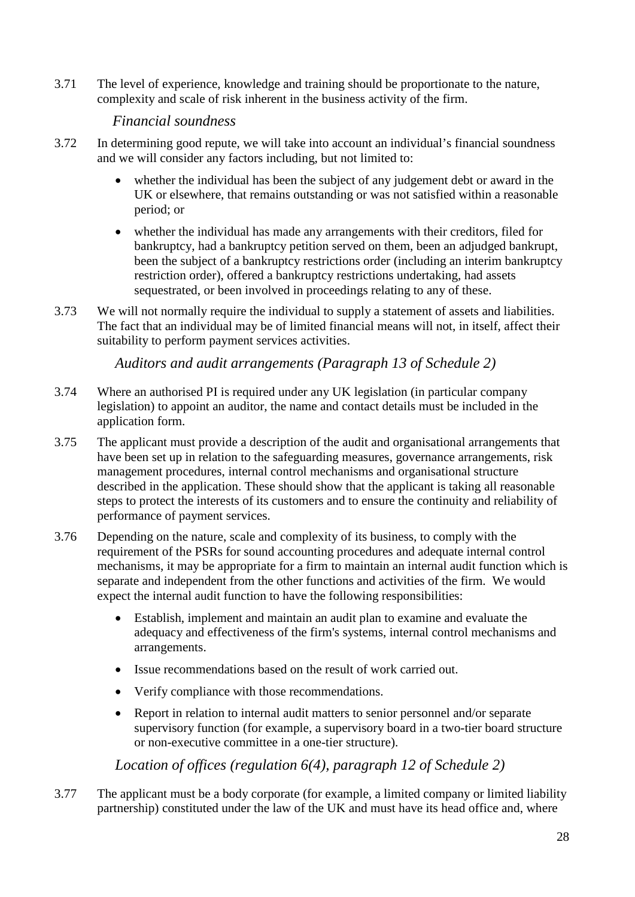3.71 The level of experience, knowledge and training should be proportionate to the nature, complexity and scale of risk inherent in the business activity of the firm.

#### *Financial soundness*

- 3.72 In determining good repute, we will take into account an individual's financial soundness and we will consider any factors including, but not limited to:
	- whether the individual has been the subject of any judgement debt or award in the UK or elsewhere, that remains outstanding or was not satisfied within a reasonable period; or
	- whether the individual has made any arrangements with their creditors, filed for bankruptcy, had a bankruptcy petition served on them, been an adjudged bankrupt, been the subject of a bankruptcy restrictions order (including an interim bankruptcy restriction order), offered a bankruptcy restrictions undertaking, had assets sequestrated, or been involved in proceedings relating to any of these.
- 3.73 We will not normally require the individual to supply a statement of assets and liabilities. The fact that an individual may be of limited financial means will not, in itself, affect their suitability to perform payment services activities.

*Auditors and audit arrangements (Paragraph 13 of Schedule 2)*

- 3.74 Where an authorised PI is required under any UK legislation (in particular company legislation) to appoint an auditor, the name and contact details must be included in the application form.
- 3.75 The applicant must provide a description of the audit and organisational arrangements that have been set up in relation to the safeguarding measures, governance arrangements, risk management procedures, internal control mechanisms and organisational structure described in the application. These should show that the applicant is taking all reasonable steps to protect the interests of its customers and to ensure the continuity and reliability of performance of payment services.
- 3.76 Depending on the nature, scale and complexity of its business, to comply with the requirement of the PSRs for sound accounting procedures and adequate internal control mechanisms, it may be appropriate for a [firm](http://fsahandbook.info/FSA/glossary-html/handbook/Glossary/F?definition=G430) to maintain an internal audit function which is separate and independent from the other functions and activities of the firm. We would expect the internal audit function to have the following responsibilities:
	- Establish, implement and maintain an audit plan to examine and evaluate the adequacy and effectiveness of the firm's systems, internal control mechanisms and arrangements.
	- Issue recommendations based on the result of work carried out.
	- Verify compliance with those recommendations.
	- Report in relation to internal audit matters to senior personnel and/or separate supervisory function (for example, a supervisory board in a two-tier board structure or non-executive committee in a one-tier structure).

*Location of offices (regulation 6(4), paragraph 12 of Schedule 2)*

3.77 The applicant must be a body corporate (for example, a limited company or limited liability partnership) constituted under the law of the UK and must have its head office and, where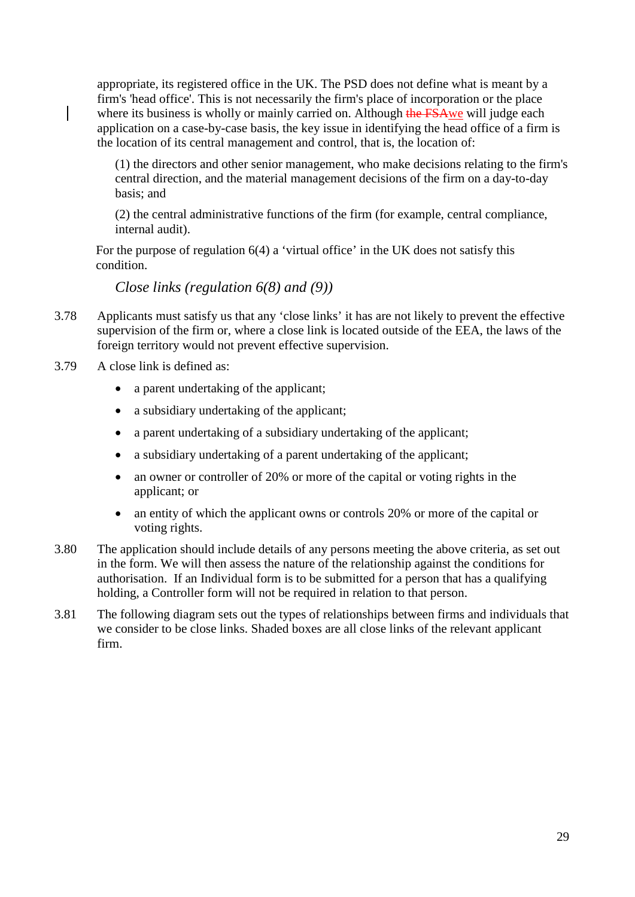appropriate, its registered office in the UK. The PSD does not define what is meant by a firm's 'head office'. This is not necessarily the firm's place of incorporation or the place where its business is wholly or mainly carried on. Although the FSAwe will judge each application on a case-by-case basis, the key issue in identifying the head office of a firm is the location of its central management and control, that is, the location of:

(1) the directors and other senior management, who make decisions relating to the firm's central direction, and the material management decisions of the firm on a day-to-day basis; and

(2) the central administrative functions of the firm (for example, central compliance, internal audit).

For the purpose of regulation 6(4) a 'virtual office' in the UK does not satisfy this condition.

*Close links (regulation 6(8) and (9))*

- 3.78 Applicants must satisfy us that any 'close links' it has are not likely to prevent the effective supervision of the firm or, where a close link is located outside of the EEA, the laws of the foreign territory would not prevent effective supervision.
- 3.79 A close link is defined as:
	- a parent undertaking of the applicant;
	- a subsidiary undertaking of the applicant;
	- a parent undertaking of a subsidiary undertaking of the applicant;
	- a subsidiary undertaking of a parent undertaking of the applicant;
	- an owner or controller of 20% or more of the capital or voting rights in the applicant; or
	- an entity of which the applicant owns or controls 20% or more of the capital or voting rights.
- 3.80 The application should include details of any persons meeting the above criteria, as set out in the form. We will then assess the nature of the relationship against the conditions for authorisation. If an Individual form is to be submitted for a person that has a qualifying holding, a Controller form will not be required in relation to that person.
- 3.81 The following diagram sets out the types of relationships between firms and individuals that we consider to be close links. Shaded boxes are all close links of the relevant applicant firm.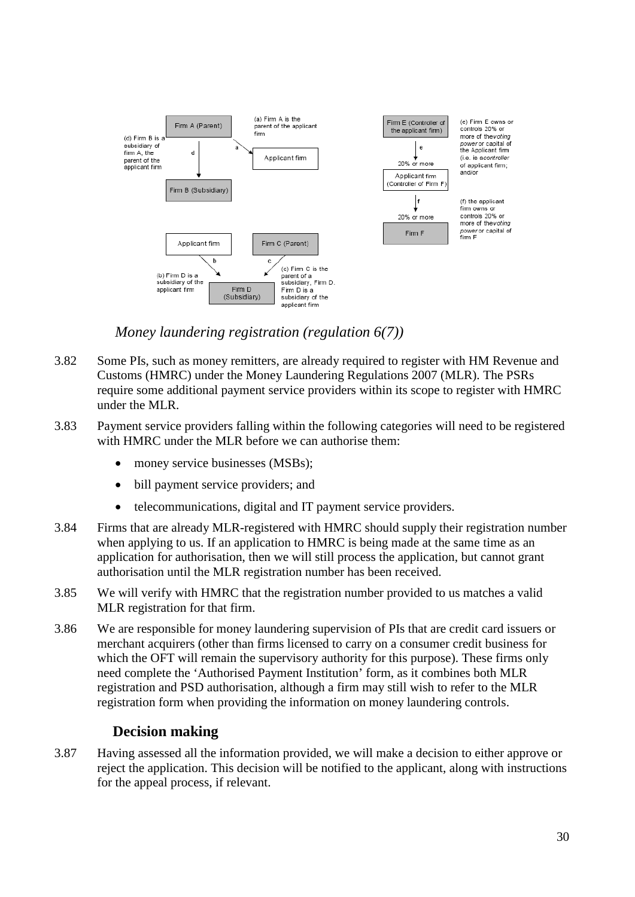

*Money laundering registration (regulation 6(7))*

- 3.82 Some PIs, such as money remitters, are already required to register with HM Revenue and Customs (HMRC) under the Money Laundering Regulations 2007 (MLR). The PSRs require some additional payment service providers within its scope to register with HMRC under the MLR.
- 3.83 Payment service providers falling within the following categories will need to be registered with HMRC under the MLR before we can authorise them:
	- money service businesses (MSBs);
	- bill payment service providers; and
	- telecommunications, digital and IT payment service providers.
- 3.84 Firms that are already MLR-registered with HMRC should supply their registration number when applying to us. If an application to HMRC is being made at the same time as an application for authorisation, then we will still process the application, but cannot grant authorisation until the MLR registration number has been received.
- 3.85 We will verify with HMRC that the registration number provided to us matches a valid MLR registration for that firm.
- 3.86 We are responsible for money laundering supervision of PIs that are credit card issuers or merchant acquirers (other than firms licensed to carry on a consumer credit business for which the OFT will remain the supervisory authority for this purpose). These firms only need complete the 'Authorised Payment Institution' form, as it combines both MLR registration and PSD authorisation, although a firm may still wish to refer to the MLR registration form when providing the information on money laundering controls.

## **Decision making**

3.87 Having assessed all the information provided, we will make a decision to either approve or reject the application. This decision will be notified to the applicant, along with instructions for the appeal process, if relevant.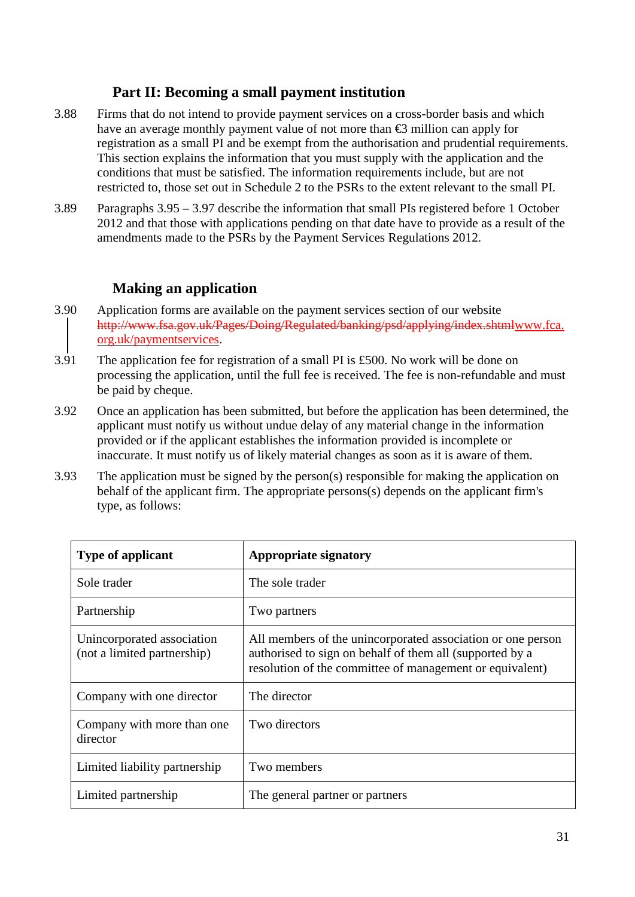## **Part II: Becoming a small payment institution**

- 3.88 Firms that do not intend to provide payment services on a cross-border basis and which have an average monthly payment value of not more than  $\bigoplus$  million can apply for registration as a small PI and be exempt from the authorisation and prudential requirements. This section explains the information that you must supply with the application and the conditions that must be satisfied. The information requirements include, but are not restricted to, those set out in Schedule 2 to the PSRs to the extent relevant to the small PI.
- 3.89 Paragraphs 3.95 3.97 describe the information that small PIs registered before 1 October 2012 and that those with applications pending on that date have to provide as a result of the amendments made to the PSRs by the Payment Services Regulations 2012.

## **Making an application**

- 3.90 Application forms are available on the payment services section of our website http://www.fsa.gov.uk/Pages/Doing/Regulated/banking/psd/applying/index.shtmlwww.fca. org.uk/paymentservices.
- 3.91 The application fee for registration of a small PI is £500. No work will be done on processing the application, until the full fee is received. The fee is non-refundable and must be paid by cheque.
- 3.92 Once an application has been submitted, but before the application has been determined, the applicant must notify us without undue delay of any material change in the information provided or if the applicant establishes the information provided is incomplete or inaccurate. It must notify us of likely material changes as soon as it is aware of them.
- 3.93 The application must be signed by the person(s) responsible for making the application on behalf of the applicant firm. The appropriate persons(s) depends on the applicant firm's type, as follows:

| <b>Type of applicant</b>                                  | <b>Appropriate signatory</b>                                                                                                                                                        |
|-----------------------------------------------------------|-------------------------------------------------------------------------------------------------------------------------------------------------------------------------------------|
| Sole trader                                               | The sole trader                                                                                                                                                                     |
| Partnership                                               | Two partners                                                                                                                                                                        |
| Unincorporated association<br>(not a limited partnership) | All members of the unincorporated association or one person<br>authorised to sign on behalf of them all (supported by a<br>resolution of the committee of management or equivalent) |
| Company with one director                                 | The director                                                                                                                                                                        |
| Company with more than one<br>director                    | Two directors                                                                                                                                                                       |
| Limited liability partnership                             | Two members                                                                                                                                                                         |
| Limited partnership                                       | The general partner or partners                                                                                                                                                     |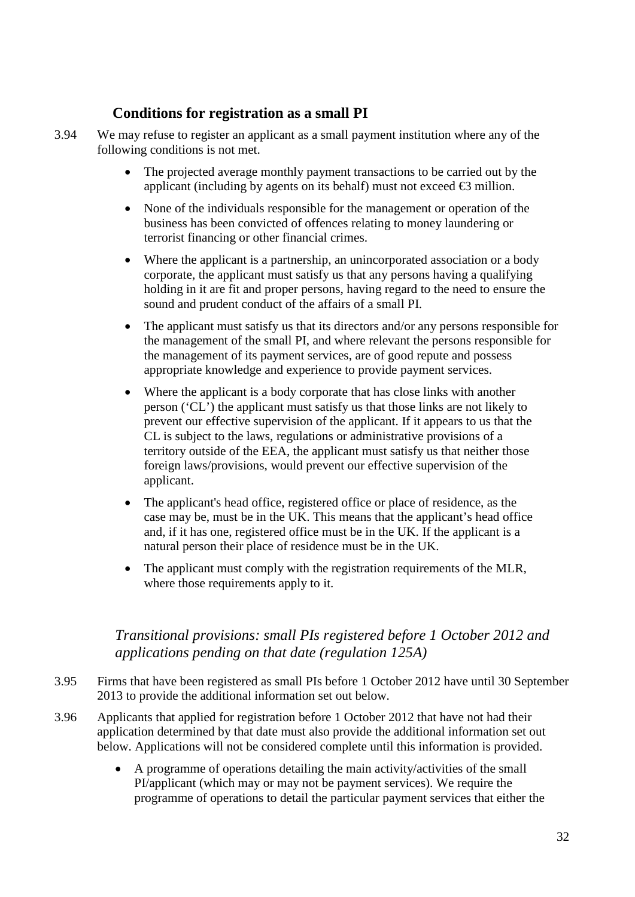# **Conditions for registration as a small PI**

- 3.94 We may refuse to register an applicant as a small payment institution where any of the following conditions is not met.
	- The projected average monthly payment transactions to be carried out by the applicant (including by agents on its behalf) must not exceed  $\bigoplus$  million.
	- None of the individuals responsible for the management or operation of the business has been convicted of offences relating to money laundering or terrorist financing or other financial crimes.
	- Where the applicant is a partnership, an unincorporated association or a body corporate, the applicant must satisfy us that any persons having a qualifying holding in it are fit and proper persons, having regard to the need to ensure the sound and prudent conduct of the affairs of a small PI.
	- The applicant must satisfy us that its directors and/or any persons responsible for the management of the small PI, and where relevant the persons responsible for the management of its payment services, are of good repute and possess appropriate knowledge and experience to provide payment services.
	- Where the applicant is a body corporate that has close links with another person ('CL') the applicant must satisfy us that those links are not likely to prevent our effective supervision of the applicant. If it appears to us that the CL is subject to the laws, regulations or administrative provisions of a territory outside of the EEA, the applicant must satisfy us that neither those foreign laws/provisions, would prevent our effective supervision of the applicant.
	- The applicant's head office, registered office or place of residence, as the case may be, must be in the UK. This means that the applicant's head office and, if it has one, registered office must be in the UK. If the applicant is a natural person their place of residence must be in the UK.
	- The applicant must comply with the registration requirements of the MLR, where those requirements apply to it.

## *Transitional provisions: small PIs registered before 1 October 2012 and applications pending on that date (regulation 125A)*

- 3.95 Firms that have been registered as small PIs before 1 October 2012 have until 30 September 2013 to provide the additional information set out below.
- 3.96 Applicants that applied for registration before 1 October 2012 that have not had their application determined by that date must also provide the additional information set out below. Applications will not be considered complete until this information is provided.
	- A programme of operations detailing the main activity/activities of the small PI/applicant (which may or may not be payment services). We require the programme of operations to detail the particular payment services that either the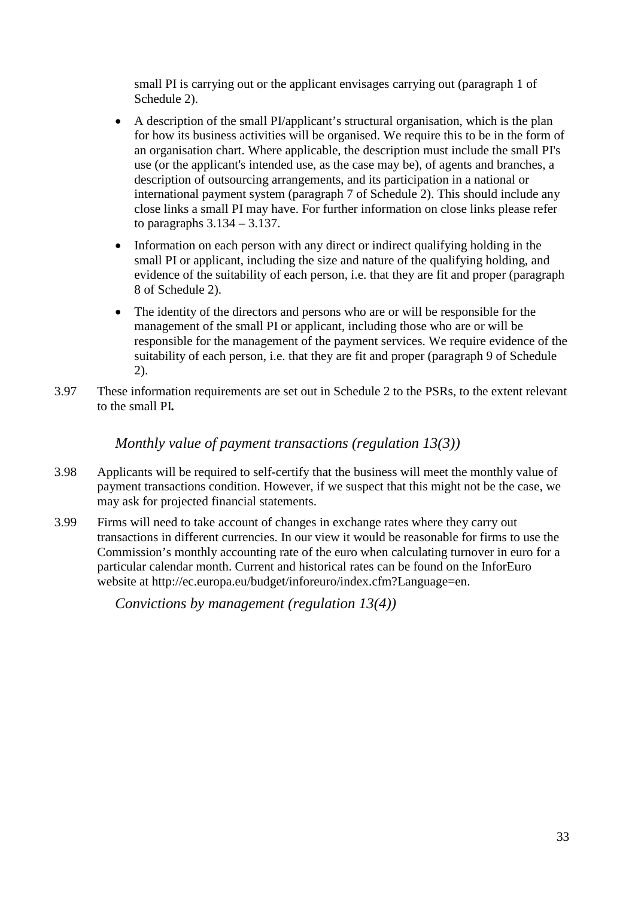small PI is carrying out or the applicant envisages carrying out (paragraph 1 of Schedule 2).

- A description of the small PI/applicant's structural organisation, which is the plan for how its business activities will be organised. We require this to be in the form of an organisation chart. Where applicable, the description must include the small PI's use (or the applicant's intended use, as the case may be), of agents and branches, a description of outsourcing arrangements, and its participation in a national or international payment system (paragraph 7 of Schedule 2). This should include any close links a small PI may have. For further information on close links please refer to paragraphs 3.134 – 3.137.
- Information on each person with any direct or indirect qualifying holding in the small PI or applicant, including the size and nature of the qualifying holding, and evidence of the suitability of each person, i.e. that they are fit and proper (paragraph 8 of Schedule 2).
- The identity of the directors and persons who are or will be responsible for the management of the small PI or applicant, including those who are or will be responsible for the management of the payment services. We require evidence of the suitability of each person, i.e. that they are fit and proper (paragraph 9 of Schedule 2).
- 3.97 These information requirements are set out in Schedule 2 to the PSRs, to the extent relevant to the small PI*.*

*Monthly value of payment transactions (regulation 13(3))*

- 3.98 Applicants will be required to self-certify that the business will meet the monthly value of payment transactions condition. However, if we suspect that this might not be the case, we may ask for projected financial statements.
- 3.99 Firms will need to take account of changes in exchange rates where they carry out transactions in different currencies. In our view it would be reasonable for firms to use the Commission's monthly accounting rate of the euro when calculating turnover in euro for a particular calendar month. Current and historical rates can be found on the [InforEuro](http://ec.europa.eu/budget/inforeuro/) website at http://ec.europa.eu/budget/inforeuro/index.cfm?Language=en.

*Convictions by management (regulation 13(4))*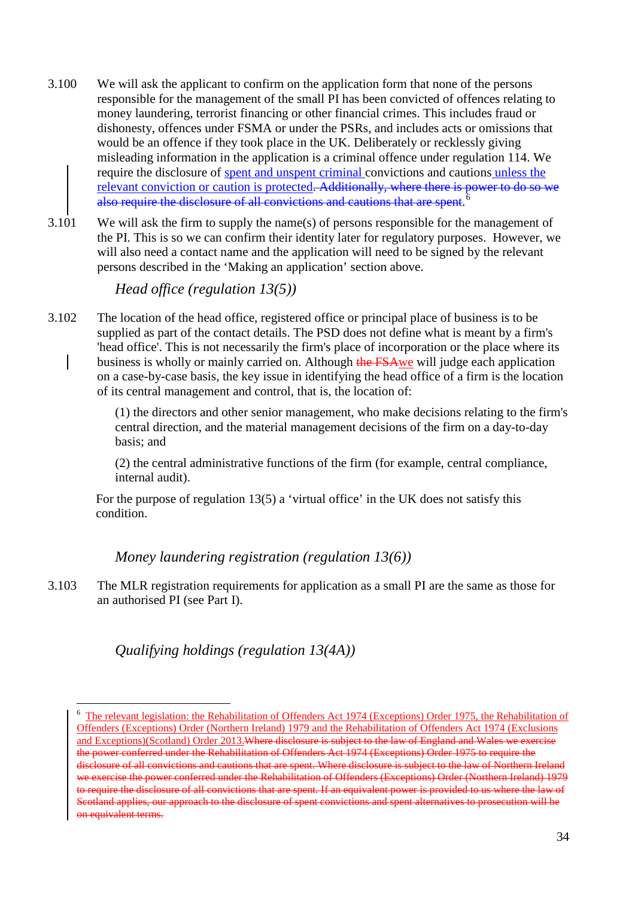- 3.100 We will ask the applicant to confirm on the application form that none of the persons responsible for the management of the small PI has been convicted of offences relating to money laundering, terrorist financing or other financial crimes. This includes fraud or dishonesty, offences under FSMA or under the PSRs, and includes acts or omissions that would be an offence if they took place in the UK. Deliberately or recklessly giving misleading information in the application is a criminal offence under regulation 114. We require the disclosure of spent and unspent criminal convictions and cautions unless the relevant conviction or caution is protected. Additionally, where there is power to do so we also require the disclosure of all convictions and cautions that are spent. [6](#page-33-0)
- 3.101 We will ask the firm to supply the name(s) of persons responsible for the management of the PI. This is so we can confirm their identity later for regulatory purposes. However, we will also need a contact name and the application will need to be signed by the relevant persons described in the 'Making an application' section above.

*Head office (regulation 13(5))*

3.102 The location of the head office, registered office or principal place of business is to be supplied as part of the contact details. The PSD does not define what is meant by a firm's 'head office'. This is not necessarily the firm's place of incorporation or the place where its business is wholly or mainly carried on. Although the FSAwe will judge each application on a case-by-case basis, the key issue in identifying the head office of a firm is the location of its central management and control, that is, the location of:

> (1) the directors and other senior management, who make decisions relating to the firm's central direction, and the material management decisions of the firm on a day-to-day basis; and

(2) the central administrative functions of the firm (for example, central compliance, internal audit).

For the purpose of regulation 13(5) a 'virtual office' in the UK does not satisfy this condition.

*Money laundering registration (regulation 13(6))*

3.103 The MLR registration requirements for application as a small PI are the same as those for an authorised PI (see Part I).

# *Qualifying holdings (regulation 13(4A))*

-

<span id="page-33-0"></span><sup>&</sup>lt;sup>6</sup> The relevant legislation: the Rehabilitation of Offenders Act 1974 (Exceptions) Order 1975, the Rehabilitation of Offenders (Exceptions) Order (Northern Ireland) 1979 and the Rehabilitation of Offenders Act 1974 (Exclusions and Exceptions)(Scotland) Order 2013.Where disclosure is subject to the law of England and Wales we exercise the power conferred under the Rehabilitation of Offenders Act 1974 (Exceptions) Order 1975 to require the disclosure of all convictions and cautions that are spent. Where disclosure is subject to the law of Northern Ireland we exercise the power conferred under the Rehabilitation of Offenders (Exceptions) Order (Northern Ireland) 1979 to require the disclosure of all convictions that are spent. If an equivalent power is provided to us where the law of Scotland applies, our approach to the disclosure of spent convictions and spent alternatives to prosecution will be on equivalent terms.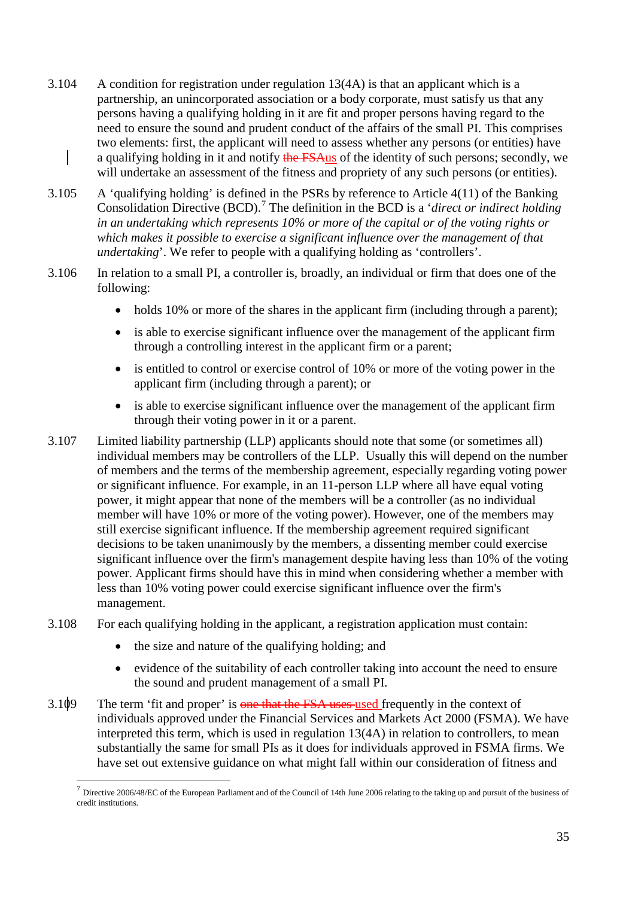- 3.104 A condition for registration under regulation 13(4A) is that an applicant which is a partnership, an unincorporated association or a body corporate, must satisfy us that any persons having a qualifying holding in it are fit and proper persons having regard to the need to ensure the sound and prudent conduct of the affairs of the small PI. This comprises two elements: first, the applicant will need to assess whether any persons (or entities) have a qualifying holding in it and notify the FSAus of the identity of such persons; secondly, we will undertake an assessment of the fitness and propriety of any such persons (or entities).
- 3.105 A 'qualifying holding' is defined in the PSRs by reference to Article 4(11) of the Banking Consolidation Directive (BCD).<sup>[7](#page-34-0)</sup> The definition in the BCD is a *'direct or indirect holding in an undertaking which represents 10% or more of the capital or of the voting rights or which makes it possible to exercise a significant influence over the management of that undertaking*'. We refer to people with a qualifying holding as 'controllers'.
- 3.106 In relation to a small PI, a controller is, broadly, an individual or firm that does one of the following:
	- holds 10% or more of the shares in the applicant firm (including through a parent);
	- is able to exercise significant influence over the management of the applicant firm through a controlling interest in the applicant firm or a parent;
	- is entitled to control or exercise control of 10% or more of the voting power in the applicant firm (including through a parent); or
	- is able to exercise significant influence over the management of the applicant firm through their voting power in it or a parent.
- 3.107 Limited liability partnership (LLP) applicants should note that some (or sometimes all) individual members may be controllers of the LLP. Usually this will depend on the number of members and the terms of the membership agreement, especially regarding voting power or significant influence. For example, in an 11-person LLP where all have equal voting power, it might appear that none of the members will be a controller (as no individual member will have 10% or more of the voting power). However, one of the members may still exercise significant influence. If the membership agreement required significant decisions to be taken unanimously by the members, a dissenting member could exercise significant influence over the firm's management despite having less than 10% of the voting power. Applicant firms should have this in mind when considering whether a member with less than 10% voting power could exercise significant influence over the firm's management.
- 3.108 For each qualifying holding in the applicant, a registration application must contain:
	- the size and nature of the qualifying holding; and

<u>.</u>

- evidence of the suitability of each controller taking into account the need to ensure the sound and prudent management of a small PI.
- 3.109 The term 'fit and proper' is one that the FSA uses used frequently in the context of individuals approved under the Financial Services and Markets Act 2000 (FSMA). We have interpreted this term, which is used in regulation 13(4A) in relation to controllers, to mean substantially the same for small PIs as it does for individuals approved in FSMA firms. We have set out extensive guidance on what might fall within our consideration of fitness and

<span id="page-34-0"></span> $<sup>7</sup>$  Directive 2006/48/EC of the European Parliament and of the Council of 14th June 2006 relating to the taking up and pursuit of the business of</sup> credit institutions.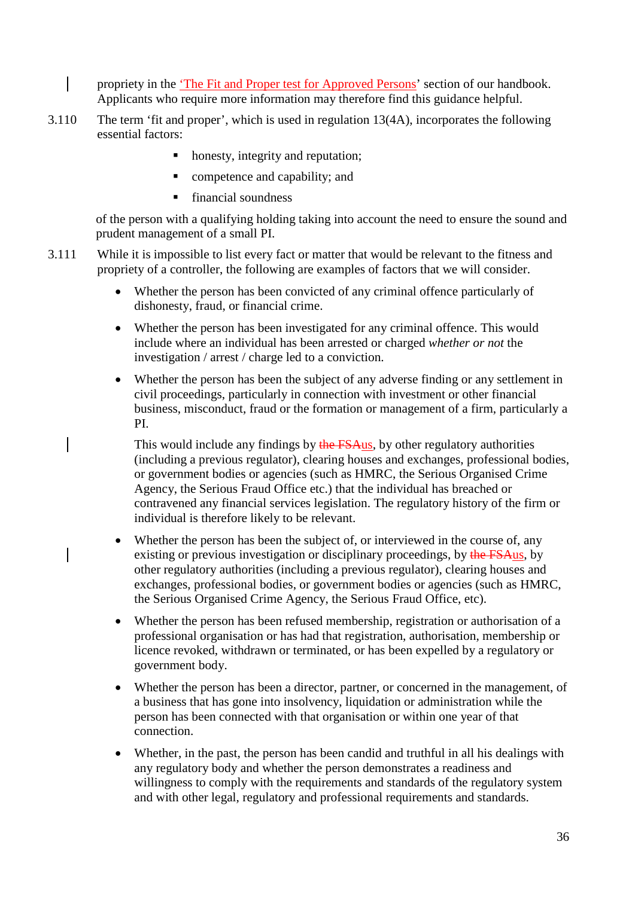$\mathsf{l}$ propriety in the ['The Fit and Proper test for Approved Persons'](http://fshandbook.info/FS/html/handbook/FIT) section of our handbook. Applicants who require more information may therefore find this guidance helpful.

- 3.110 The term 'fit and proper', which is used in regulation 13(4A), incorporates the following essential factors:
	- honesty, integrity and reputation;
	- **competence and capability; and**
	- financial soundness

of the person with a qualifying holding taking into account the need to ensure the sound and prudent management of a small PI.

- 3.111 While it is impossible to list every fact or matter that would be relevant to the fitness and propriety of a controller, the following are examples of factors that we will consider.
	- Whether the [person](http://fsahandbook.info/FSA/glossary-html/handbook/Glossary/P?definition=G869) has been convicted of any criminal offence particularly of dishonesty, fraud, or financial crime.
	- Whether the [person](http://fsahandbook.info/FSA/glossary-html/handbook/Glossary/P?definition=G869) has been investigated for any criminal offence. This would include where an individual has been arrested or charged *whether or not* the investigation / arrest / charge led to a conviction.
	- Whether the person has been the subject of any adverse finding or any settlement in civil proceedings, particularly in connection with investment or other financial business, misconduct, fraud or the formation or management of a firm, particularly a PI.

This would include any findings by the FSAus, by other regulatory authorities (including a previous regulator), clearing houses and exchanges, professional bodies, or government bodies or agencies (such as HMRC, the Serious Organised Crime Agency, the Serious Fraud Office etc.) that the individual has breached or contravened any financial services legislation. The regulatory history of the firm or individual is therefore likely to be relevant.

- Whether the person has been the subject of, or interviewed in the course of, any existing or previous investigation or disciplinary proceedings, by the FSAus, by other regulatory authorities (including a previous regulator), clearing houses and exchanges, professional bodies, or government bodies or agencies (such as HMRC, the Serious Organised Crime Agency, the Serious Fraud Office, etc).
- Whether the person has been refused membership, registration or authorisation of a professional organisation or has had that registration, authorisation, membership or licence revoked, withdrawn or terminated, or has been expelled by a regulatory or government body.
- Whether the [person](http://fsahandbook.info/FSA/glossary-html/handbook/Glossary/P?definition=G869) has been a [director,](http://fsahandbook.info/FSA/glossary-html/handbook/Glossary/D?definition=G296) [partner,](http://fsahandbook.info/FSA/glossary-html/handbook/Glossary/P?definition=G841) or concerned in the management, of a business that has gone into insolvency, liquidation or administration while the [person](http://fsahandbook.info/FSA/glossary-html/handbook/Glossary/P?definition=G869) has been connected with that organisation or within one year of that connection.
- Whether, in the past, the person has been candid and truthful in all his dealings with any regulatory body and whether the person demonstrates a readiness and willingness to comply with the requirements and standards of the regulatory system and with other legal, regulatory and professional requirements and standards.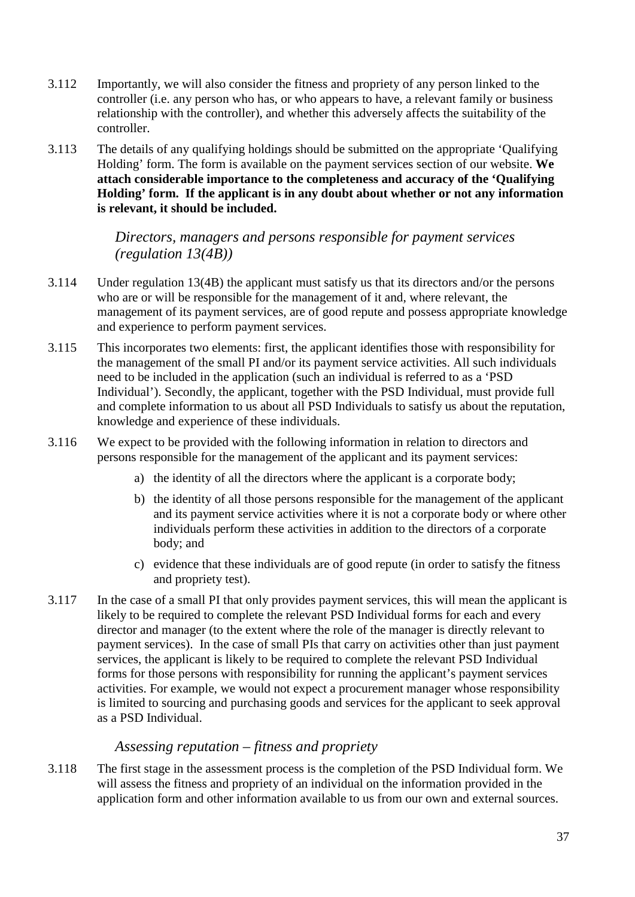- 3.112 Importantly, we will also consider the fitness and propriety of any person linked to the controller (i.e. any person who has, or who appears to have, a relevant family or business relationship with the controller), and whether this adversely affects the suitability of the controller.
- 3.113 The details of any qualifying holdings should be submitted on the appropriate 'Qualifying Holding' form. The form is available on the payment services section of our website. **We attach considerable importance to the completeness and accuracy of the 'Qualifying Holding' form. If the applicant is in any doubt about whether or not any information is relevant, it should be included.**

*Directors, managers and persons responsible for payment services (regulation 13(4B))*

- 3.114 Under regulation 13(4B) the applicant must satisfy us that its directors and/or the persons who are or will be responsible for the management of it and, where relevant, the management of its payment services, are of good repute and possess appropriate knowledge and experience to perform payment services.
- 3.115 This incorporates two elements: first, the applicant identifies those with responsibility for the management of the small PI and/or its payment service activities. All such individuals need to be included in the application (such an individual is referred to as a 'PSD Individual'). Secondly, the applicant, together with the PSD Individual, must provide full and complete information to us about all PSD Individuals to satisfy us about the reputation, knowledge and experience of these individuals.
- 3.116 We expect to be provided with the following information in relation to directors and persons responsible for the management of the applicant and its payment services:
	- a) the identity of all the directors where the applicant is a corporate body;
	- b) the identity of all those persons responsible for the management of the applicant and its payment service activities where it is not a corporate body or where other individuals perform these activities in addition to the directors of a corporate body; and
	- c) evidence that these individuals are of good repute (in order to satisfy the fitness and propriety test).
- 3.117 In the case of a small PI that only provides payment services, this will mean the applicant is likely to be required to complete the relevant PSD Individual forms for each and every director and manager (to the extent where the role of the manager is directly relevant to payment services). In the case of small PIs that carry on activities other than just payment services, the applicant is likely to be required to complete the relevant PSD Individual forms for those persons with responsibility for running the applicant's payment services activities. For example, we would not expect a procurement manager whose responsibility is limited to sourcing and purchasing goods and services for the applicant to seek approval as a PSD Individual.

#### *Assessing reputation – fitness and propriety*

3.118 The first stage in the assessment process is the completion of the PSD Individual form. We will assess the fitness and propriety of an individual on the information provided in the application form and other information available to us from our own and external sources.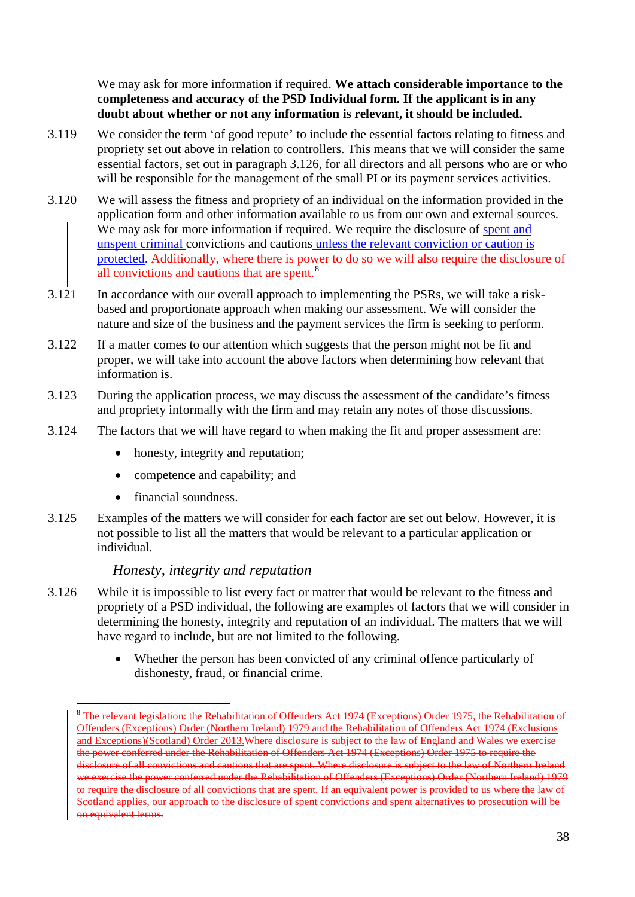We may ask for more information if required. **We attach considerable importance to the completeness and accuracy of the PSD Individual form. If the applicant is in any doubt about whether or not any information is relevant, it should be included.**

- 3.119 We consider the term 'of good repute' to include the essential factors relating to fitness and propriety set out above in relation to controllers. This means that we will consider the same essential factors, set out in paragraph 3.126, for all directors and all persons who are or who will be responsible for the management of the small PI or its payment services activities.
- 3.120 We will assess the fitness and propriety of an individual on the information provided in the application form and other information available to us from our own and external sources. We may ask for more information if required. We require the disclosure of spent and unspent criminal convictions and cautions unless the relevant conviction or caution is protected. Additionally, where there is power to do so we will also require the disclosure of all convictions and cautions that are spent.<sup>[8](#page-37-0)</sup>
- 3.121 In accordance with our overall approach to implementing the PSRs, we will take a riskbased and proportionate approach when making our assessment. We will consider the nature and size of the business and the payment services the firm is seeking to perform.
- 3.122 If a matter comes to our attention which suggests that the person might not be fit and proper, we will take into account the above factors when determining how relevant that information is.
- 3.123 During the application process, we may discuss the assessment of the candidate's fitness and propriety informally with the firm and may retain any notes of those discussions.
- 3.124 The factors that we will have regard to when making the fit and proper assessment are:
	- honesty, integrity and reputation;
	- competence and capability; and
	- financial soundness.

-

3.125 Examples of the matters we will consider for each factor are set out below. However, it is not possible to list all the matters that would be relevant to a particular application or individual.

## *Honesty, integrity and reputation*

- 3.126 While it is impossible to list every fact or matter that would be relevant to the fitness and propriety of a PSD individual, the following are examples of factors that we will consider in determining the honesty, integrity and reputation of an individual. The matters that we will have regard to include, but are not limited to the following.
	- Whether the [person](http://fsahandbook.info/FSA/glossary-html/handbook/Glossary/P?definition=G869) has been convicted of any criminal offence particularly of dishonesty, fraud, or financial crime.

<span id="page-37-0"></span><sup>&</sup>lt;sup>8</sup> The relevant legislation: the Rehabilitation of Offenders Act 1974 (Exceptions) Order 1975, the Rehabilitation of Offenders (Exceptions) Order (Northern Ireland) 1979 and the Rehabilitation of Offenders Act 1974 (Exclusions and Exceptions)(Scotland) Order 2013.Where disclosure is subject to the law of England and Wales we exercise the power conferred under the Rehabilitation of Offenders Act 1974 (Exceptions) Order 1975 to require the disclosure of all convictions and cautions that are spent. Where disclosure is subject to the law of Northern Ireland we exercise the power conferred under the Rehabilitation of Offenders (Exceptions) Order (Northern Ireland) 1979 to require the disclosure of all convictions that are spent. If an equivalent power is provided to us where the law of Scotland applies, our approach to the disclosure of spent convictions and spent alternatives to prosecution will be on equivalent terms.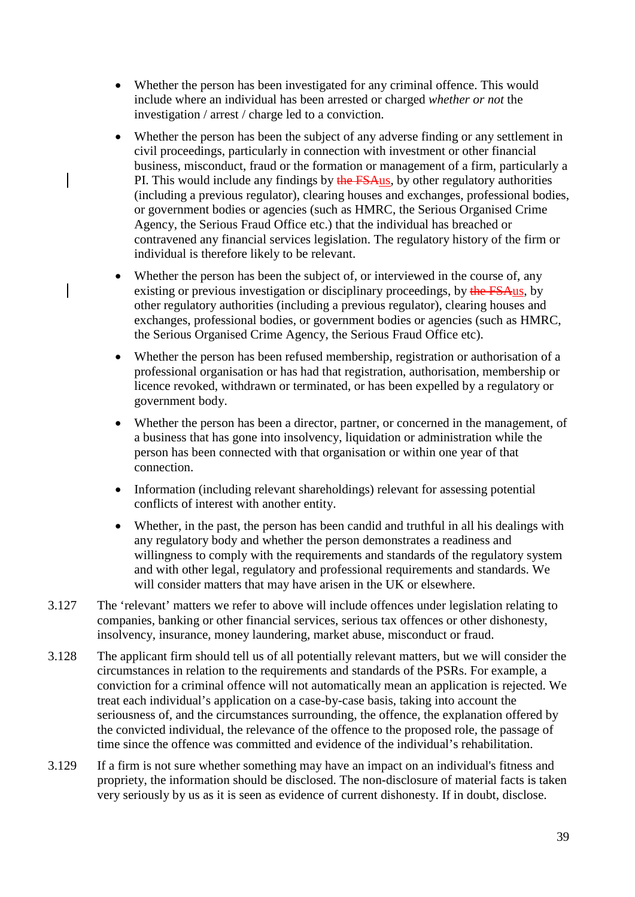- Whether the [person](http://fsahandbook.info/FSA/glossary-html/handbook/Glossary/P?definition=G869) has been investigated for any criminal offence. This would include where an individual has been arrested or charged *whether or not* the investigation / arrest / charge led to a conviction.
- Whether the person has been the subject of any adverse finding or any settlement in civil proceedings, particularly in connection with investment or other financial business, misconduct, fraud or the formation or management of a firm, particularly a PI. This would include any findings by the FSAus, by other regulatory authorities (including a previous regulator), clearing houses and exchanges, professional bodies, or government bodies or agencies (such as HMRC, the Serious Organised Crime Agency, the Serious Fraud Office etc.) that the individual has breached or contravened any financial services legislation. The regulatory history of the firm or individual is therefore likely to be relevant.
- Whether the person has been the subject of, or interviewed in the course of, any existing or previous investigation or disciplinary proceedings, by the FSAus, by other regulatory authorities (including a previous regulator), clearing houses and exchanges, professional bodies, or government bodies or agencies (such as HMRC, the Serious Organised Crime Agency, the Serious Fraud Office etc).
- Whether the person has been refused membership, registration or authorisation of a professional organisation or has had that registration, authorisation, membership or licence revoked, withdrawn or terminated, or has been expelled by a regulatory or government body.
- Whether the [person](http://fsahandbook.info/FSA/glossary-html/handbook/Glossary/P?definition=G869) has been a [director,](http://fsahandbook.info/FSA/glossary-html/handbook/Glossary/D?definition=G296) [partner,](http://fsahandbook.info/FSA/glossary-html/handbook/Glossary/P?definition=G841) or concerned in the management, of a business that has gone into insolvency, liquidation or administration while the [person](http://fsahandbook.info/FSA/glossary-html/handbook/Glossary/P?definition=G869) has been connected with that organisation or within one year of that connection.
- Information (including relevant shareholdings) relevant for assessing potential conflicts of interest with another entity.
- Whether, in the past, the person has been candid and truthful in all his dealings with any regulatory body and whether the person demonstrates a readiness and willingness to comply with the requirements and standards of the regulatory system and with other legal, regulatory and professional requirements and standards. We will consider matters that may have arisen in the UK or elsewhere.
- 3.127 The 'relevant' matters we refer to above will include offences under legislation relating to companies, banking or other financial services, serious tax offences or other dishonesty, insolvency, insurance, money laundering, market abuse, misconduct or fraud.
- 3.128 The applicant firm should tell us of all potentially relevant matters, but we will consider the circumstances in relation to the requirements and standards of the PSRs. For example, a conviction for a criminal offence will not automatically mean an application is rejected. We treat each individual's application on a case-by-case basis, taking into account the seriousness of, and the circumstances surrounding, the offence, the explanation offered by the convicted individual, the relevance of the offence to the proposed role, the passage of time since the offence was committed and evidence of the individual's rehabilitation.
- 3.129 If a firm is not sure whether something may have an impact on an individual's fitness and propriety, the information should be disclosed. The non-disclosure of material facts is taken very seriously by us as it is seen as evidence of current dishonesty. If in doubt, disclose.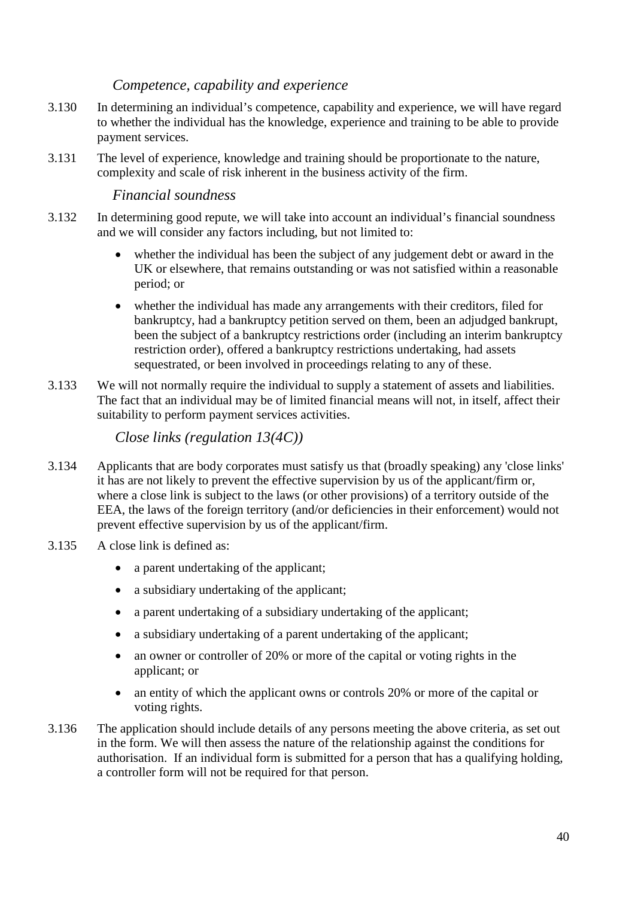# *Competence, capability and experience*

- 3.130 In determining an individual's competence, capability and experience, we will have regard to whether the individual has the knowledge, experience and training to be able to provide payment services.
- 3.131 The level of experience, knowledge and training should be proportionate to the nature, complexity and scale of risk inherent in the business activity of the firm.

## *Financial soundness*

- 3.132 In determining good repute, we will take into account an individual's financial soundness and we will consider any factors including, but not limited to:
	- whether the individual has been the subject of any judgement debt or award in the UK or elsewhere, that remains outstanding or was not satisfied within a reasonable period; or
	- whether the individual has made any arrangements with their creditors, filed for bankruptcy, had a bankruptcy petition served on them, been an adjudged bankrupt, been the subject of a bankruptcy restrictions order (including an interim bankruptcy restriction order), offered a bankruptcy restrictions undertaking, had assets sequestrated, or been involved in proceedings relating to any of these.
- 3.133 We will not normally require the individual to supply a statement of assets and liabilities. The fact that an individual may be of limited financial means will not, in itself, affect their suitability to perform payment services activities.

*Close links (regulation 13(4C))*

- 3.134 Applicants that are body corporates must satisfy us that (broadly speaking) any 'close links' it has are not likely to prevent the effective supervision by us of the applicant/firm or, where a close link is subject to the laws (or other provisions) of a territory outside of the EEA, the laws of the foreign territory (and/or deficiencies in their enforcement) would not prevent effective supervision by us of the applicant/firm.
- 3.135 A close link is defined as:
	- a parent undertaking of the applicant;
	- a subsidiary undertaking of the applicant;
	- a parent undertaking of a subsidiary undertaking of the applicant;
	- a subsidiary undertaking of a parent undertaking of the applicant;
	- an owner or controller of 20% or more of the capital or voting rights in the applicant; or
	- an entity of which the applicant owns or controls 20% or more of the capital or voting rights.
- 3.136 The application should include details of any persons meeting the above criteria, as set out in the form. We will then assess the nature of the relationship against the conditions for authorisation. If an individual form is submitted for a person that has a qualifying holding, a controller form will not be required for that person.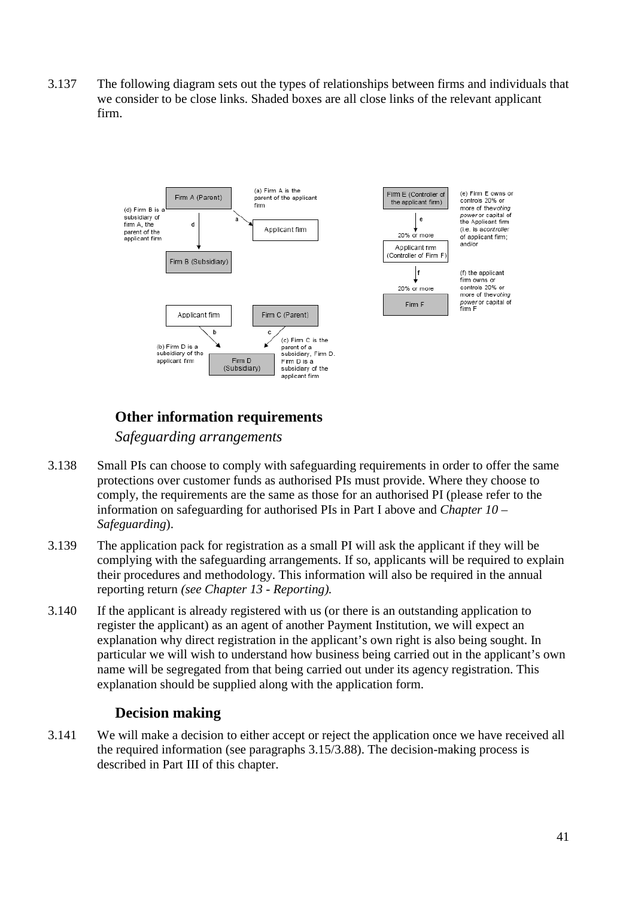3.137 The following diagram sets out the types of relationships between firms and individuals that we consider to be close links. Shaded boxes are all close links of the relevant applicant firm.



# **Other information requirements**

*Safeguarding arrangements*

- 3.138 Small PIs can choose to comply with safeguarding requirements in order to offer the same protections over customer funds as authorised PIs must provide. Where they choose to comply, the requirements are the same as those for an authorised PI (please refer to the information on safeguarding for authorised PIs in Part I above and *Chapter 10 – Safeguarding*).
- 3.139 The application pack for registration as a small PI will ask the applicant if they will be complying with the safeguarding arrangements. If so, applicants will be required to explain their procedures and methodology. This information will also be required in the annual reporting return *(see Chapter 13 - Reporting).*
- 3.140 If the applicant is already registered with us (or there is an outstanding application to register the applicant) as an agent of another Payment Institution, we will expect an explanation why direct registration in the applicant's own right is also being sought. In particular we will wish to understand how business being carried out in the applicant's own name will be segregated from that being carried out under its agency registration. This explanation should be supplied along with the application form.

# **Decision making**

3.141 We will make a decision to either accept or reject the application once we have received all the required information (see paragraphs 3.15/3.88). The decision-making process is described in Part III of this chapter.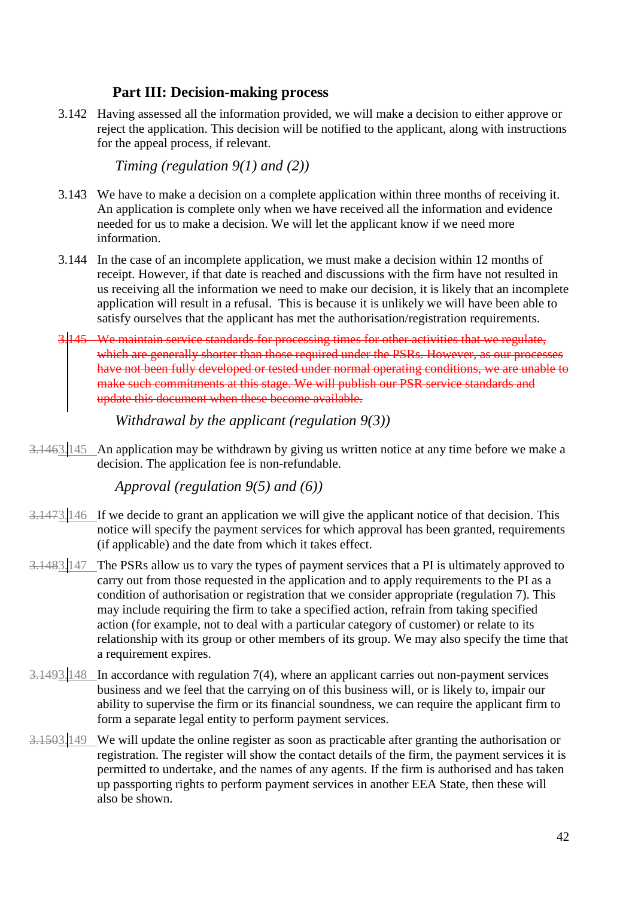# **Part III: Decision-making process**

3.142 Having assessed all the information provided, we will make a decision to either approve or reject the application. This decision will be notified to the applicant, along with instructions for the appeal process, if relevant.

*Timing (regulation 9(1) and (2))*

- 3.143 We have to make a decision on a complete application within three months of receiving it. An application is complete only when we have received all the information and evidence needed for us to make a decision. We will let the applicant know if we need more information.
- 3.144 In the case of an incomplete application, we must make a decision within 12 months of receipt. However, if that date is reached and discussions with the firm have not resulted in us receiving all the information we need to make our decision, it is likely that an incomplete application will result in a refusal. This is because it is unlikely we will have been able to satisfy ourselves that the applicant has met the authorisation/registration requirements.
- 3.145 We maintain service standards for processing times for other activities that we regulate, which are generally shorter than those required under the PSRs. However, as our processes have not been fully developed or tested under normal operating conditions, we are unable to make such commitments at this stage. We will publish our PSR service standards and update this document when these become available.

*Withdrawal by the applicant (regulation 9(3))* 

3.1463.145 An application may be withdrawn by giving us written notice at any time before we make a decision. The application fee is non-refundable.

*Approval (regulation 9(5) and (6))*

- 3.1473.146 If we decide to grant an application we will give the applicant notice of that decision. This notice will specify the payment services for which approval has been granted, requirements (if applicable) and the date from which it takes effect.
- 3.1483.147 The PSRs allow us to vary the types of payment services that a PI is ultimately approved to carry out from those requested in the application and to apply requirements to the PI as a condition of authorisation or registration that we consider appropriate (regulation 7). This may include requiring the firm to take a specified action, refrain from taking specified action (for example, not to deal with a particular category of customer) or relate to its relationship with its group or other members of its group. We may also specify the time that a requirement expires.
- 3.1493.148 In accordance with regulation 7(4), where an applicant carries out non-payment services business and we feel that the carrying on of this business will, or is likely to, impair our ability to supervise the firm or its financial soundness, we can require the applicant firm to form a separate legal entity to perform payment services.
- 3.1503.149 We will update the online register as soon as practicable after granting the authorisation or registration. The register will show the contact details of the firm, the payment services it is permitted to undertake, and the names of any agents. If the firm is authorised and has taken up passporting rights to perform payment services in another EEA State, then these will also be shown.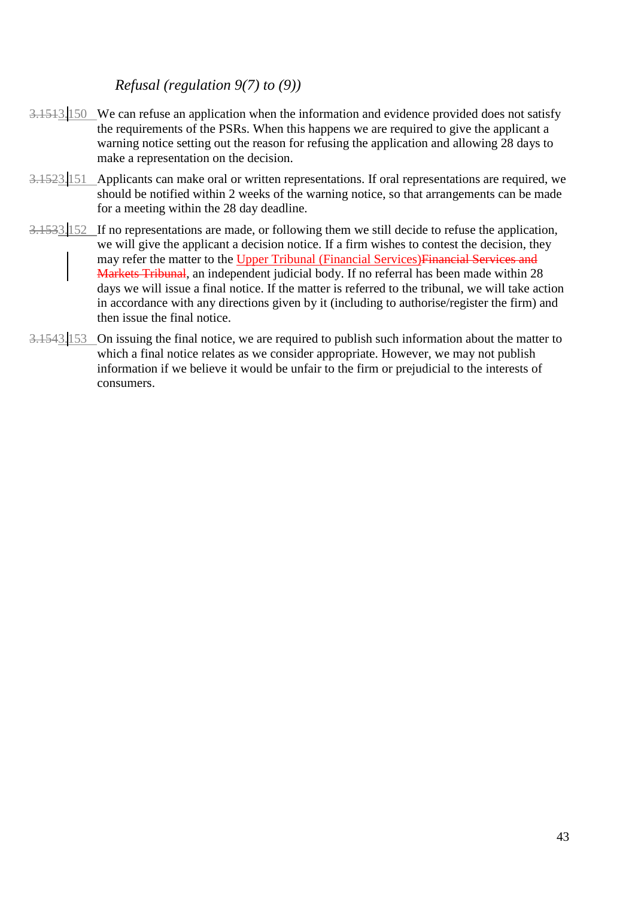# *Refusal (regulation 9(7) to (9))*

- 3.1513.150 We can refuse an application when the information and evidence provided does not satisfy the requirements of the PSRs. When this happens we are required to give the applicant a warning notice setting out the reason for refusing the application and allowing 28 days to make a representation on the decision.
- 3.1523.151 Applicants can make oral or written representations. If oral representations are required, we should be notified within 2 weeks of the warning notice, so that arrangements can be made for a meeting within the 28 day deadline.
- 3.1533.152 If no representations are made, or following them we still decide to refuse the application, we will give the applicant a decision notice. If a firm wishes to contest the decision, they may refer the matter to the Upper Tribunal (Financial Services)Financial Services and Markets Tribunal, an independent judicial body. If no referral has been made within 28 days we will issue a final notice. If the matter is referred to the tribunal, we will take action in accordance with any directions given by it (including to authorise/register the firm) and then issue the final notice.
- 3.1543.153 On issuing the final notice, we are required to publish such information about the matter to which a final notice relates as we consider appropriate. However, we may not publish information if we believe it would be unfair to the firm or prejudicial to the interests of consumers.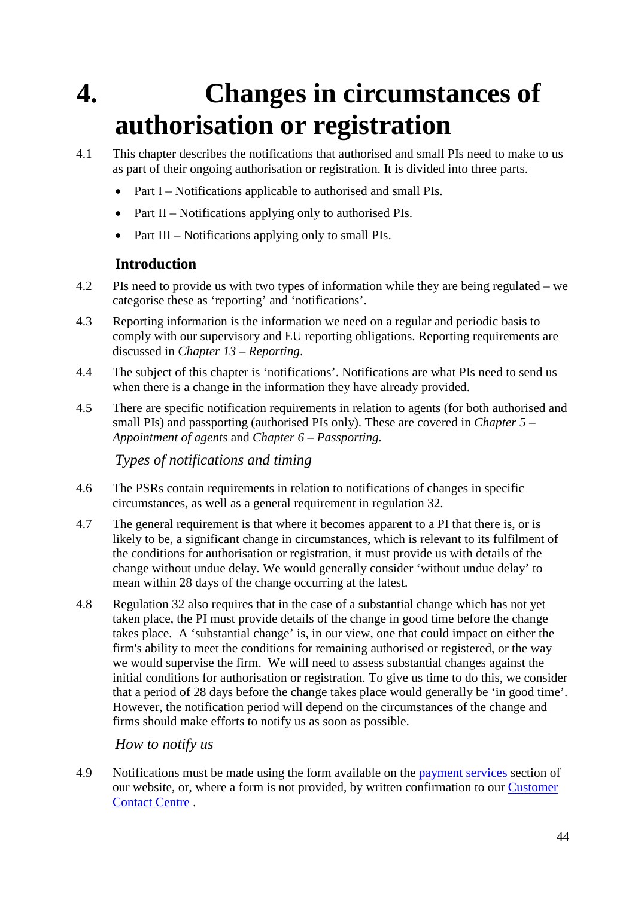# **4. Changes in circumstances of authorisation or registration**

- 4.1 This chapter describes the notifications that authorised and small PIs need to make to us as part of their ongoing authorisation or registration. It is divided into three parts.
	- Part I Notifications applicable to authorised and small PIs.
	- Part II Notifications applying only to authorised PIs.
	- Part III Notifications applying only to small PIs.

# **Introduction**

- 4.2 PIs need to provide us with two types of information while they are being regulated we categorise these as 'reporting' and 'notifications'.
- 4.3 Reporting information is the information we need on a regular and periodic basis to comply with our supervisory and EU reporting obligations. Reporting requirements are discussed in *Chapter 13 – Reporting*.
- 4.4 The subject of this chapter is 'notifications'. Notifications are what PIs need to send us when there is a change in the information they have already provided.
- 4.5 There are specific notification requirements in relation to agents (for both authorised and small PIs) and passporting (authorised PIs only). These are covered in *Chapter 5 – Appointment of agents* and *Chapter 6 – Passporting.*

*Types of notifications and timing*

- 4.6 The PSRs contain requirements in relation to notifications of changes in specific circumstances, as well as a general requirement in regulation 32.
- 4.7 The general requirement is that where it becomes apparent to a PI that there is, or is likely to be, a significant change in circumstances, which is relevant to its fulfilment of the conditions for authorisation or registration, it must provide us with details of the change without undue delay. We would generally consider 'without undue delay' to mean within 28 days of the change occurring at the latest.
- 4.8 Regulation 32 also requires that in the case of a substantial change which has not yet taken place, the PI must provide details of the change in good time before the change takes place. A 'substantial change' is, in our view, one that could impact on either the firm's ability to meet the conditions for remaining authorised or registered, or the way we would supervise the firm. We will need to assess substantial changes against the initial conditions for authorisation or registration. To give us time to do this, we consider that a period of 28 days before the change takes place would generally be 'in good time'. However, the notification period will depend on the circumstances of the change and firms should make efforts to notify us as soon as possible.

*How to notify us*

4.9 Notifications must be made using the form available on the [payment services](http://www.fca.org.uk/paymentservices) section of our website, or, where a form is not provided, by written confirmation to our [Customer](http://www.fca.org.uk/site-info/contact)  [Contact Centre](http://www.fca.org.uk/site-info/contact) .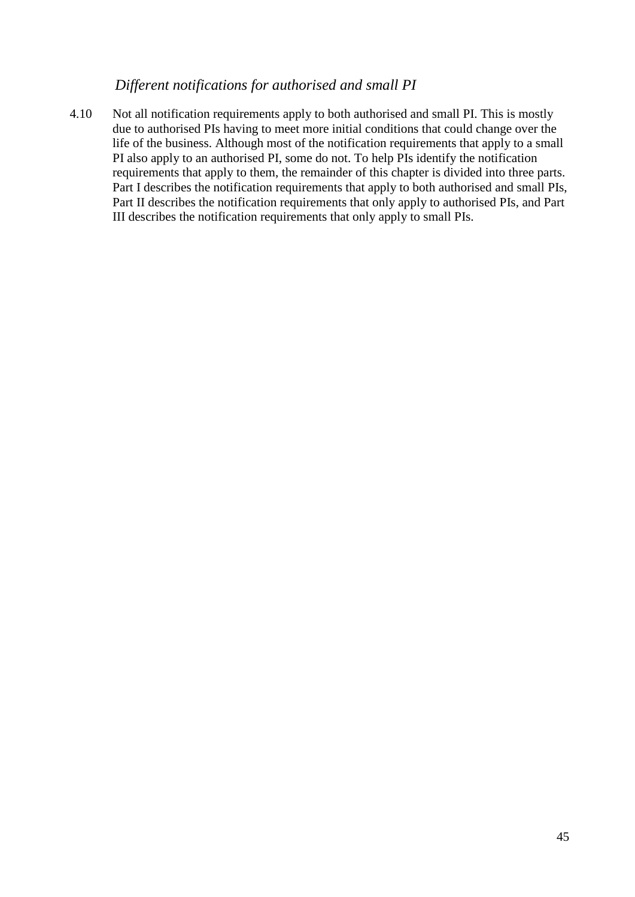#### *Different notifications for authorised and small PI*

4.10 Not all notification requirements apply to both authorised and small PI. This is mostly due to authorised PIs having to meet more initial conditions that could change over the life of the business. Although most of the notification requirements that apply to a small PI also apply to an authorised PI, some do not. To help PIs identify the notification requirements that apply to them, the remainder of this chapter is divided into three parts. Part I describes the notification requirements that apply to both authorised and small PIs, Part II describes the notification requirements that only apply to authorised PIs, and Part III describes the notification requirements that only apply to small PIs.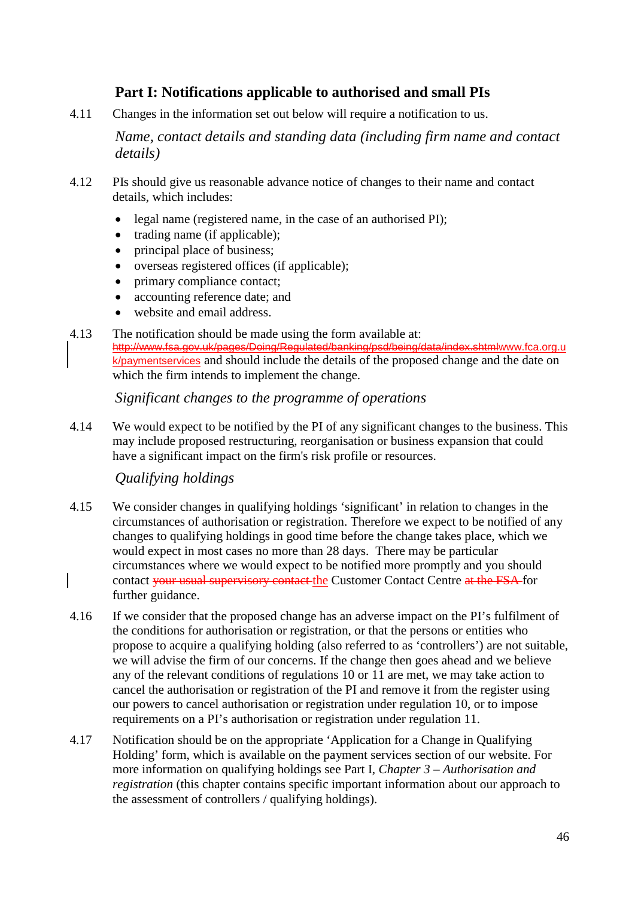# **Part I: Notifications applicable to authorised and small PIs**

4.11 Changes in the information set out below will require a notification to us.

*Name, contact details and standing data (including firm name and contact details)*

- 4.12 PIs should give us reasonable advance notice of changes to their name and contact details, which includes:
	- legal name (registered name, in the case of an authorised PI);
	- trading name (if applicable);
	- principal place of business;
	- overseas registered offices (if applicable);
	- primary compliance contact;
	- accounting reference date; and
	- website and email address.
- 4.13 The notification should be made using the form available at: [http://www.fsa.gov.uk/pages/Doing/Regulated/banking/psd/being/data/index.shtmlw](http://www.fsa.gov.uk/pages/Doing/Regulated/banking/psd/being/data/index.shtml)ww.fca.org.u k/paymentservices and should include the details of the proposed change and the date on which the firm intends to implement the change.

## *Significant changes to the programme of operations*

4.14 We would expect to be notified by the PI of any significant changes to the business. This may include proposed restructuring, reorganisation or business expansion that could have a significant impact on the firm's risk profile or resources.

# *Qualifying holdings*

- 4.15 We consider changes in qualifying holdings 'significant' in relation to changes in the circumstances of authorisation or registration. Therefore we expect to be notified of any changes to qualifying holdings in good time before the change takes place, which we would expect in most cases no more than 28 days. There may be particular circumstances where we would expect to be notified more promptly and you should contact your usual supervisory contact the Customer Contact Centre at the FSA for further guidance.
- 4.16 If we consider that the proposed change has an adverse impact on the PI's fulfilment of the conditions for authorisation or registration, or that the persons or entities who propose to acquire a qualifying holding (also referred to as 'controllers') are not suitable, we will advise the firm of our concerns. If the change then goes ahead and we believe any of the relevant conditions of regulations 10 or 11 are met, we may take action to cancel the authorisation or registration of the PI and remove it from the register using our powers to cancel authorisation or registration under regulation 10, or to impose requirements on a PI's authorisation or registration under regulation 11.
- 4.17 Notification should be on the appropriate 'Application for a Change in Qualifying Holding' form, which is available on the payment services section of our website. For more information on qualifying holdings see Part I, *Chapter 3 – Authorisation and registration* (this chapter contains specific important information about our approach to the assessment of controllers / qualifying holdings).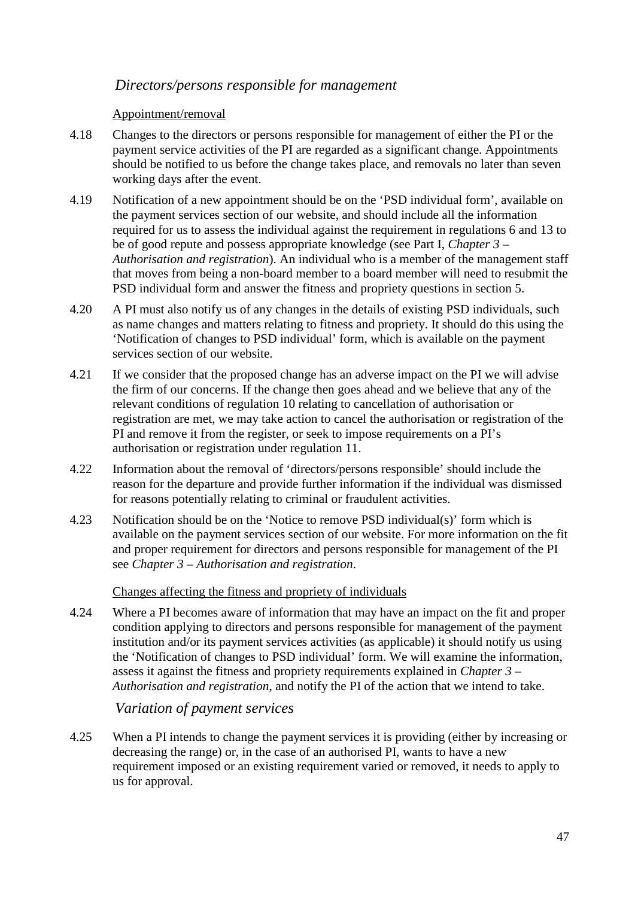#### *Directors/persons responsible for management*

#### Appointment/removal

- 4.18 Changes to the directors or persons responsible for management of either the PI or the payment service activities of the PI are regarded as a significant change. Appointments should be notified to us before the change takes place, and removals no later than seven working days after the event.
- 4.19 Notification of a new appointment should be on the 'PSD individual form', available on the payment services section of our website, and should include all the information required for us to assess the individual against the requirement in regulations 6 and 13 to be of good repute and possess appropriate knowledge (see Part I, *Chapter 3 – Authorisation and registration*). An individual who is a member of the management staff that moves from being a non-board member to a board member will need to resubmit the PSD individual form and answer the fitness and propriety questions in section 5.
- 4.20 A PI must also notify us of any changes in the details of existing PSD individuals, such as name changes and matters relating to fitness and propriety. It should do this using the 'Notification of changes to PSD individual' form, which is available on the payment services section of our website.
- 4.21 If we consider that the proposed change has an adverse impact on the PI we will advise the firm of our concerns. If the change then goes ahead and we believe that any of the relevant conditions of regulation 10 relating to cancellation of authorisation or registration are met, we may take action to cancel the authorisation or registration of the PI and remove it from the register, or seek to impose requirements on a PI's authorisation or registration under regulation 11.
- 4.22 Information about the removal of 'directors/persons responsible' should include the reason for the departure and provide further information if the individual was dismissed for reasons potentially relating to criminal or fraudulent activities.
- 4.23 Notification should be on the 'Notice to remove PSD individual(s)' form which is available on the payment services section of our website. For more information on the fit and proper requirement for directors and persons responsible for management of the PI see *Chapter 3 – Authorisation and registration*.

#### Changes affecting the fitness and propriety of individuals

4.24 Where a PI becomes aware of information that may have an impact on the fit and proper condition applying to directors and persons responsible for management of the payment institution and/or its payment services activities (as applicable) it should notify us using the 'Notification of changes to PSD individual' form. We will examine the information, assess it against the fitness and propriety requirements explained in *Chapter 3 – Authorisation and registration*, and notify the PI of the action that we intend to take.

# *Variation of payment services*

4.25 When a PI intends to change the payment services it is providing (either by increasing or decreasing the range) or, in the case of an authorised PI, wants to have a new requirement imposed or an existing requirement varied or removed, it needs to apply to us for approval.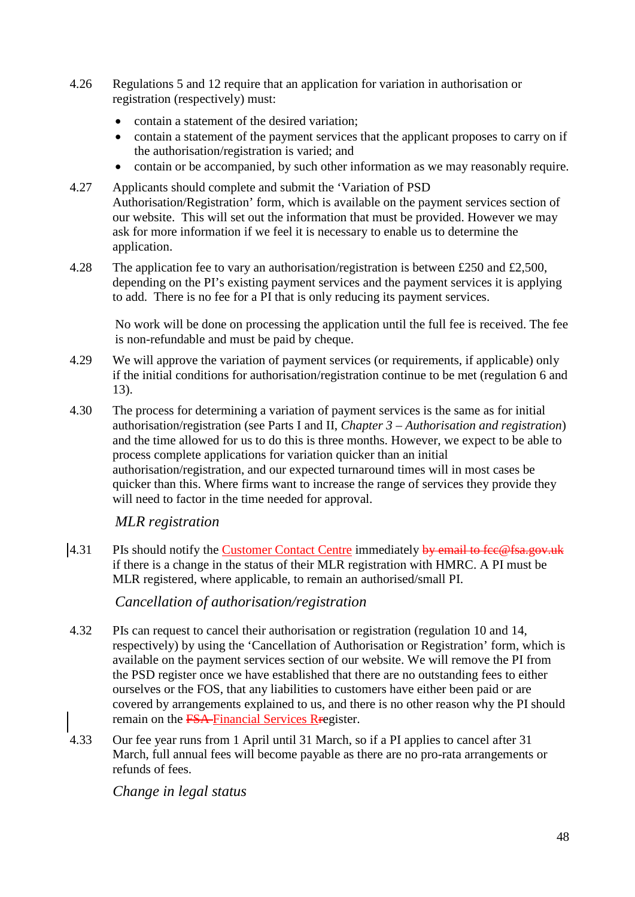- 4.26 Regulations 5 and 12 require that an application for variation in authorisation or registration (respectively) must:
	- contain a statement of the desired variation;
	- contain a statement of the payment services that the applicant proposes to carry on if the authorisation/registration is varied; and
	- contain or be accompanied, by such other information as we may reasonably require.
- 4.27 Applicants should complete and submit the 'Variation of PSD Authorisation/Registration' form, which is available on the payment services section of our website. This will set out the information that must be provided. However we may ask for more information if we feel it is necessary to enable us to determine the application.
- 4.28 The application fee to vary an authorisation/registration is between £250 and £2,500, depending on the PI's existing payment services and the payment services it is applying to add. There is no fee for a PI that is only reducing its payment services.

No work will be done on processing the application until the full fee is received. The fee is non-refundable and must be paid by cheque.

- 4.29 We will approve the variation of payment services (or requirements, if applicable) only if the initial conditions for authorisation/registration continue to be met (regulation 6 and 13).
- 4.30 The process for determining a variation of payment services is the same as for initial authorisation/registration (see Parts I and II, *Chapter 3 – Authorisation and registration*) and the time allowed for us to do this is three months. However, we expect to be able to process complete applications for variation quicker than an initial authorisation/registration, and our expected turnaround times will in most cases be quicker than this. Where firms want to increase the range of services they provide they will need to factor in the time needed for approval.

# *MLR registration*

4.31 PIs should notify the [Customer Contact Centre](http://www.fca.org.uk/site-info/contact) immediately by email to fee@fsa.gov.uk if there is a change in the status of their MLR registration with HMRC. A PI must be MLR registered, where applicable, to remain an authorised/small PI.

*Cancellation of authorisation/registration*

- 4.32 PIs can request to cancel their authorisation or registration (regulation 10 and 14, respectively) by using the 'Cancellation of Authorisation or Registration' form, which is available on the payment services section of our website. We will remove the PI from the PSD register once we have established that there are no outstanding fees to either ourselves or the FOS, that any liabilities to customers have either been paid or are covered by arrangements explained to us, and there is no other reason why the PI should remain on the FSA Financial Services Rregister.
- 4.33 Our fee year runs from 1 April until 31 March, so if a PI applies to cancel after 31 March, full annual fees will become payable as there are no pro-rata arrangements or refunds of fees.

*Change in legal status*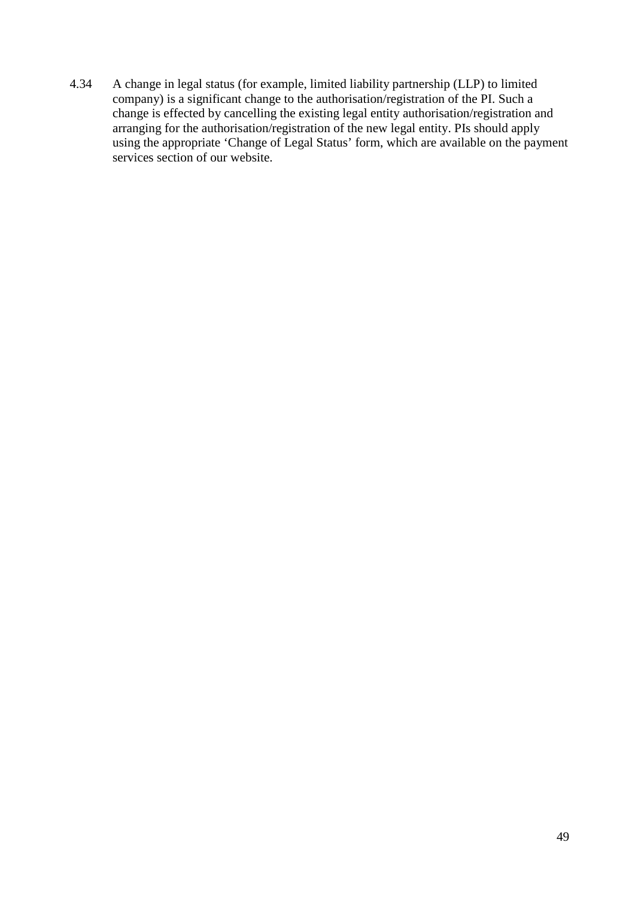4.34 A change in legal status (for example, limited liability partnership (LLP) to limited company) is a significant change to the authorisation/registration of the PI. Such a change is effected by cancelling the existing legal entity authorisation/registration and arranging for the authorisation/registration of the new legal entity. PIs should apply using the appropriate 'Change of Legal Status' form, which are available on the payment services section of our website.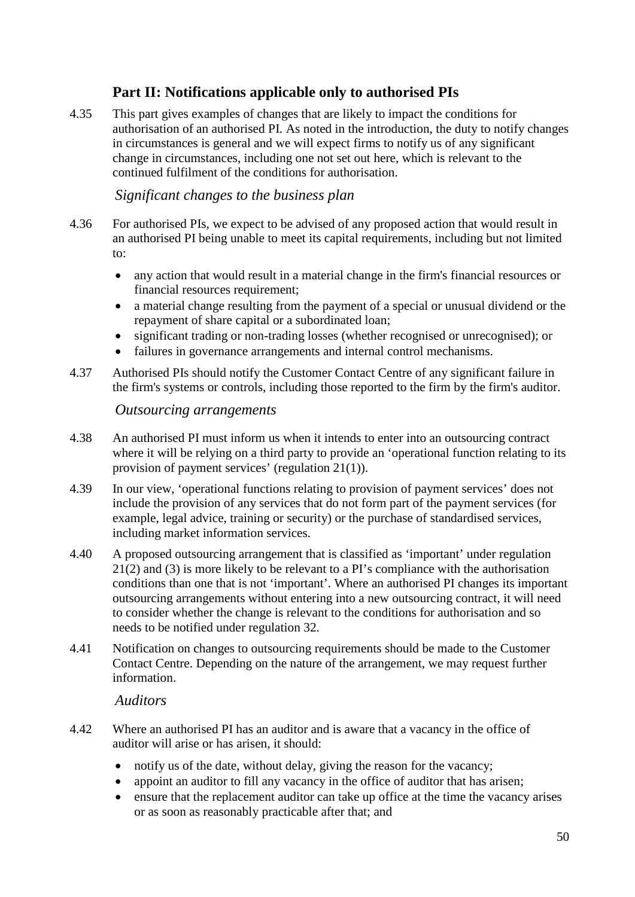# **Part II: Notifications applicable only to authorised PIs**

4.35 This part gives examples of changes that are likely to impact the conditions for authorisation of an authorised PI. As noted in the introduction, the duty to notify changes in circumstances is general and we will expect firms to notify us of any significant change in circumstances, including one not set out here, which is relevant to the continued fulfilment of the conditions for authorisation.

# *Significant changes to the business plan*

- 4.36 For authorised PIs, we expect to be advised of any proposed action that would result in an authorised PI being unable to meet its capital requirements, including but not limited to:
	- any action that would result in a material change in the firm's financial resources or financial resources requirement;
	- a material change resulting from the payment of a special or unusual dividend or the repayment of share capital or a subordinated loan;
	- significant trading or non-trading losses (whether recognised or unrecognised); or
	- failures in governance arrangements and internal control mechanisms.
- 4.37 Authorised PIs should notify the Customer Contact Centre of any significant failure in the firm's systems or controls, including those reported to the firm by the firm's auditor.

#### *Outsourcing arrangements*

- 4.38 An authorised PI must inform us when it intends to enter into an outsourcing contract where it will be relying on a third party to provide an 'operational function relating to its provision of payment services' (regulation 21(1)).
- 4.39 In our view, 'operational functions relating to provision of payment services' does not include the provision of any services that do not form part of the payment services (for example, legal advice, training or security) or the purchase of standardised services, including market information services.
- 4.40 A proposed outsourcing arrangement that is classified as 'important' under regulation 21(2) and (3) is more likely to be relevant to a PI's compliance with the authorisation conditions than one that is not 'important'. Where an authorised PI changes its important outsourcing arrangements without entering into a new outsourcing contract, it will need to consider whether the change is relevant to the conditions for authorisation and so needs to be notified under regulation 32.
- 4.41 Notification on changes to outsourcing requirements should be made to the Customer Contact Centre. Depending on the nature of the arrangement, we may request further information.

## *Auditors*

- 4.42 Where an authorised PI has an auditor and is aware that a vacancy in the office of auditor will arise or has arisen, it should:
	- notify us of the date, without delay, giving the reason for the vacancy;
	- appoint an auditor to fill any vacancy in the office of auditor that has arisen;
	- ensure that the replacement auditor can take up office at the time the vacancy arises or as soon as reasonably practicable after that; and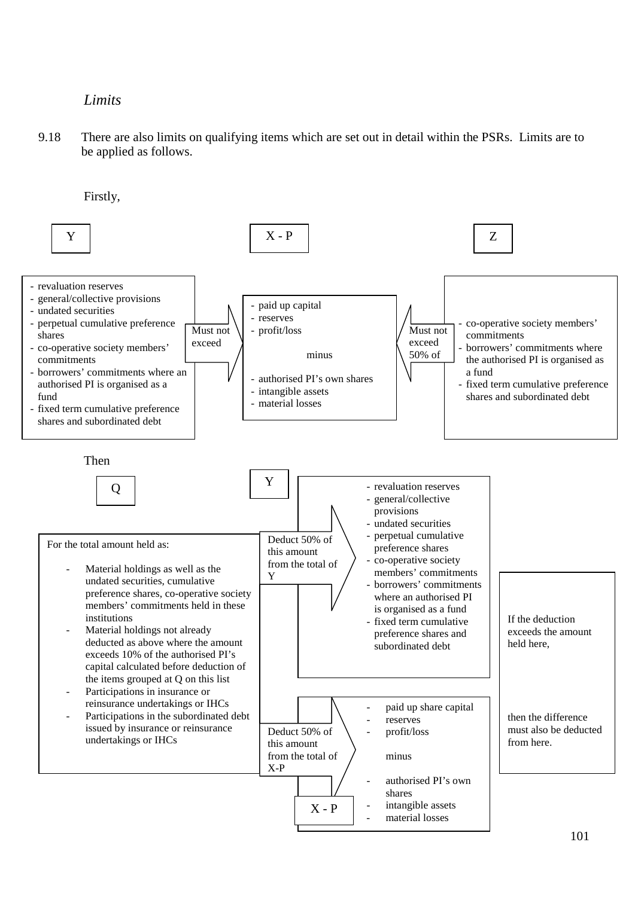# *Limits*

9.18 There are also limits on qualifying items which are set out in detail within the PSRs. Limits are to be applied as follows.

Firstly,

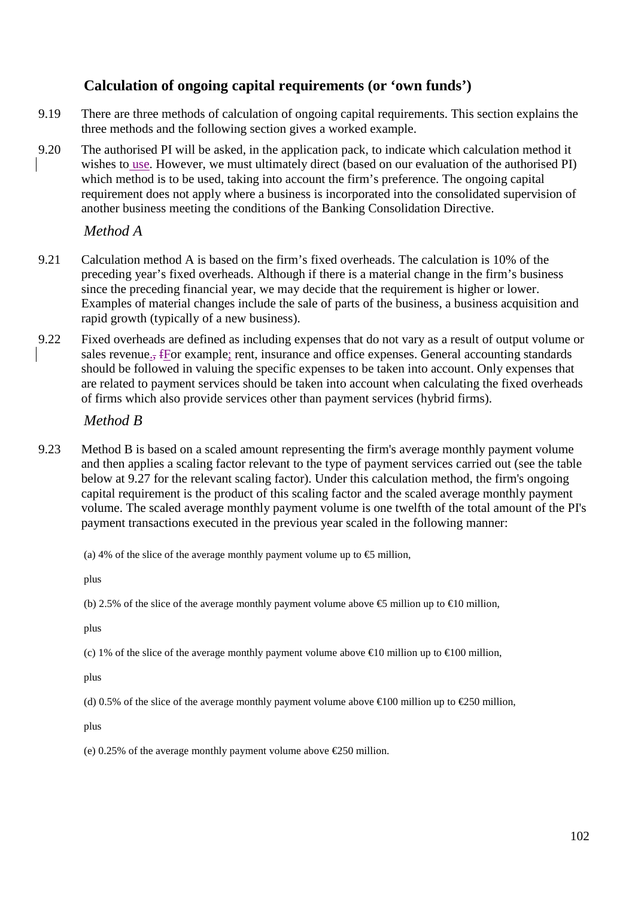# **Calculation of ongoing capital requirements (or 'own funds')**

- 9.19 There are three methods of calculation of ongoing capital requirements. This section explains the three methods and the following section gives a worked example.
- 9.20 The authorised PI will be asked, in the application pack, to indicate which calculation method it wishes to use. However, we must ultimately direct (based on our evaluation of the authorised PI) which method is to be used, taking into account the firm's preference. The ongoing capital requirement does not apply where a business is incorporated into the consolidated supervision of another business meeting the conditions of the Banking Consolidation Directive.

# *Method A*

- 9.21 Calculation method A is based on the firm's fixed overheads. The calculation is 10% of the preceding year's fixed overheads. Although if there is a material change in the firm's business since the preceding financial year, we may decide that the requirement is higher or lower. Examples of material changes include the sale of parts of the business, a business acquisition and rapid growth (typically of a new business).
- 9.22 Fixed overheads are defined as including expenses that do not vary as a result of output volume or sales revenue., fFor example; rent, insurance and office expenses. General accounting standards should be followed in valuing the specific expenses to be taken into account. Only expenses that are related to payment services should be taken into account when calculating the fixed overheads of firms which also provide services other than payment services (hybrid firms).

# *Method B*

- 9.23 Method B is based on a scaled amount representing the firm's average monthly payment volume and then applies a scaling factor relevant to the type of payment services carried out (see the table below at 9.27 for the relevant scaling factor). Under this calculation method, the firm's ongoing capital requirement is the product of this scaling factor and the scaled average monthly payment volume. The scaled average monthly payment volume is one twelfth of the total amount of the PI's payment transactions executed in the previous year scaled in the following manner:
	- (a) 4% of the slice of the average monthly payment volume up to  $\epsilon$  million,

plus

(b) 2.5% of the slice of the average monthly payment volume above  $\bigoplus$  million up to  $\bigoplus$  0 million,

plus

(c) 1% of the slice of the average monthly payment volume above  $\in 10$  million up to  $\in 100$  million,

plus

(d) 0.5% of the slice of the average monthly payment volume above  $\in$  00 million up to  $\in$ 250 million,

plus

(e) 0.25% of the average monthly payment volume above €250 million.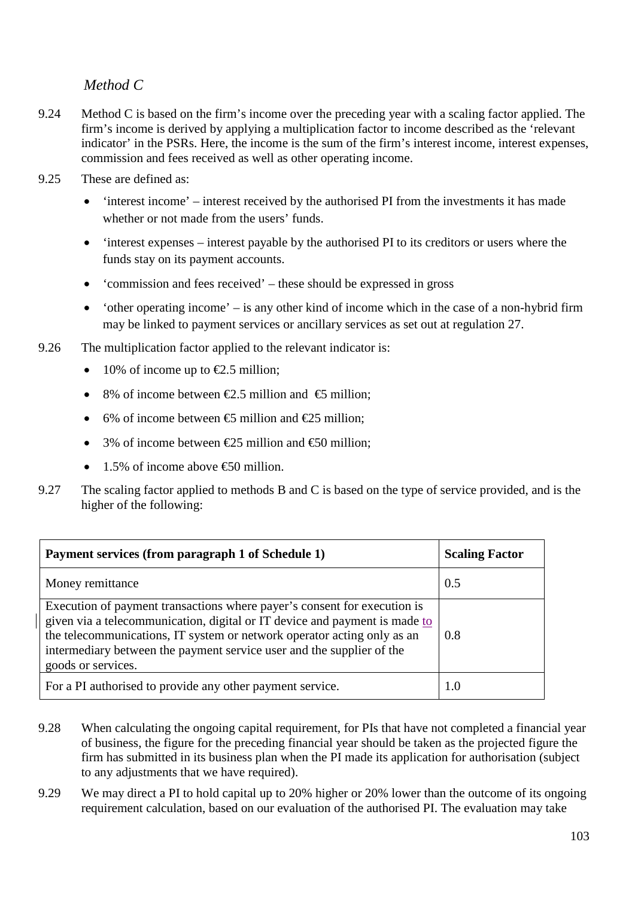# *Method C*

- 9.24 Method C is based on the firm's income over the preceding year with a scaling factor applied. The firm's income is derived by applying a multiplication factor to income described as the 'relevant indicator' in the PSRs. Here, the income is the sum of the firm's interest income, interest expenses, commission and fees received as well as other operating income.
- 9.25 These are defined as:
	- 'interest income' interest received by the authorised PI from the investments it has made whether or not made from the users' funds.
	- 'interest expenses interest payable by the authorised PI to its creditors or users where the funds stay on its payment accounts.
	- 'commission and fees received' these should be expressed in gross
	- 'other operating income' is any other kind of income which in the case of a non-hybrid firm may be linked to payment services or ancillary services as set out at regulation 27.
- 9.26 The multiplication factor applied to the relevant indicator is:
	- 10% of income up to  $\epsilon$ 2.5 million:
	- 8% of income between  $\epsilon$ 2.5 million and  $\epsilon$ 5 million;
	- 6% of income between  $\epsilon$ 5 million and  $\epsilon$ 25 million;
	- 3% of income between  $\epsilon$ 25 million and  $\epsilon$ 50 million:
	- 1.5% of income above  $\bigoplus$  million.
- 9.27 The scaling factor applied to methods B and C is based on the type of service provided, and is the higher of the following:

| Payment services (from paragraph 1 of Schedule 1)                                                                                                                                                                                                                                                                                | <b>Scaling Factor</b> |
|----------------------------------------------------------------------------------------------------------------------------------------------------------------------------------------------------------------------------------------------------------------------------------------------------------------------------------|-----------------------|
| Money remittance                                                                                                                                                                                                                                                                                                                 | 0.5                   |
| Execution of payment transactions where payer's consent for execution is<br>given via a telecommunication, digital or IT device and payment is made to<br>the telecommunications, IT system or network operator acting only as an<br>intermediary between the payment service user and the supplier of the<br>goods or services. | 0.8                   |
| For a PI authorised to provide any other payment service.                                                                                                                                                                                                                                                                        | 1.0                   |

- 9.28 When calculating the ongoing capital requirement, for PIs that have not completed a financial year of business, the figure for the preceding financial year should be taken as the projected figure the firm has submitted in its business plan when the PI made its application for authorisation (subject to any adjustments that we have required).
- 9.29 We may direct a PI to hold capital up to 20% higher or 20% lower than the outcome of its ongoing requirement calculation, based on our evaluation of the authorised PI. The evaluation may take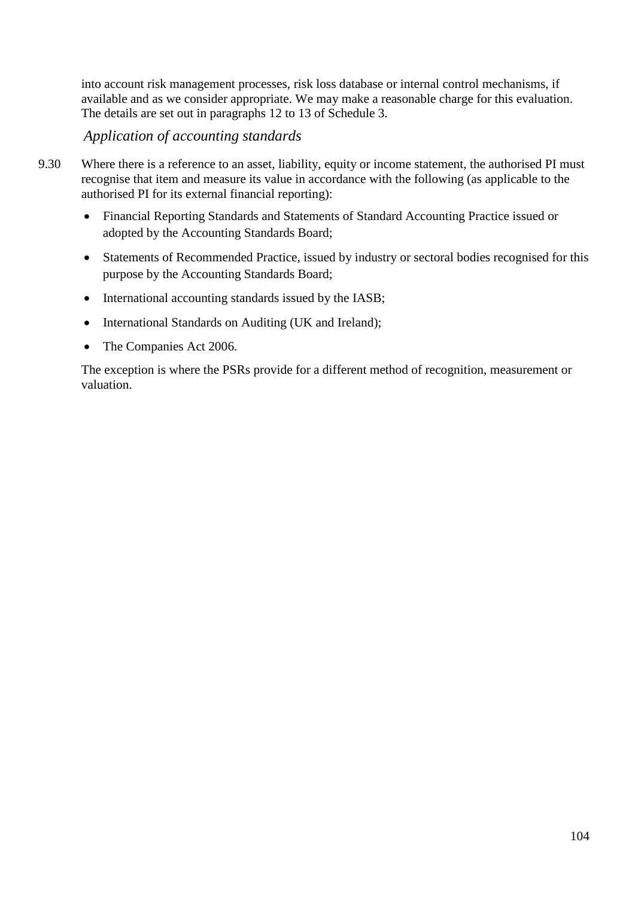into account risk management processes, risk loss database or internal control mechanisms, if available and as we consider appropriate. We may make a reasonable charge for this evaluation. The details are set out in paragraphs 12 to 13 of Schedule 3.

*Application of accounting standards*

- 9.30 Where there is a reference to an asset, liability, equity or income statement, the authorised PI must recognise that item and measure its value in accordance with the following (as applicable to the authorised PI for its external financial reporting):
	- Financial Reporting Standards and Statements of Standard Accounting Practice issued or adopted by the Accounting Standards Board;
	- Statements of Recommended Practice, issued by industry or sectoral bodies recognised for this purpose by the Accounting Standards Board;
	- International accounting standards issued by the IASB;
	- International Standards on Auditing (UK and Ireland);
	- The Companies Act 2006.

The exception is where the PSRs provide for a different method of recognition, measurement or valuation.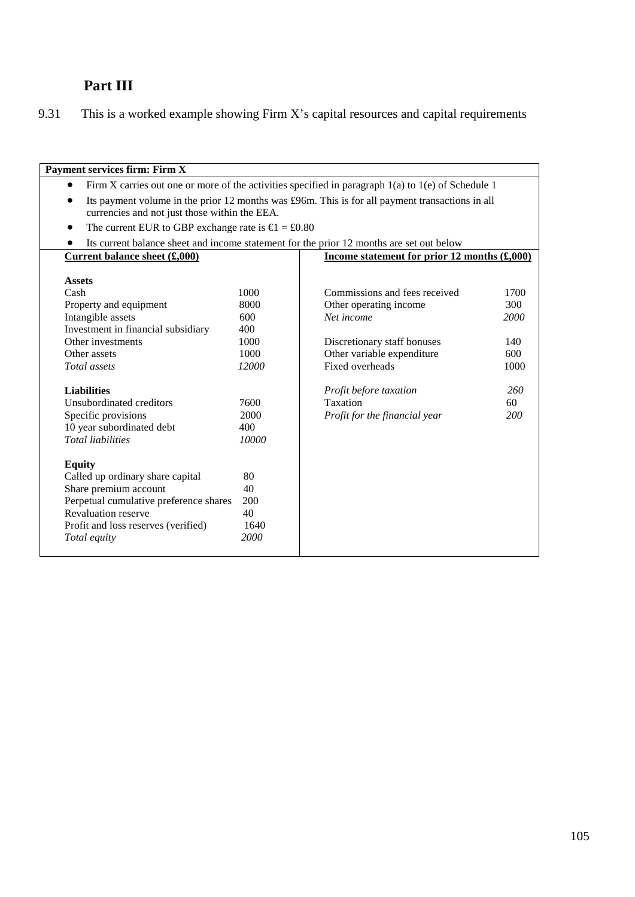# **Part III**

9.31 This is a worked example showing Firm X's capital resources and capital requirements

| <b>Payment services firm: Firm X</b>   |                                                                                                                                                  |                                                                                          |      |  |
|----------------------------------------|--------------------------------------------------------------------------------------------------------------------------------------------------|------------------------------------------------------------------------------------------|------|--|
| $\bullet$                              | Firm X carries out one or more of the activities specified in paragraph $1(a)$ to $1(e)$ of Schedule 1                                           |                                                                                          |      |  |
| $\bullet$                              | Its payment volume in the prior 12 months was £96m. This is for all payment transactions in all<br>currencies and not just those within the EEA. |                                                                                          |      |  |
|                                        | The current EUR to GBP exchange rate is $\epsilon$ = £0.80                                                                                       |                                                                                          |      |  |
|                                        |                                                                                                                                                  | Its current balance sheet and income statement for the prior 12 months are set out below |      |  |
| <b>Current balance sheet (£,000)</b>   |                                                                                                                                                  | Income statement for prior 12 months $(\text{\pounds},000)$                              |      |  |
|                                        |                                                                                                                                                  |                                                                                          |      |  |
| <b>Assets</b>                          |                                                                                                                                                  |                                                                                          |      |  |
| Cash                                   | 1000                                                                                                                                             | Commissions and fees received                                                            | 1700 |  |
| Property and equipment                 | 8000                                                                                                                                             | Other operating income                                                                   | 300  |  |
| Intangible assets                      | 600                                                                                                                                              | Net income                                                                               | 2000 |  |
| Investment in financial subsidiary     | 400                                                                                                                                              |                                                                                          |      |  |
| Other investments                      | 1000                                                                                                                                             | Discretionary staff bonuses                                                              | 140  |  |
| Other assets                           | 1000                                                                                                                                             | Other variable expenditure                                                               | 600  |  |
| Total assets                           | 12000                                                                                                                                            | Fixed overheads                                                                          | 1000 |  |
| <b>Liabilities</b>                     |                                                                                                                                                  | Profit before taxation                                                                   | 260  |  |
| Unsubordinated creditors               | 7600                                                                                                                                             | Taxation                                                                                 | 60   |  |
| Specific provisions                    | 2000                                                                                                                                             | Profit for the financial year                                                            | 200  |  |
| 10 year subordinated debt              | 400                                                                                                                                              |                                                                                          |      |  |
| <b>Total liabilities</b>               | 10000                                                                                                                                            |                                                                                          |      |  |
| <b>Equity</b>                          |                                                                                                                                                  |                                                                                          |      |  |
| Called up ordinary share capital       | 80                                                                                                                                               |                                                                                          |      |  |
| Share premium account                  | 40                                                                                                                                               |                                                                                          |      |  |
| Perpetual cumulative preference shares | 200                                                                                                                                              |                                                                                          |      |  |
| <b>Revaluation reserve</b>             | 40                                                                                                                                               |                                                                                          |      |  |
| Profit and loss reserves (verified)    | 1640                                                                                                                                             |                                                                                          |      |  |
| Total equity                           | 2000                                                                                                                                             |                                                                                          |      |  |
|                                        |                                                                                                                                                  |                                                                                          |      |  |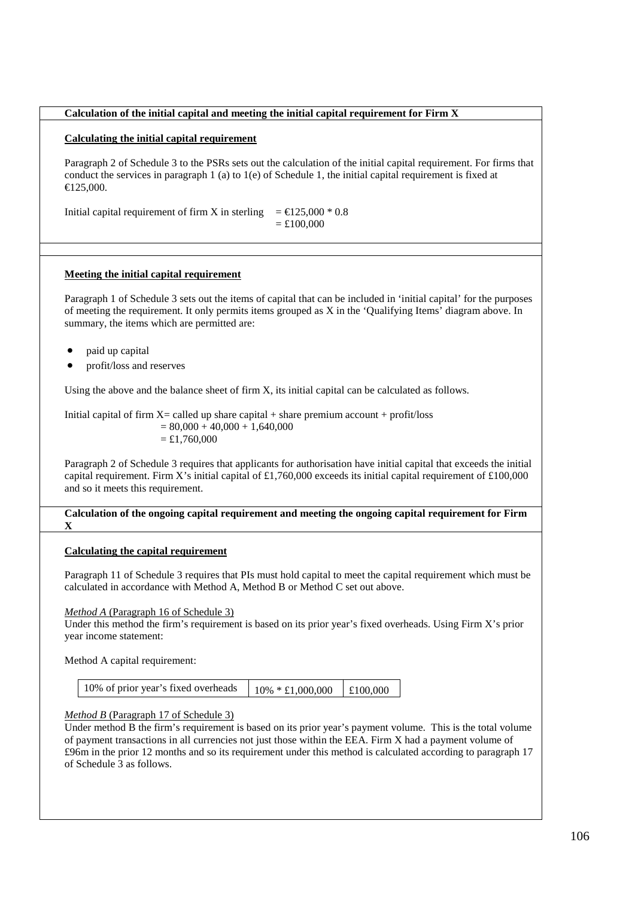### **Calculation of the initial capital and meeting the initial capital requirement for Firm X**

# **Calculating the initial capital requirement**

Paragraph 2 of Schedule 3 to the PSRs sets out the calculation of the initial capital requirement. For firms that conduct the services in paragraph 1 (a) to 1(e) of Schedule 1, the initial capital requirement is fixed at €125,000.

Initial capital requirement of firm X in sterling  $= \epsilon 25,000 * 0.8$  $=$  £100,000

### **Meeting the initial capital requirement**

Paragraph 1 of Schedule 3 sets out the items of capital that can be included in 'initial capital' for the purposes of meeting the requirement. It only permits items grouped as X in the 'Qualifying Items' diagram above. In summary, the items which are permitted are:

- paid up capital
- profit/loss and reserves

Using the above and the balance sheet of firm X, its initial capital can be calculated as follows.

Initial capital of firm  $X =$  called up share capital  $+$  share premium account  $+$  profit/loss  $= 80,000 + 40,000 + 1,640,000$  $=$  £1,760,000

Paragraph 2 of Schedule 3 requires that applicants for authorisation have initial capital that exceeds the initial capital requirement. Firm X's initial capital of £1,760,000 exceeds its initial capital requirement of £100,000 and so it meets this requirement.

#### **Calculation of the ongoing capital requirement and meeting the ongoing capital requirement for Firm X**

# **Calculating the capital requirement**

Paragraph 11 of Schedule 3 requires that PIs must hold capital to meet the capital requirement which must be calculated in accordance with Method A, Method B or Method C set out above.

*Method A* (Paragraph 16 of Schedule 3)

Under this method the firm's requirement is based on its prior year's fixed overheads. Using Firm X's prior year income statement:

Method A capital requirement:

| 10% of prior year's fixed overheads | $10\% * £1,000,000$ £100,000 |  |
|-------------------------------------|------------------------------|--|
|                                     |                              |  |

*Method B* (Paragraph 17 of Schedule 3)

Under method B the firm's requirement is based on its prior year's payment volume. This is the total volume of payment transactions in all currencies not just those within the EEA. Firm X had a payment volume of £96m in the prior 12 months and so its requirement under this method is calculated according to paragraph 17 of Schedule 3 as follows.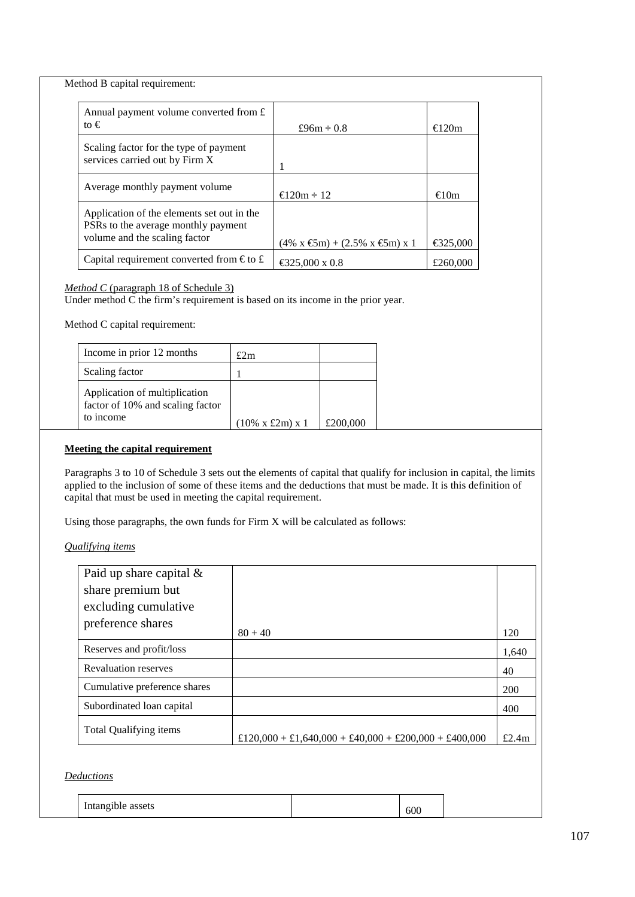Method B capital requirement:

| Annual payment volume converted from $\hat{\mathbf{r}}$<br>to $\epsilon$                                           | £96 $m \div 0.8$                                                     | $\in 20m$ |
|--------------------------------------------------------------------------------------------------------------------|----------------------------------------------------------------------|-----------|
| Scaling factor for the type of payment<br>services carried out by Firm X                                           |                                                                      |           |
| Average monthly payment volume                                                                                     | $\equiv$ 20m $\div$ 12                                               | €10m      |
| Application of the elements set out in the<br>PSRs to the average monthly payment<br>volume and the scaling factor | $(4\% \times \mathfrak{S}m) + (2.5\% \times \mathfrak{S}m) \times 1$ | €325,000  |
| Capital requirement converted from $\epsilon$ to £                                                                 | € 25,000 x 0.8                                                       | £260,000  |

### *Method C* (paragraph 18 of Schedule 3)

Under method C the firm's requirement is based on its income in the prior year.

Method C capital requirement:

| Income in prior 12 months                                                      | £2m                          |          |
|--------------------------------------------------------------------------------|------------------------------|----------|
| Scaling factor                                                                 |                              |          |
| Application of multiplication<br>factor of 10% and scaling factor<br>to income | $(10\% \times £2m) \times 1$ | £200,000 |

### **Meeting the capital requirement**

Paragraphs 3 to 10 of Schedule 3 sets out the elements of capital that qualify for inclusion in capital, the limits applied to the inclusion of some of these items and the deductions that must be made. It is this definition of capital that must be used in meeting the capital requirement.

Using those paragraphs, the own funds for Firm X will be calculated as follows:

*Qualifying items*

| Paid up share capital $\&$   |                                                       |       |
|------------------------------|-------------------------------------------------------|-------|
| share premium but            |                                                       |       |
| excluding cumulative         |                                                       |       |
| preference shares            |                                                       |       |
|                              | $80 + 40$                                             | 120   |
| Reserves and profit/loss     |                                                       | 1.640 |
| <b>Revaluation reserves</b>  |                                                       | 40    |
| Cumulative preference shares |                                                       | 200   |
| Subordinated loan capital    |                                                       | 400   |
| Total Qualifying items       | £120,000 + £1,640,000 + £40,000 + £200,000 + £400,000 | £2.4m |

# *Deductions*

| ---<br>.<br>υυι |
|-----------------|
|-----------------|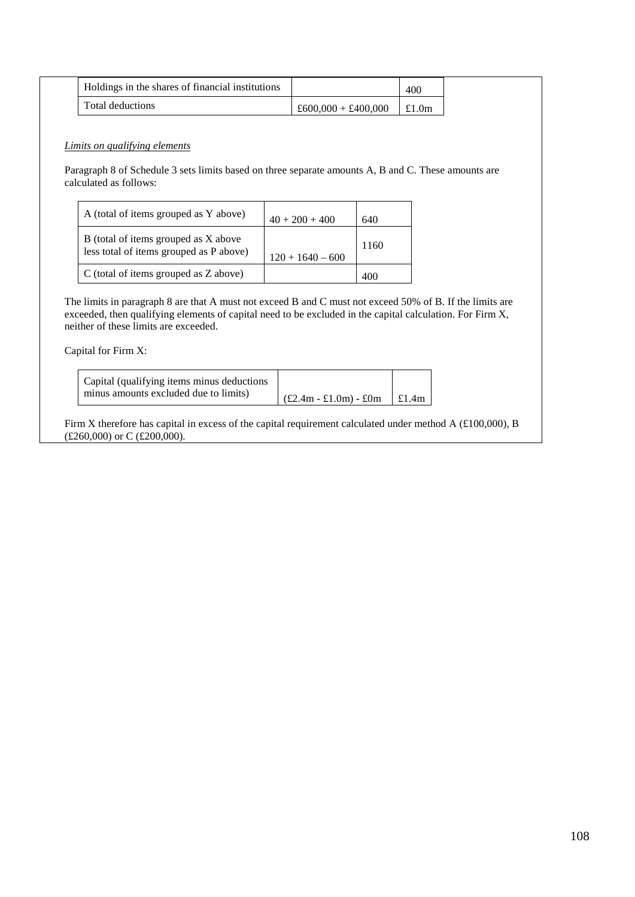| Holdings in the shares of financial institutions |                       | 400      |
|--------------------------------------------------|-----------------------|----------|
| Total deductions                                 | $£600.000 + £400.000$ | £1.0 $m$ |

# *Limits on qualifying elements*

Paragraph 8 of Schedule 3 sets limits based on three separate amounts A, B and C. These amounts are calculated as follows:

| A (total of items grouped as Y above)                                           | $40 + 200 + 400$   | 640  |
|---------------------------------------------------------------------------------|--------------------|------|
| B (total of items grouped as X above<br>less total of items grouped as P above) | $120 + 1640 - 600$ | 1160 |
| C (total of items grouped as Z above)                                           |                    |      |

The limits in paragraph 8 are that A must not exceed B and C must not exceed 50% of B. If the limits are exceeded, then qualifying elements of capital need to be excluded in the capital calculation. For Firm X, neither of these limits are exceeded.

### Capital for Firm X:

| Capital (qualifying items minus deductions) |                                                               |  |
|---------------------------------------------|---------------------------------------------------------------|--|
| minus amounts excluded due to limits)       | $\left  \right.$ (£2.4m - £1.0m) - £0m $\left  \right.$ £1.4m |  |

Firm X therefore has capital in excess of the capital requirement calculated under method A (£100,000), B (£260,000) or C (£200,000).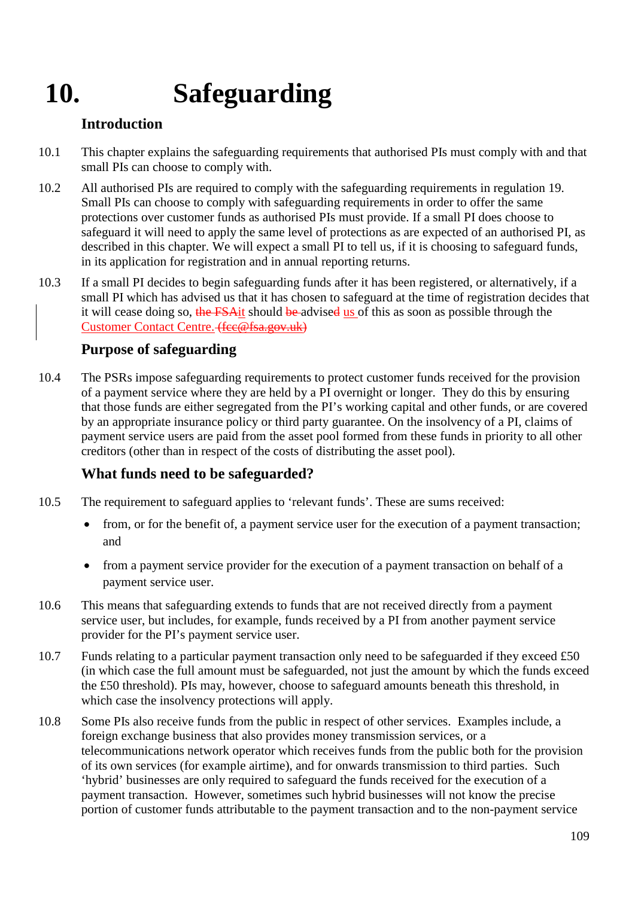# **10. Safeguarding**

## **Introduction**

- 10.1 This chapter explains the safeguarding requirements that authorised PIs must comply with and that small PIs can choose to comply with.
- 10.2 All authorised PIs are required to comply with the safeguarding requirements in regulation 19. Small PIs can choose to comply with safeguarding requirements in order to offer the same protections over customer funds as authorised PIs must provide. If a small PI does choose to safeguard it will need to apply the same level of protections as are expected of an authorised PI, as described in this chapter. We will expect a small PI to tell us, if it is choosing to safeguard funds, in its application for registration and in annual reporting returns.
- 10.3 If a small PI decides to begin safeguarding funds after it has been registered, or alternatively, if a small PI which has advised us that it has chosen to safeguard at the time of registration decides that it will cease doing so, the FSAit should be advised us of this as soon as possible through the [Customer Contact Centre.](http://www.fca.org.uk/site-info/contact) (fee@fsa.gov.uk)

## **Purpose of safeguarding**

10.4 The PSRs impose safeguarding requirements to protect customer funds received for the provision of a payment service where they are held by a PI overnight or longer. They do this by ensuring that those funds are either segregated from the PI's working capital and other funds, or are covered by an appropriate insurance policy or third party guarantee. On the insolvency of a PI, claims of payment service users are paid from the asset pool formed from these funds in priority to all other creditors (other than in respect of the costs of distributing the asset pool).

## **What funds need to be safeguarded?**

- 10.5 The requirement to safeguard applies to 'relevant funds'. These are sums received:
	- from, or for the benefit of, a payment service user for the execution of a payment transaction; and
	- from a payment service provider for the execution of a payment transaction on behalf of a payment service user.
- 10.6 This means that safeguarding extends to funds that are not received directly from a payment service user, but includes, for example, funds received by a PI from another payment service provider for the PI's payment service user.
- 10.7 Funds relating to a particular payment transaction only need to be safeguarded if they exceed £50 (in which case the full amount must be safeguarded, not just the amount by which the funds exceed the £50 threshold). PIs may, however, choose to safeguard amounts beneath this threshold, in which case the insolvency protections will apply.
- 10.8 Some PIs also receive funds from the public in respect of other services. Examples include, a foreign exchange business that also provides money transmission services, or a telecommunications network operator which receives funds from the public both for the provision of its own services (for example airtime), and for onwards transmission to third parties. Such 'hybrid' businesses are only required to safeguard the funds received for the execution of a payment transaction. However, sometimes such hybrid businesses will not know the precise portion of customer funds attributable to the payment transaction and to the non-payment service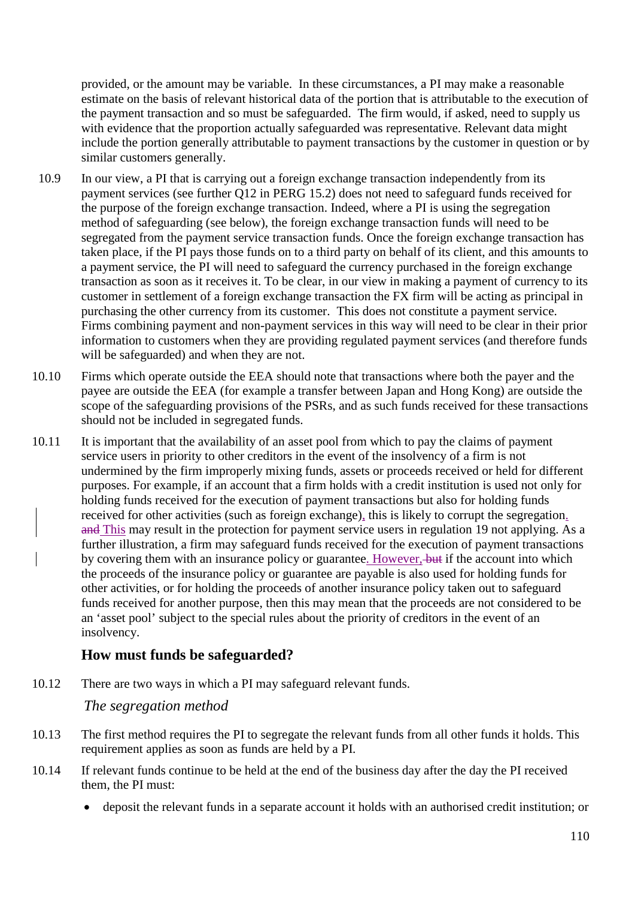provided, or the amount may be variable. In these circumstances, a PI may make a reasonable estimate on the basis of relevant historical data of the portion that is attributable to the execution of the payment transaction and so must be safeguarded. The firm would, if asked, need to supply us with evidence that the proportion actually safeguarded was representative. Relevant data might include the portion generally attributable to payment transactions by the customer in question or by similar customers generally.

- 10.9 In our view, a PI that is carrying out a foreign exchange transaction independently from its payment services (see further Q12 in PERG 15.2) does not need to safeguard funds received for the purpose of the foreign exchange transaction. Indeed, where a PI is using the segregation method of safeguarding (see below), the foreign exchange transaction funds will need to be segregated from the payment service transaction funds. Once the foreign exchange transaction has taken place, if the PI pays those funds on to a third party on behalf of its client, and this amounts to a payment service, the PI will need to safeguard the currency purchased in the foreign exchange transaction as soon as it receives it. To be clear, in our view in making a payment of currency to its customer in settlement of a foreign exchange transaction the FX firm will be acting as principal in purchasing the other currency from its customer. This does not constitute a payment service. Firms combining payment and non-payment services in this way will need to be clear in their prior information to customers when they are providing regulated payment services (and therefore funds will be safeguarded) and when they are not.
- 10.10 Firms which operate outside the EEA should note that transactions where both the payer and the payee are outside the EEA (for example a transfer between Japan and Hong Kong) are outside the scope of the safeguarding provisions of the PSRs, and as such funds received for these transactions should not be included in segregated funds.
- 10.11 It is important that the availability of an asset pool from which to pay the claims of payment service users in priority to other creditors in the event of the insolvency of a firm is not undermined by the firm improperly mixing funds, assets or proceeds received or held for different purposes. For example, if an account that a firm holds with a credit institution is used not only for holding funds received for the execution of payment transactions but also for holding funds received for other activities (such as foreign exchange), this is likely to corrupt the segregation. and This may result in the protection for payment service users in regulation 19 not applying. As a further illustration, a firm may safeguard funds received for the execution of payment transactions by covering them with an insurance policy or guarantee. However, but if the account into which the proceeds of the insurance policy or guarantee are payable is also used for holding funds for other activities, or for holding the proceeds of another insurance policy taken out to safeguard funds received for another purpose, then this may mean that the proceeds are not considered to be an 'asset pool' subject to the special rules about the priority of creditors in the event of an insolvency.

#### **How must funds be safeguarded?**

10.12 There are two ways in which a PI may safeguard relevant funds.

#### *The segregation method*

- 10.13 The first method requires the PI to segregate the relevant funds from all other funds it holds. This requirement applies as soon as funds are held by a PI.
- 10.14 If relevant funds continue to be held at the end of the business day after the day the PI received them, the PI must:
	- deposit the relevant funds in a separate account it holds with an authorised credit institution; or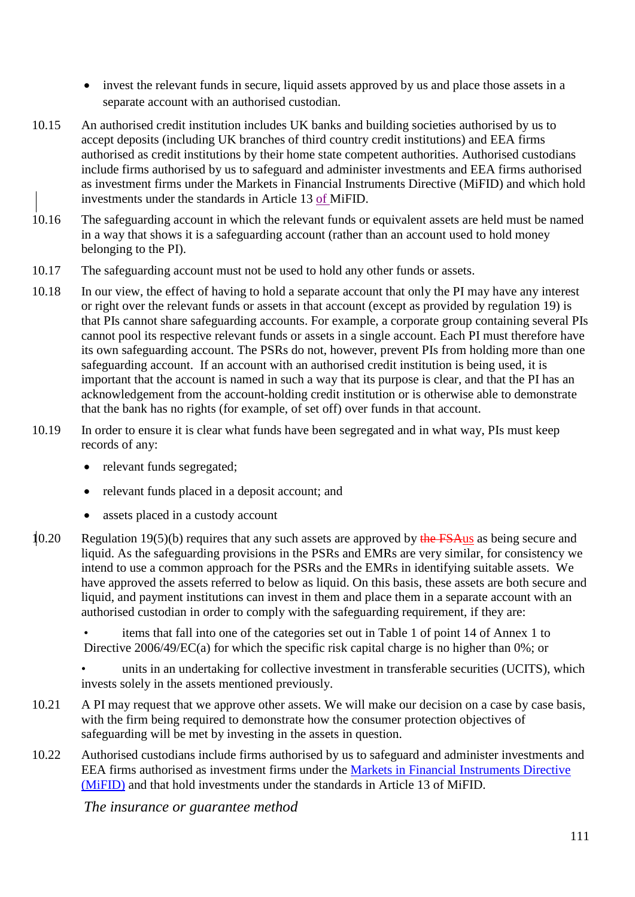- invest the relevant funds in secure, liquid assets approved by us and place those assets in a separate account with an authorised custodian.
- 10.15 An authorised credit institution includes UK banks and building societies authorised by us to accept deposits (including UK branches of third country credit institutions) and EEA firms authorised as credit institutions by their home state competent authorities. Authorised custodians include firms authorised by us to safeguard and administer investments and EEA firms authorised as investment firms under the Markets in Financial Instruments Directive (MiFID) and which hold investments under the standards in Article 13 of MiFID.
- 10.16 The safeguarding account in which the relevant funds or equivalent assets are held must be named in a way that shows it is a safeguarding account (rather than an account used to hold money belonging to the PI).
- 10.17 The safeguarding account must not be used to hold any other funds or assets.
- 10.18 In our view, the effect of having to hold a separate account that only the PI may have any interest or right over the relevant funds or assets in that account (except as provided by regulation 19) is that PIs cannot share safeguarding accounts. For example, a corporate group containing several PIs cannot pool its respective relevant funds or assets in a single account. Each PI must therefore have its own safeguarding account. The PSRs do not, however, prevent PIs from holding more than one safeguarding account. If an account with an authorised credit institution is being used, it is important that the account is named in such a way that its purpose is clear, and that the PI has an acknowledgement from the account-holding credit institution or is otherwise able to demonstrate that the bank has no rights (for example, of set off) over funds in that account.
- 10.19 In order to ensure it is clear what funds have been segregated and in what way, PIs must keep records of any:
	- relevant funds segregated;
	- relevant funds placed in a deposit account; and
	- assets placed in a custody account
- 10.20 Regulation 19(5)(b) requires that any such assets are approved by the FSAus as being secure and liquid. As the safeguarding provisions in the PSRs and EMRs are very similar, for consistency we intend to use a common approach for the PSRs and the EMRs in identifying suitable assets. We have approved the assets referred to below as liquid. On this basis, these assets are both secure and liquid, and payment institutions can invest in them and place them in a separate account with an authorised custodian in order to comply with the safeguarding requirement, if they are:

• items that fall into one of the categories set out in Table 1 of point 14 of Annex 1 to Directive 2006/49/EC(a) for which the specific risk capital charge is no higher than 0%; or

• units in an undertaking for collective investment in transferable securities (UCITS), which invests solely in the assets mentioned previously.

- 10.21 A PI may request that we approve other assets. We will make our decision on a case by case basis, with the firm being required to demonstrate how the consumer protection objectives of safeguarding will be met by investing in the assets in question.
- 10.22 Authorised custodians include firms authorised by us to safeguard and administer investments and EEA firms authorised as investment firms under the [Markets in Financial Instruments Directive](http://eur-lex.europa.eu/LexUriServ/LexUriServ.do?uri=OJ:L:2004:145:0001:0001:EN:PDF)  [\(MiFID\)](http://eur-lex.europa.eu/LexUriServ/LexUriServ.do?uri=OJ:L:2004:145:0001:0001:EN:PDF) and that hold investments under the standards in Article 13 of MiFID.

*The insurance or guarantee method*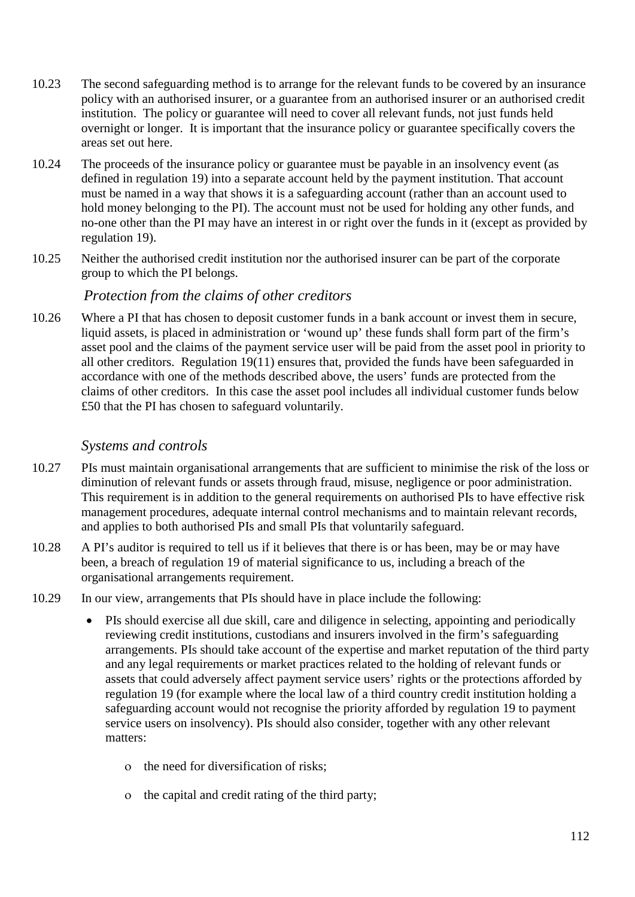- 10.23 The second safeguarding method is to arrange for the relevant funds to be covered by an insurance policy with an authorised insurer, or a guarantee from an authorised insurer or an authorised credit institution. The policy or guarantee will need to cover all relevant funds, not just funds held overnight or longer. It is important that the insurance policy or guarantee specifically covers the areas set out here.
- 10.24 The proceeds of the insurance policy or guarantee must be payable in an insolvency event (as defined in regulation 19) into a separate account held by the payment institution. That account must be named in a way that shows it is a safeguarding account (rather than an account used to hold money belonging to the PI). The account must not be used for holding any other funds, and no-one other than the PI may have an interest in or right over the funds in it (except as provided by regulation 19).
- 10.25 Neither the authorised credit institution nor the authorised insurer can be part of the corporate group to which the PI belongs.

#### *Protection from the claims of other creditors*

10.26 Where a PI that has chosen to deposit customer funds in a bank account or invest them in secure, liquid assets, is placed in administration or 'wound up' these funds shall form part of the firm's asset pool and the claims of the payment service user will be paid from the asset pool in priority to all other creditors. Regulation 19(11) ensures that, provided the funds have been safeguarded in accordance with one of the methods described above, the users' funds are protected from the claims of other creditors. In this case the asset pool includes all individual customer funds below £50 that the PI has chosen to safeguard voluntarily.

#### *Systems and controls*

- 10.27 PIs must maintain organisational arrangements that are sufficient to minimise the risk of the loss or diminution of relevant funds or assets through fraud, misuse, negligence or poor administration. This requirement is in addition to the general requirements on authorised PIs to have effective risk management procedures, adequate internal control mechanisms and to maintain relevant records, and applies to both authorised PIs and small PIs that voluntarily safeguard.
- 10.28 A PI's auditor is required to tell us if it believes that there is or has been, may be or may have been, a breach of regulation 19 of material significance to us, including a breach of the organisational arrangements requirement.
- 10.29 In our view, arrangements that PIs should have in place include the following:
	- PIs should exercise all due skill, care and diligence in selecting, appointing and periodically reviewing credit institutions, custodians and insurers involved in the firm's safeguarding arrangements. PIs should take account of the expertise and market reputation of the third party and any legal requirements or market practices related to the holding of relevant funds or assets that could adversely affect payment service users' rights or the protections afforded by regulation 19 (for example where the local law of a third country credit institution holding a safeguarding account would not recognise the priority afforded by regulation 19 to payment service users on insolvency). PIs should also consider, together with any other relevant matters:
		- ο the need for diversification of risks;
		- ο the capital and credit rating of the third party;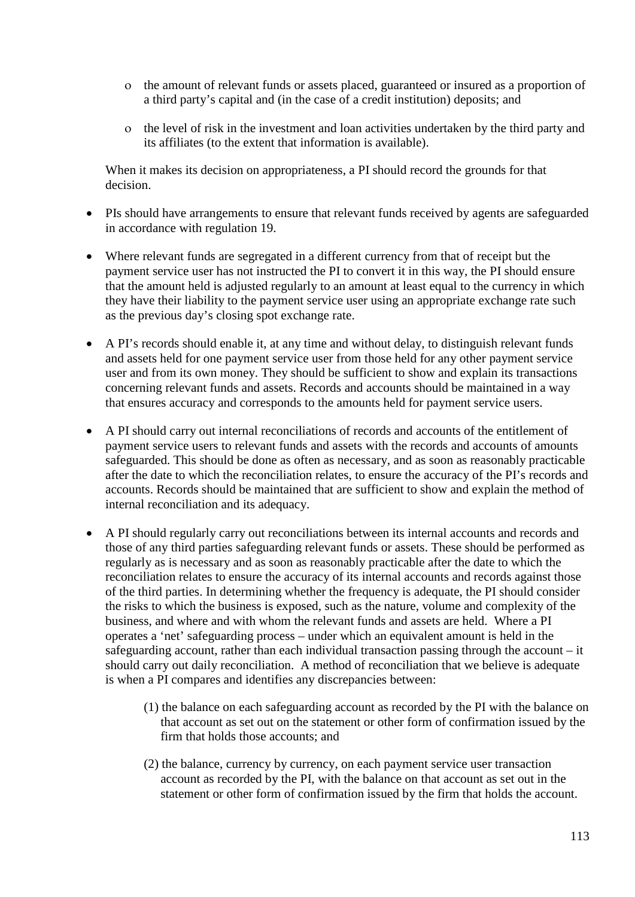- ο the amount of relevant funds or assets placed, guaranteed or insured as a proportion of a third party's capital and (in the case of a credit institution) deposits; and
- ο the level of risk in the investment and loan activities undertaken by the third party and its affiliates (to the extent that information is available).

When it makes its decision on appropriateness, a PI should record the grounds for that decision.

- PIs should have arrangements to ensure that relevant funds received by agents are safeguarded in accordance with regulation 19.
- Where relevant funds are segregated in a different currency from that of receipt but the payment service user has not instructed the PI to convert it in this way, the PI should ensure that the amount held is adjusted regularly to an amount at least equal to the currency in which they have their liability to the payment service user using an appropriate exchange rate such as the previous day's closing spot exchange rate.
- A PI's records should enable it, at any time and without delay, to distinguish relevant funds and assets held for one payment service user from those held for any other payment service user and from its own money. They should be sufficient to show and explain its transactions concerning relevant funds and assets. Records and accounts should be maintained in a way that ensures accuracy and corresponds to the amounts held for payment service users.
- A PI should carry out internal reconciliations of records and accounts of the entitlement of payment service users to relevant funds and assets with the records and accounts of amounts safeguarded. This should be done as often as necessary, and as soon as reasonably practicable after the date to which the reconciliation relates, to ensure the accuracy of the PI's records and accounts. Records should be maintained that are sufficient to show and explain the method of internal reconciliation and its adequacy.
- A PI should regularly carry out reconciliations between its internal accounts and records and those of any third parties safeguarding relevant funds or assets. These should be performed as regularly as is necessary and as soon as reasonably practicable after the date to which the reconciliation relates to ensure the accuracy of its internal accounts and records against those of the third parties. In determining whether the frequency is adequate, the PI should consider the risks to which the business is exposed, such as the nature, volume and complexity of the business, and where and with whom the relevant funds and assets are held. Where a PI operates a 'net' safeguarding process – under which an equivalent amount is held in the safeguarding account, rather than each individual transaction passing through the account – it should carry out daily reconciliation. A method of reconciliation that we believe is adequate is when a PI compares and identifies any discrepancies between:
	- (1) the balance on each safeguarding account as recorded by the PI with the balance on that account as set out on the statement or other form of confirmation issued by the firm that holds those accounts; and
	- (2) the balance, currency by currency, on each payment service user transaction account as recorded by the PI, with the balance on that account as set out in the statement or other form of confirmation issued by the firm that holds the account.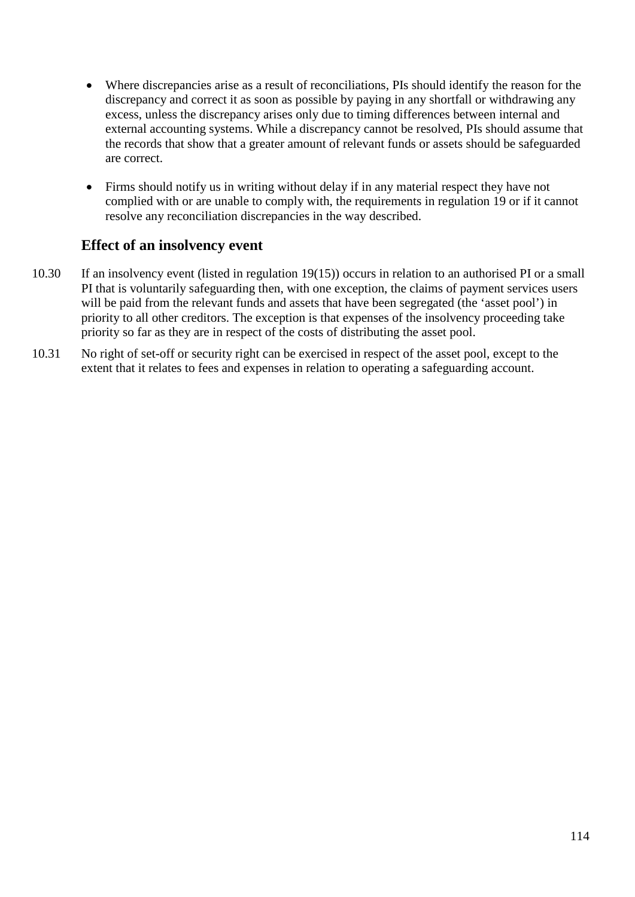- Where discrepancies arise as a result of reconciliations, PIs should identify the reason for the discrepancy and correct it as soon as possible by paying in any shortfall or withdrawing any excess, unless the discrepancy arises only due to timing differences between internal and external accounting systems. While a discrepancy cannot be resolved, PIs should assume that the records that show that a greater amount of relevant funds or assets should be safeguarded are correct.
- Firms should notify us in writing without delay if in any material respect they have not complied with or are unable to comply with, the requirements in regulation 19 or if it cannot resolve any reconciliation discrepancies in the way described.

### **Effect of an insolvency event**

- 10.30 If an insolvency event (listed in regulation 19(15)) occurs in relation to an authorised PI or a small PI that is voluntarily safeguarding then, with one exception, the claims of payment services users will be paid from the relevant funds and assets that have been segregated (the 'asset pool') in priority to all other creditors. The exception is that expenses of the insolvency proceeding take priority so far as they are in respect of the costs of distributing the asset pool.
- 10.31 No right of set-off or security right can be exercised in respect of the asset pool, except to the extent that it relates to fees and expenses in relation to operating a safeguarding account.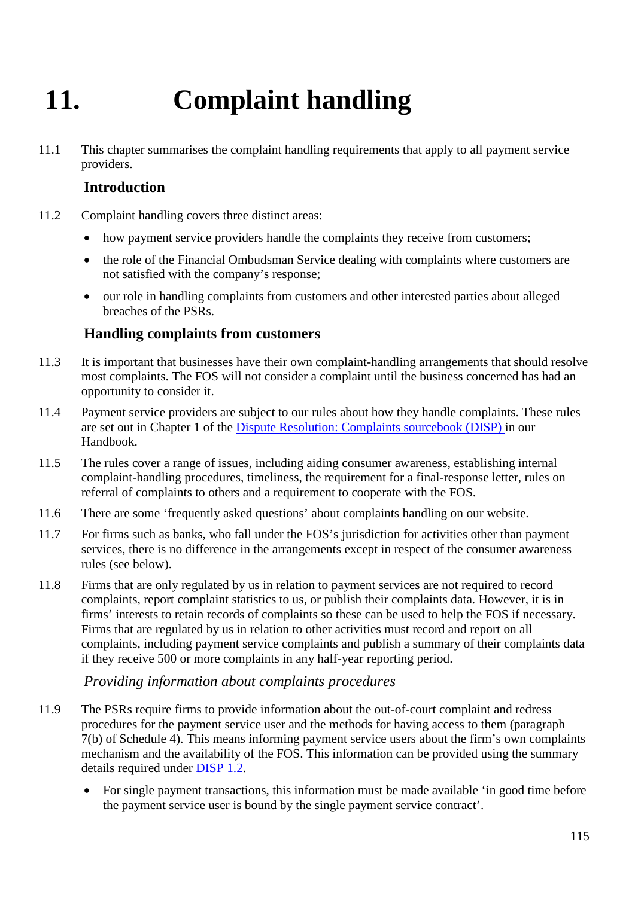# **11. Complaint handling**

11.1 This chapter summarises the complaint handling requirements that apply to all payment service providers.

### **Introduction**

- 11.2 Complaint handling covers three distinct areas:
	- how payment service providers handle the complaints they receive from customers;
	- the role of the Financial Ombudsman Service dealing with complaints where customers are not satisfied with the company's response;
	- our role in handling complaints from customers and other interested parties about alleged breaches of the PSRs.

#### **Handling complaints from customers**

- 11.3 It is important that businesses have their own complaint-handling arrangements that should resolve most complaints. The FOS will not consider a complaint until the business concerned has had an opportunity to consider it.
- 11.4 Payment service providers are subject to our rules about how they handle complaints. These rules are set out in Chapter 1 of the [Dispute Resolution: Complaints sourcebook \(DISP\) i](http://fshandbook.info/FS/html/handbook/DISP/1)n our Handbook.
- 11.5 The rules cover a range of issues, including aiding consumer awareness, establishing internal complaint-handling procedures, timeliness, the requirement for a final-response letter, rules on referral of complaints to others and a requirement to cooperate with the FOS.
- 11.6 There are some ['frequently asked questions'](http://www.fsa.gov.uk/smallfirms/resources/faqs/complaints_sourcebook.shtml) about complaints handling on our website.
- 11.7 For firms such as banks, who fall under the FOS's jurisdiction for activities other than payment services, there is no difference in the arrangements except in respect of the consumer awareness rules (see below).
- 11.8 Firms that are only regulated by us in relation to payment services are not required to record complaints, report complaint statistics to us, or publish their complaints data. However, it is in firms' interests to retain records of complaints so these can be used to help the FOS if necessary. Firms that are regulated by us in relation to other activities must record and report on all complaints, including payment service complaints and publish a summary of their complaints data if they receive 500 or more complaints in any half-year reporting period.

#### *Providing information about complaints procedures*

- 11.9 The PSRs require firms to provide information about the out-of-court complaint and redress procedures for the payment service user and the methods for having access to them (paragraph 7(b) of Schedule 4). This means informing payment service users about the firm's own complaints mechanism and the availability of the FOS. This information can be provided using the summary details required under [DISP 1.2.](http://fshandbook.info/FS/html/handbook/DISP/1/2)
	- For single payment transactions, this information must be made available 'in good time before the payment service user is bound by the single payment service contract'.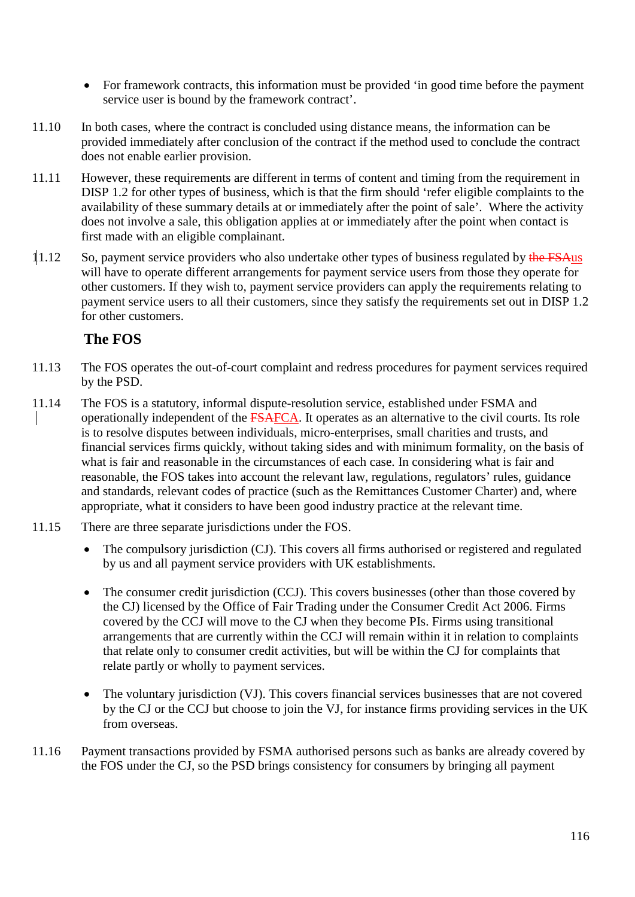- For framework contracts, this information must be provided 'in good time before the payment service user is bound by the framework contract'.
- 11.10 In both cases, where the contract is concluded using distance means, the information can be provided immediately after conclusion of the contract if the method used to conclude the contract does not enable earlier provision.
- 11.11 However, these requirements are different in terms of content and timing from the requirement in DISP 1.2 for other types of business, which is that the firm should 'refer eligible complaints to the availability of these summary details at or immediately after the point of sale'. Where the activity does not involve a sale, this obligation applies at or immediately after the point when contact is first made with an [eligible complainant.](http://fsahandbook.info/FSA/glossary-html/handbook/Glossary/E?definition=G349)
- 11.12 So, payment service providers who also undertake other types of business regulated by the FSAus will have to operate different arrangements for payment service users from those they operate for other customers. If they wish to, payment service providers can apply the requirements relating to payment service users to all their customers, since they satisfy the requirements set out in DISP 1.2 for other customers.

#### **The FOS**

- 11.13 The FOS operates the out-of-court complaint and redress procedures for payment services required by the PSD.
- 11.14 The FOS is a statutory, informal dispute-resolution service, established under FSMA and operationally independent of the FSAFCA. It operates as an alternative to the civil courts. Its role is to resolve disputes between individuals, micro-enterprises, small charities and trusts, and financial services firms quickly, without taking sides and with minimum formality, on the basis of what is fair and reasonable in the circumstances of each case. In considering what is fair and reasonable, the FOS takes into account the relevant law, regulations, regulators' rules, guidance and standards, relevant codes of practice (such as the Remittances Customer Charter) and, where appropriate, what it considers to have been good industry practice at the relevant time.
- 11.15 There are three separate jurisdictions under the FOS.
	- The compulsory jurisdiction (CJ). This covers all firms authorised or registered and regulated by us and all payment service providers with UK establishments.
	- The consumer credit jurisdiction (CCJ). This covers businesses (other than those covered by the CJ) licensed by the Office of Fair Trading under the Consumer Credit Act 2006. Firms covered by the CCJ will move to the CJ when they become PIs. Firms using transitional arrangements that are currently within the CCJ will remain within it in relation to complaints that relate only to consumer credit activities, but will be within the CJ for complaints that relate partly or wholly to payment services.
	- The voluntary jurisdiction (VJ). This covers financial services businesses that are not covered by the CJ or the CCJ but choose to join the VJ, for instance firms providing services in the UK from overseas.
- 11.16 Payment transactions provided by FSMA authorised persons such as banks are already covered by the FOS under the CJ, so the PSD brings consistency for consumers by bringing all payment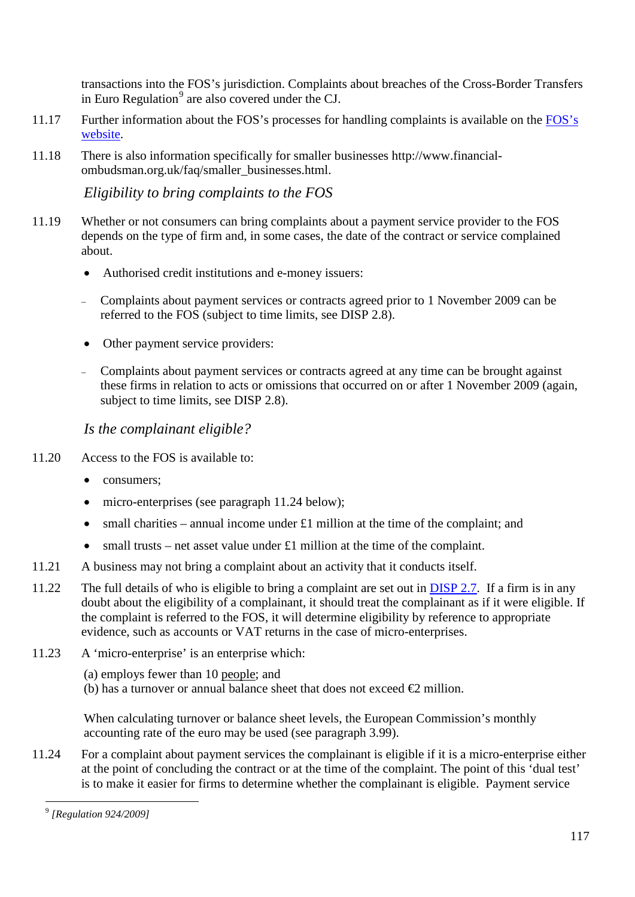transactions into the FOS's jurisdiction. Complaints about breaches of the Cross-Border Transfers in Euro Regulation $<sup>9</sup>$  $<sup>9</sup>$  $<sup>9</sup>$  are also covered under the CJ.</sup>

- 11.17 Further information about the FOS's processes for handling complaints is available on the [FOS's](http://www.financial-ombudsman.org.uk/)  [website.](http://www.financial-ombudsman.org.uk/)
- 11.18 There is also information specifically for [smaller businesses](http://www.financial-ombudsman.org.uk/publications/pdf/intro-to-the-service.pdf) http://www.financialombudsman.org.uk/faq/smaller\_businesses.html.

*Eligibility to bring complaints to the FOS*

- 11.19 Whether or not consumers can bring complaints about a payment service provider to the FOS depends on the type of firm and, in some cases, the date of the contract or service complained about.
	- Authorised credit institutions and e-money issuers:
	- <sup>−</sup> Complaints about payment services or contracts agreed prior to 1 November 2009 can be referred to the FOS (subject to time limits, see DISP 2.8).
	- Other payment service providers:
	- <sup>−</sup> Complaints about payment services or contracts agreed at any time can be brought against these firms in relation to acts or omissions that occurred on or after 1 November 2009 (again, subject to time limits, see DISP 2.8).

#### *Is the complainant eligible?*

- 11.20 Access to the FOS is available to:
	- consumers;
	- micro-enterprises (see paragraph 11.24 below);
	- small charities annual income under  $\pounds 1$  million at the time of the complaint; and
	- small trusts net asset value under £1 million at the time of the complaint.
- 11.21 A business may not bring a complaint about an activity that it conducts itself.
- 11.22 The full details of who is eligible to bring a complaint are set out in [DISP 2.7.](http://fshandbook.info/FS/html/handbook/DISP/2/7) If a firm is in any doubt about the eligibility of a complainant, it should treat the complainant as if it were eligible. If the complaint is referred to the FOS, it will determine eligibility by reference to appropriate evidence, such as accounts or VAT returns in the case of micro-enterprises.
- 11.23 A 'micro-enterprise' is an enterprise which:
	- (a) employs fewer than 10 [people;](http://fsahandbook.info/FSA/glossary-html/handbook/Glossary/P?definition=G869) and
	- (b) has a turnover or annual balance sheet that does not exceed  $\epsilon$  million.

When calculating turnover or balance sheet levels, the European Commission's monthly accounting rate of the euro may be used (see paragraph 3.99).

11.24 For a complaint about payment services the complainant is eligible if it is a micro-enterprise either at the point of concluding the contract or at the time of the complaint. The point of this 'dual test' is to make it easier for firms to determine whether the complainant is eligible. Payment service

<span id="page-116-0"></span> $\overline{a}$ <sup>9</sup> *[Regulation 924/2009]*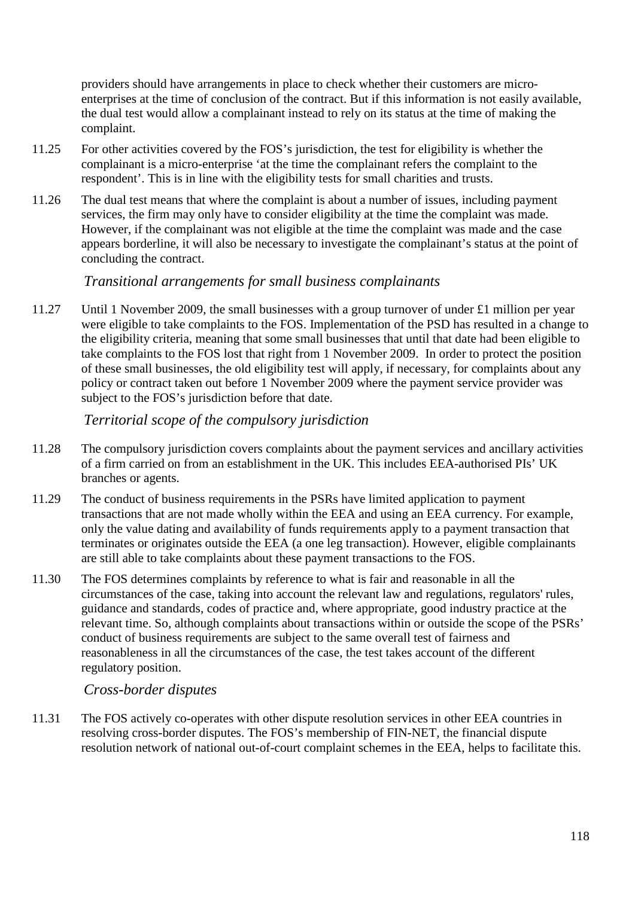providers should have arrangements in place to check whether their customers are microenterprises at the time of conclusion of the contract. But if this information is not easily available, the dual test would allow a complainant instead to rely on its status at the time of making the complaint.

- 11.25 For other activities covered by the FOS's jurisdiction, the test for eligibility is whether the complainant is a micro-enterprise 'at the time the complainant refers the complaint to the respondent'. This is in line with the eligibility tests for small charities and trusts.
- 11.26 The dual test means that where the complaint is about a number of issues, including payment services, the firm may only have to consider eligibility at the time the complaint was made. However, if the complainant was not eligible at the time the complaint was made and the case appears borderline, it will also be necessary to investigate the complainant's status at the point of concluding the contract.

#### *Transitional arrangements for small business complainants*

11.27 Until 1 November 2009, the small businesses with a group turnover of under £1 million per year were eligible to take complaints to the FOS. Implementation of the PSD has resulted in a change to the eligibility criteria, meaning that some small businesses that until that date had been eligible to take complaints to the FOS lost that right from 1 November 2009. In order to protect the position of these small businesses, the old eligibility test will apply, if necessary, for complaints about any policy or contract taken out before 1 November 2009 where the payment service provider was subject to the FOS's jurisdiction before that date.

#### *Territorial scope of the compulsory jurisdiction*

- 11.28 The compulsory jurisdiction covers complaints about the payment services and ancillary activities of a firm carried on from an establishment in the UK. This includes EEA-authorised PIs' UK branches or agents.
- 11.29 The conduct of business requirements in the PSRs have limited application to payment transactions that are not made wholly within the EEA and using an EEA currency. For example, only the value dating and availability of funds requirements apply to a payment transaction that terminates or originates outside the EEA (a one leg transaction). However, eligible complainants are still able to take complaints about these payment transactions to the FOS.
- 11.30 The FOS determines complaints by reference to what is fair and reasonable in all the circumstances of the case, taking into account the relevant law and regulations, regulators' rules, guidance and standards, codes of practice and, where appropriate, good industry practice at the relevant time. So, although complaints about transactions within or outside the scope of the PSRs' conduct of business requirements are subject to the same overall test of fairness and reasonableness in all the circumstances of the case, the test takes account of the different regulatory position.

#### *Cross-border disputes*

11.31 The FOS actively co-operates with other dispute resolution services in other EEA countries in resolving cross-border disputes. The FOS's membership of FIN-NET, the financial dispute resolution network of national out-of-court complaint schemes in the EEA, helps to facilitate this.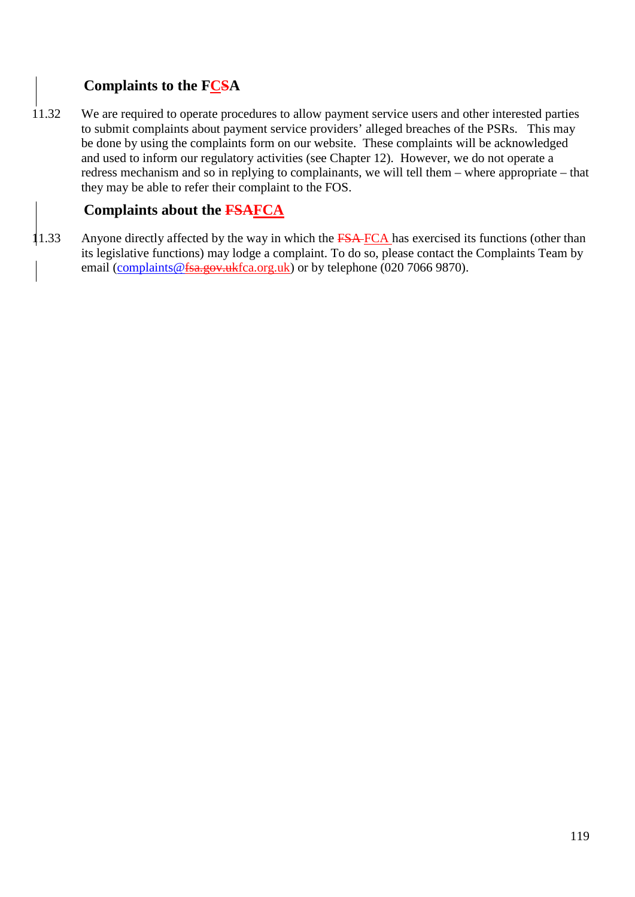# **Complaints to the FCSA**

11.32 We are required to operate procedures to allow payment service users and other interested parties to submit complaints about payment service providers' alleged breaches of the PSRs. This may be done by using the complaints form on our website. These complaints will be acknowledged and used to inform our regulatory activities (see Chapter 12). However, we do not operate a redress mechanism and so in replying to complainants, we will tell them – where appropriate – that they may be able to refer their complaint to the FOS.

## **Complaints about the FSAFCA**

11.33 Anyone directly affected by the way in which the FSA-FCA has exercised its functions (other than its legislative functions) may lodge a complaint. To do so, please contact the Complaints Team by email [\(complaints@fsa.gov.ukfca.org.uk\)](mailto:complaints@fca.org.uk) or by telephone (020 7066 9870).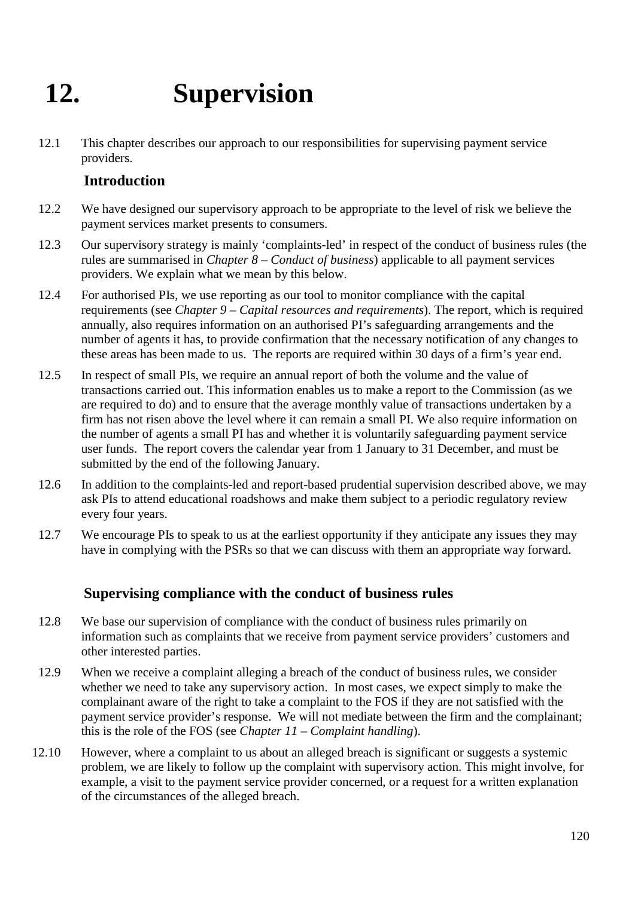# **12. Supervision**

12.1 This chapter describes our approach to our responsibilities for supervising payment service providers.

#### **Introduction**

- 12.2 We have designed our supervisory approach to be appropriate to the level of risk we believe the payment services market presents to consumers.
- 12.3 Our supervisory strategy is mainly 'complaints-led' in respect of the conduct of business rules (the rules are summarised in *Chapter 8 – Conduct of business*) applicable to all payment services providers. We explain what we mean by this below.
- 12.4 For authorised PIs, we use reporting as our tool to monitor compliance with the capital requirements (see *Chapter 9 – Capital resources and requirements*). The report, which is required annually, also requires information on an authorised PI's safeguarding arrangements and the number of agents it has, to provide confirmation that the necessary notification of any changes to these areas has been made to us. The reports are required within 30 days of a firm's year end.
- 12.5 In respect of small PIs, we require an annual report of both the volume and the value of transactions carried out. This information enables us to make a report to the Commission (as we are required to do) and to ensure that the average monthly value of transactions undertaken by a firm has not risen above the level where it can remain a small PI. We also require information on the number of agents a small PI has and whether it is voluntarily safeguarding payment service user funds. The report covers the calendar year from 1 January to 31 December, and must be submitted by the end of the following January.
- 12.6 In addition to the complaints-led and report-based prudential supervision described above, we may ask PIs to attend educational roadshows and make them subject to a periodic regulatory review every four years.
- 12.7 We encourage PIs to speak to us at the earliest opportunity if they anticipate any issues they may have in complying with the PSRs so that we can discuss with them an appropriate way forward.

#### **Supervising compliance with the conduct of business rules**

- 12.8 We base our supervision of compliance with the conduct of business rules primarily on information such as complaints that we receive from payment service providers' customers and other interested parties.
- 12.9 When we receive a complaint alleging a breach of the conduct of business rules, we consider whether we need to take any supervisory action. In most cases, we expect simply to make the complainant aware of the right to take a complaint to the FOS if they are not satisfied with the payment service provider's response. We will not mediate between the firm and the complainant; this is the role of the FOS (see *Chapter 11 – Complaint handling*).
- 12.10 However, where a complaint to us about an alleged breach is significant or suggests a systemic problem, we are likely to follow up the complaint with supervisory action. This might involve, for example, a visit to the payment service provider concerned, or a request for a written explanation of the circumstances of the alleged breach.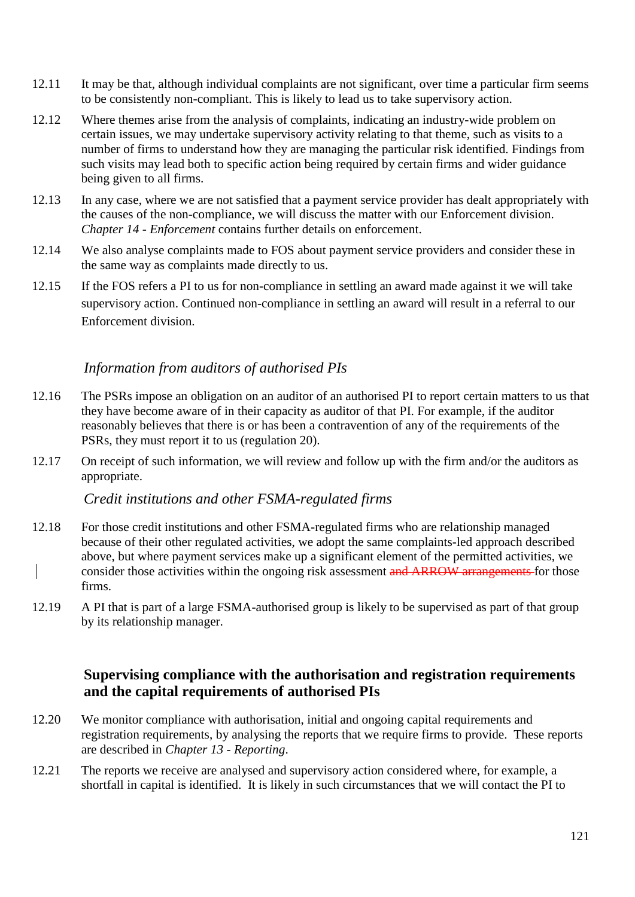- 12.11 It may be that, although individual complaints are not significant, over time a particular firm seems to be consistently non-compliant. This is likely to lead us to take supervisory action.
- 12.12 Where themes arise from the analysis of complaints, indicating an industry-wide problem on certain issues, we may undertake supervisory activity relating to that theme, such as visits to a number of firms to understand how they are managing the particular risk identified. Findings from such visits may lead both to specific action being required by certain firms and wider guidance being given to all firms.
- 12.13 In any case, where we are not satisfied that a payment service provider has dealt appropriately with the causes of the non-compliance, we will discuss the matter with our Enforcement division. *Chapter 14 - Enforcement* contains further details on enforcement.
- 12.14 We also analyse complaints made to FOS about payment service providers and consider these in the same way as complaints made directly to us.
- 12.15 If the FOS refers a PI to us for non-compliance in settling an award made against it we will take supervisory action. Continued non-compliance in settling an award will result in a referral to our Enforcement division.

#### *Information from auditors of authorised PIs*

- 12.16 The PSRs impose an obligation on an auditor of an authorised PI to report certain matters to us that they have become aware of in their capacity as auditor of that PI. For example, if the auditor reasonably believes that there is or has been a contravention of any of the requirements of the PSRs, they must report it to us (regulation 20).
- 12.17 On receipt of such information, we will review and follow up with the firm and/or the auditors as appropriate.

*Credit institutions and other FSMA-regulated firms*

- 12.18 For those credit institutions and other FSMA-regulated firms who are relationship managed because of their other regulated activities, we adopt the same complaints-led approach described above, but where payment services make up a significant element of the permitted activities, we consider those activities within the ongoing risk assessment and ARROW arrangements for those firms.
- 12.19 A PI that is part of a large FSMA-authorised group is likely to be supervised as part of that group by its relationship manager.

#### **Supervising compliance with the authorisation and registration requirements and the capital requirements of authorised PIs**

- 12.20 We monitor compliance with authorisation, initial and ongoing capital requirements and registration requirements, by analysing the reports that we require firms to provide. These reports are described in *Chapter 13 - Reporting*.
- 12.21 The reports we receive are analysed and supervisory action considered where, for example, a shortfall in capital is identified. It is likely in such circumstances that we will contact the PI to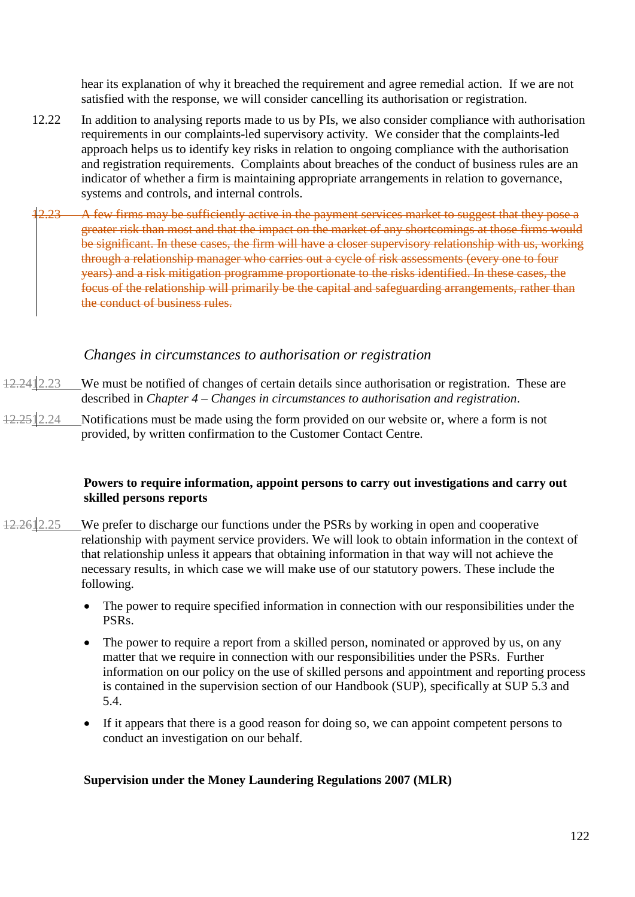hear its explanation of why it breached the requirement and agree remedial action. If we are not satisfied with the response, we will consider cancelling its authorisation or registration.

- 12.22 In addition to analysing reports made to us by PIs, we also consider compliance with authorisation requirements in our complaints-led supervisory activity. We consider that the complaints-led approach helps us to identify key risks in relation to ongoing compliance with the authorisation and registration requirements. Complaints about breaches of the conduct of business rules are an indicator of whether a firm is maintaining appropriate arrangements in relation to governance, systems and controls, and internal controls.
- 2.23 A few firms may be sufficiently active in the payment services market to suggest that they pose a greater risk than most and that the impact on the market of any shortcomings at those firms would be significant. In these cases, the firm will have a closer supervisory relationship with us, working through a relationship manager who carries out a cycle of risk assessments (every one to four years) and a risk mitigation programme proportionate to the risks identified. In these cases, the focus of the relationship will primarily be the capital and safeguarding arrangements, rather than the conduct of business rules.

#### *Changes in circumstances to authorisation or registration*

- We must be notified of changes of certain details since authorisation or registration. These are described in *Chapter 4* – *Changes in circumstances to authorisation and registration*.
- $12.2512.24$  Notifications must be made using the form provided on our website or, where a form is not provided, by written confirmation to the Customer Contact Centre.

#### **Powers to require information, appoint persons to carry out investigations and carry out skilled persons reports**

- 12.261 2.25 We prefer to discharge our functions under the PSRs by working in open and cooperative relationship with payment service providers. We will look to obtain information in the context of that relationship unless it appears that obtaining information in that way will not achieve the necessary results, in which case we will make use of our statutory powers. These include the following.
	- The power to require specified information in connection with our responsibilities under the PSRs.
	- The power to require a report from a skilled person, nominated or approved by us, on any matter that we require in connection with our responsibilities under the PSRs. Further information on our policy on the use of skilled persons and appointment and reporting process is contained in the supervision section of our Handbook (SUP), specifically at SUP 5.3 and 5.4.
	- If it appears that there is a good reason for doing so, we can appoint competent persons to conduct an investigation on our behalf.

#### **Supervision under the Money Laundering Regulations 2007 (MLR)**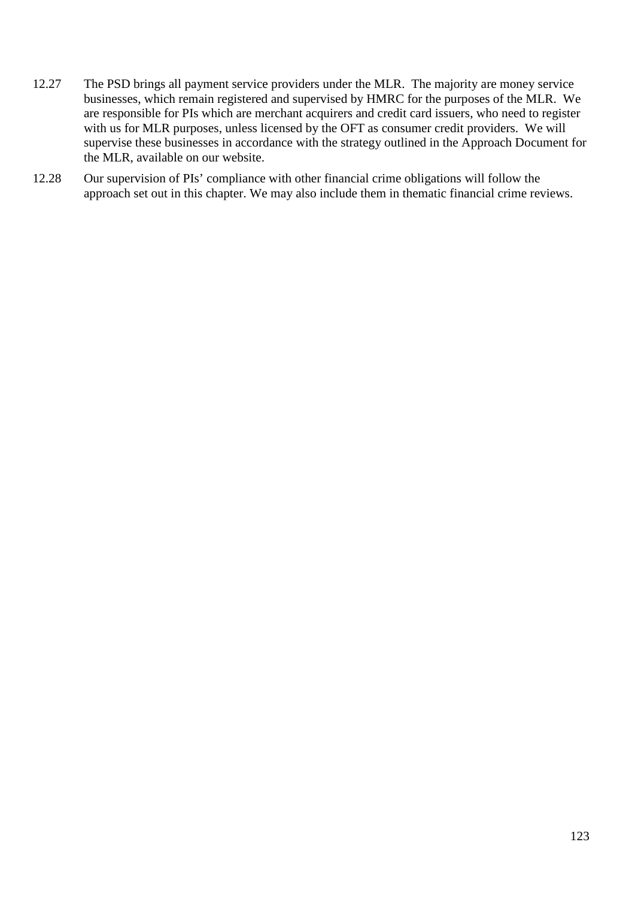- 12.27 The PSD brings all payment service providers under the MLR. The majority are money service businesses, which remain registered and supervised by HMRC for the purposes of the MLR. We are responsible for PIs which are merchant acquirers and credit card issuers, who need to register with us for MLR purposes, unless licensed by the OFT as consumer credit providers. We will supervise these businesses in accordance with the strategy outlined in the Approach Document for the MLR, available on our website.
- 12.28 Our supervision of PIs' compliance with other financial crime obligations will follow the approach set out in this chapter. We may also include them in thematic financial crime reviews.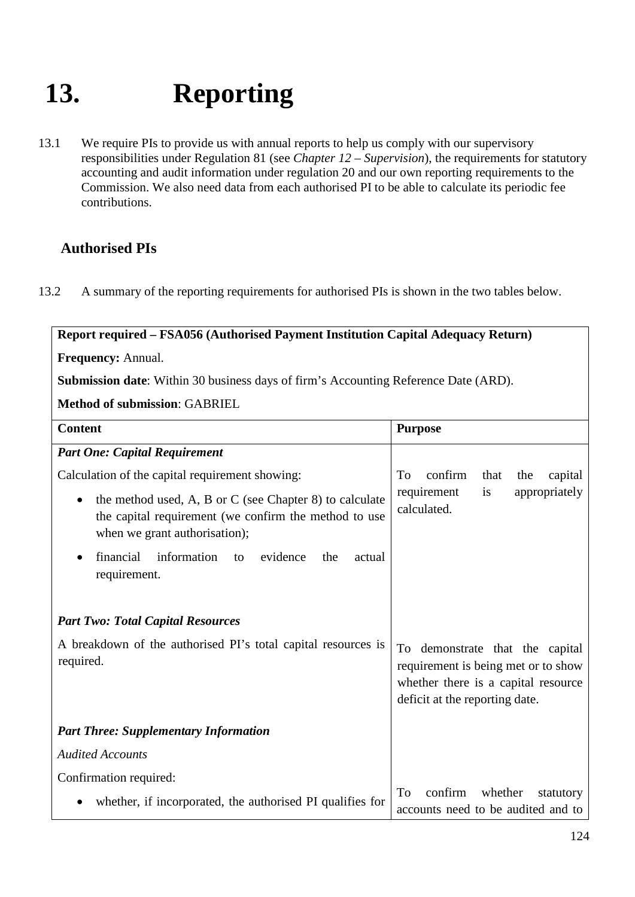# **13. Reporting**

13.1 We require PIs to provide us with annual reports to help us comply with our supervisory responsibilities under Regulation 81 (see *Chapter 12* – *Supervision*), the requirements for statutory accounting and audit information under regulation 20 and our own reporting requirements to the Commission. We also need data from each authorised PI to be able to calculate its periodic fee contributions.

### **Authorised PIs**

13.2 A summary of the reporting requirements for authorised PIs is shown in the two tables below.

**Report required – FSA056 (Authorised Payment Institution Capital Adequacy Return)**

**Frequency:** Annual.

**Submission date**: Within 30 business days of firm's Accounting Reference Date (ARD).

**Method of submission**: GABRIEL

| <b>Content</b>                                                                                                                                    | <b>Purpose</b>                                                                                                                                  |
|---------------------------------------------------------------------------------------------------------------------------------------------------|-------------------------------------------------------------------------------------------------------------------------------------------------|
| <b>Part One: Capital Requirement</b>                                                                                                              |                                                                                                                                                 |
| Calculation of the capital requirement showing:                                                                                                   | confirm<br>To<br>that<br>the<br>capital                                                                                                         |
| the method used, A, B or C (see Chapter 8) to calculate<br>the capital requirement (we confirm the method to use<br>when we grant authorisation); | requirement<br>appropriately<br>is<br>calculated.                                                                                               |
| financial<br>information<br>evidence<br>the<br>actual<br>to<br>requirement.                                                                       |                                                                                                                                                 |
| <b>Part Two: Total Capital Resources</b>                                                                                                          |                                                                                                                                                 |
| A breakdown of the authorised PI's total capital resources is<br>required.                                                                        | To demonstrate that the capital<br>requirement is being met or to show<br>whether there is a capital resource<br>deficit at the reporting date. |
| <b>Part Three: Supplementary Information</b>                                                                                                      |                                                                                                                                                 |
| <b>Audited Accounts</b>                                                                                                                           |                                                                                                                                                 |
| Confirmation required:                                                                                                                            |                                                                                                                                                 |
| whether, if incorporated, the authorised PI qualifies for                                                                                         | confirm<br>whether<br>To<br>statutory<br>accounts need to be audited and to                                                                     |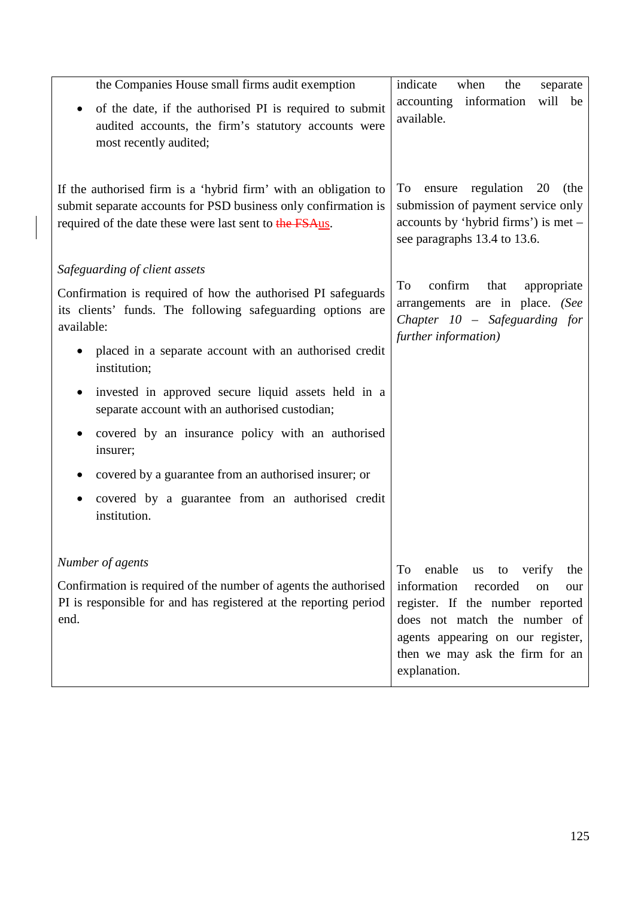| the Companies House small firms audit exemption                                                                                                                                              | indicate<br>when<br>the<br>separate                                                                                                                                                              |
|----------------------------------------------------------------------------------------------------------------------------------------------------------------------------------------------|--------------------------------------------------------------------------------------------------------------------------------------------------------------------------------------------------|
| of the date, if the authorised PI is required to submit<br>audited accounts, the firm's statutory accounts were<br>most recently audited;                                                    | accounting information<br>will be<br>available.                                                                                                                                                  |
| If the authorised firm is a 'hybrid firm' with an obligation to<br>submit separate accounts for PSD business only confirmation is<br>required of the date these were last sent to the FSAus. | regulation<br>20<br>To<br>ensure<br>(the<br>submission of payment service only<br>accounts by 'hybrid firms') is met –<br>see paragraphs 13.4 to 13.6.                                           |
| Safeguarding of client assets                                                                                                                                                                |                                                                                                                                                                                                  |
| Confirmation is required of how the authorised PI safeguards<br>its clients' funds. The following safeguarding options are<br>available:                                                     | confirm<br>To<br>that<br>appropriate<br>arrangements are in place. (See<br>Chapter 10 - Safeguarding for<br>further information)                                                                 |
| placed in a separate account with an authorised credit<br>institution;                                                                                                                       |                                                                                                                                                                                                  |
| invested in approved secure liquid assets held in a<br>separate account with an authorised custodian;                                                                                        |                                                                                                                                                                                                  |
| covered by an insurance policy with an authorised<br>insurer;                                                                                                                                |                                                                                                                                                                                                  |
| covered by a guarantee from an authorised insurer; or                                                                                                                                        |                                                                                                                                                                                                  |
| covered by a guarantee from an authorised credit<br>institution.                                                                                                                             |                                                                                                                                                                                                  |
| Number of agents                                                                                                                                                                             | enable<br>To<br>to verify<br>us<br>the                                                                                                                                                           |
| Confirmation is required of the number of agents the authorised<br>PI is responsible for and has registered at the reporting period<br>end.                                                  | information<br>recorded<br>on<br>our<br>register. If the number reported<br>does not match the number of<br>agents appearing on our register,<br>then we may ask the firm for an<br>explanation. |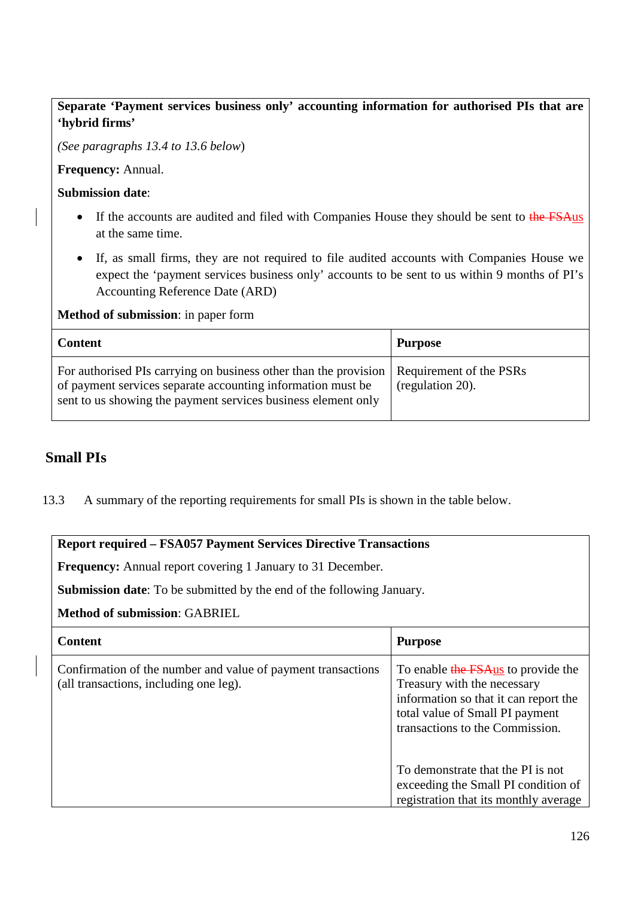#### **Separate 'Payment services business only' accounting information for authorised PIs that are 'hybrid firms'**

*(See paragraphs 13.4 to 13.6 below*)

**Frequency:** Annual.

**Submission date**:

- If the accounts are audited and filed with Companies House they should be sent to the FSAus at the same time.
- If, as small firms, they are not required to file audited accounts with Companies House we expect the 'payment services business only' accounts to be sent to us within 9 months of PI's Accounting Reference Date (ARD)

#### **Method of submission**: in paper form

| <b>Content</b>                                                                                                                                                                                   | <b>Purpose</b>                              |
|--------------------------------------------------------------------------------------------------------------------------------------------------------------------------------------------------|---------------------------------------------|
| For authorised PIs carrying on business other than the provision<br>of payment services separate accounting information must be<br>sent to us showing the payment services business element only | Requirement of the PSRs<br>(regulation 20). |

#### **Small PIs**

13.3 A summary of the reporting requirements for small PIs is shown in the table below.

#### **Report required – FSA057 Payment Services Directive Transactions**

**Frequency:** Annual report covering 1 January to 31 December.

**Submission date**: To be submitted by the end of the following January.

#### **Method of submission**: GABRIEL

| <b>Content</b>                                                                                         | <b>Purpose</b>                                                                                                                                                                   |
|--------------------------------------------------------------------------------------------------------|----------------------------------------------------------------------------------------------------------------------------------------------------------------------------------|
| Confirmation of the number and value of payment transactions<br>(all transactions, including one leg). | To enable the FSAus to provide the<br>Treasury with the necessary<br>information so that it can report the<br>total value of Small PI payment<br>transactions to the Commission. |
|                                                                                                        | To demonstrate that the PI is not<br>exceeding the Small PI condition of<br>registration that its monthly average                                                                |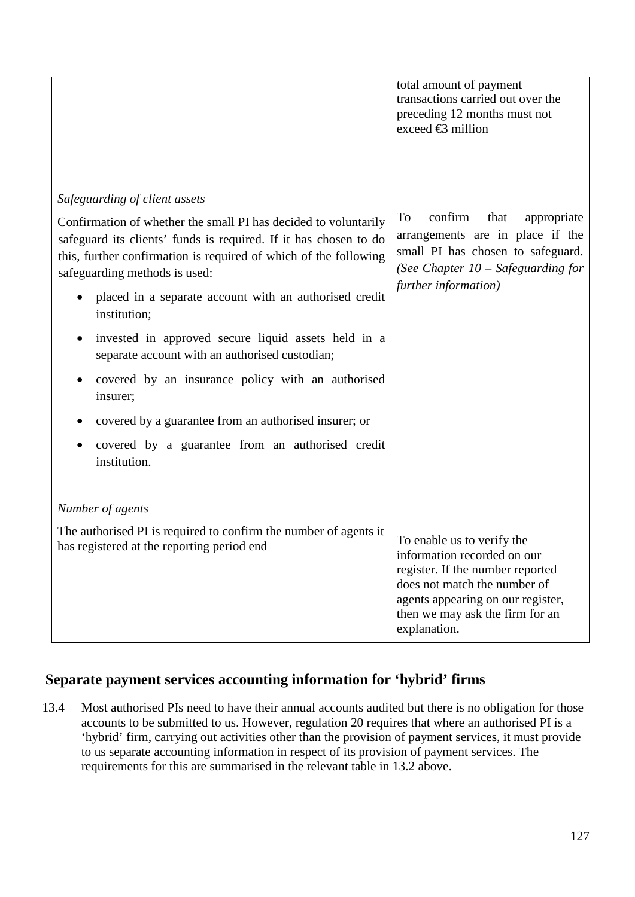|                                                                                                                                                                                                                                          | total amount of payment<br>transactions carried out over the                                                                                                                                                          |
|------------------------------------------------------------------------------------------------------------------------------------------------------------------------------------------------------------------------------------------|-----------------------------------------------------------------------------------------------------------------------------------------------------------------------------------------------------------------------|
|                                                                                                                                                                                                                                          | preceding 12 months must not                                                                                                                                                                                          |
|                                                                                                                                                                                                                                          | exceed $\bigoplus$ million                                                                                                                                                                                            |
|                                                                                                                                                                                                                                          |                                                                                                                                                                                                                       |
|                                                                                                                                                                                                                                          |                                                                                                                                                                                                                       |
| Safeguarding of client assets                                                                                                                                                                                                            |                                                                                                                                                                                                                       |
| Confirmation of whether the small PI has decided to voluntarily<br>safeguard its clients' funds is required. If it has chosen to do<br>this, further confirmation is required of which of the following<br>safeguarding methods is used: | To<br>confirm<br>that<br>appropriate<br>arrangements are in place if the<br>small PI has chosen to safeguard.<br>(See Chapter $10$ – Safeguarding for<br>further information)                                         |
| placed in a separate account with an authorised credit<br>institution;                                                                                                                                                                   |                                                                                                                                                                                                                       |
| invested in approved secure liquid assets held in a<br>separate account with an authorised custodian;                                                                                                                                    |                                                                                                                                                                                                                       |
| covered by an insurance policy with an authorised<br>insurer;                                                                                                                                                                            |                                                                                                                                                                                                                       |
| covered by a guarantee from an authorised insurer; or                                                                                                                                                                                    |                                                                                                                                                                                                                       |
| covered by a guarantee from an authorised credit<br>institution.                                                                                                                                                                         |                                                                                                                                                                                                                       |
|                                                                                                                                                                                                                                          |                                                                                                                                                                                                                       |
| Number of agents                                                                                                                                                                                                                         |                                                                                                                                                                                                                       |
| The authorised PI is required to confirm the number of agents it<br>has registered at the reporting period end                                                                                                                           | To enable us to verify the<br>information recorded on our<br>register. If the number reported<br>does not match the number of<br>agents appearing on our register,<br>then we may ask the firm for an<br>explanation. |

#### **Separate payment services accounting information for 'hybrid' firms**

13.4 Most authorised PIs need to have their annual accounts audited but there is no obligation for those accounts to be submitted to us. However, regulation 20 requires that where an authorised PI is a 'hybrid' firm, carrying out activities other than the provision of payment services, it must provide to us separate accounting information in respect of its provision of payment services. The requirements for this are summarised in the relevant table in 13.2 above.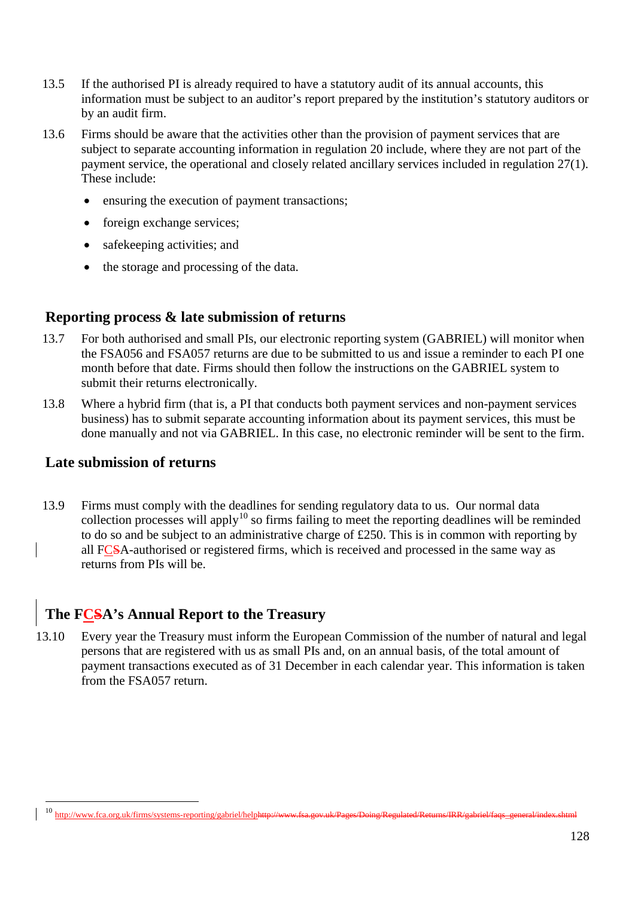- 13.5 If the authorised PI is already required to have a statutory audit of its annual accounts, this information must be subject to an auditor's report prepared by the institution's statutory auditors or by an audit firm.
- 13.6 Firms should be aware that the activities other than the provision of payment services that are subject to separate accounting information in regulation 20 include, where they are not part of the payment service, the operational and closely related ancillary services included in regulation 27(1). These include:
	- ensuring the execution of payment transactions;
	- foreign exchange services;
	- safekeeping activities; and
	- the storage and processing of the data.

#### **Reporting process & late submission of returns**

- 13.7 For both authorised and small PIs, our electronic reporting system (GABRIEL) will monitor when the FSA056 and FSA057 returns are due to be submitted to us and issue a reminder to each PI one month before that date. Firms should then follow the instructions on the GABRIEL system to submit their returns electronically.
- 13.8 Where a hybrid firm (that is, a PI that conducts both payment services and non-payment services business) has to submit separate accounting information about its payment services, this must be done manually and not via GABRIEL. In this case, no electronic reminder will be sent to the firm.

#### **Late submission of returns**

 $\overline{a}$ 

13.9 Firms must comply with the deadlines for sending regulatory data to us. Our normal data collection processes will apply<sup>[10](#page-127-0)</sup> so firms failing to meet the reporting deadlines will be reminded to do so and be subject to an administrative charge of £250. This is in common with reporting by all FCSA-authorised or registered firms, which is received and processed in the same way as returns from PIs will be.

## **The FCSA's Annual Report to the Treasury**

13.10 Every year the Treasury must inform the European Commission of the number of natural and legal persons that are registered with us as small PIs and, on an annual basis, of the total amount of payment transactions executed as of 31 December in each calendar year. This information is taken from the FSA057 return.

<span id="page-127-0"></span><sup>10</sup> http://www.fca.org.uk/firms/systems-reporting/gabriel/helphttp://www.fsa.gov.uk/Pages/Doing/Regulated/Returns/IRR/gabriel/faqs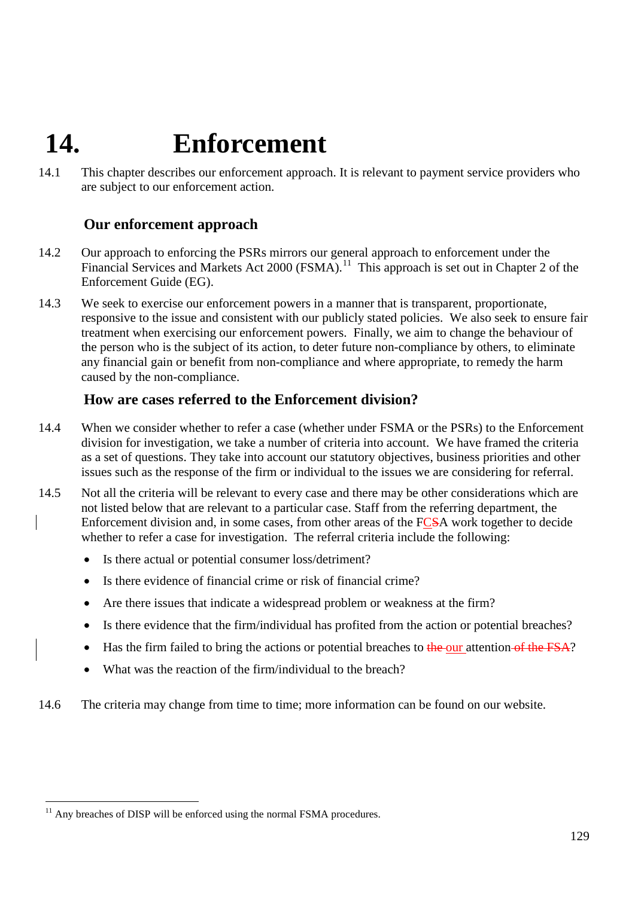# **14. Enforcement**

14.1 This chapter describes our enforcement approach. It is relevant to payment service providers who are subject to our enforcement action.

#### **Our enforcement approach**

- 14.2 Our approach to enforcing the PSRs mirrors our general approach to enforcement under the Financial Services and Markets Act 2000 (FSMA).<sup>11</sup> This approach is set out in Chapter 2 of the [Enforcement Guide](http://fsahandbook.info/FSA/extra/5086.pdf) (EG).
- 14.3 We seek to exercise our enforcement powers in a manner that is transparent, proportionate, responsive to the issue and consistent with our publicly stated policies. We also seek to ensure fair treatment when exercising our enforcement powers. Finally, we aim to change the behaviour of the person who is the subject of its action, to deter future non-compliance by others, to eliminate any financial gain or benefit from non-compliance and where appropriate, to remedy the harm caused by the non-compliance.

#### **How are cases referred to the Enforcement division?**

- 14.4 When we consider whether to refer a case (whether under FSMA or the PSRs) to the Enforcement division for investigation, we take a number of criteria into account. We have framed the criteria as a set of questions. They take into account our statutory objectives, business priorities and other issues such as the response of the firm or individual to the issues we are considering for referral.
- 14.5 Not all the criteria will be relevant to every case and there may be other considerations which are not listed below that are relevant to a particular case. Staff from the referring department, the Enforcement division and, in some cases, from other areas of the FCSA work together to decide whether to refer a case for investigation. The referral criteria include the following:
	- Is there actual or potential consumer loss/detriment?
	- Is there evidence of financial crime or risk of financial crime?
	- Are there issues that indicate a widespread problem or weakness at the firm?
	- Is there evidence that the firm/individual has profited from the action or potential breaches?
	- Has the firm failed to bring the actions or potential breaches to the our attention of the FSA?
	- What was the reaction of the firm/individual to the breach?
- 14.6 The criteria may change from time to time; more information can be found on [our website.](http://www.fsa.gov.uk/Pages/Doing/Regulated/Law/index.shtml)

<span id="page-128-0"></span> $\overline{a}$  $11$  Any breaches of DISP will be enforced using the normal FSMA procedures.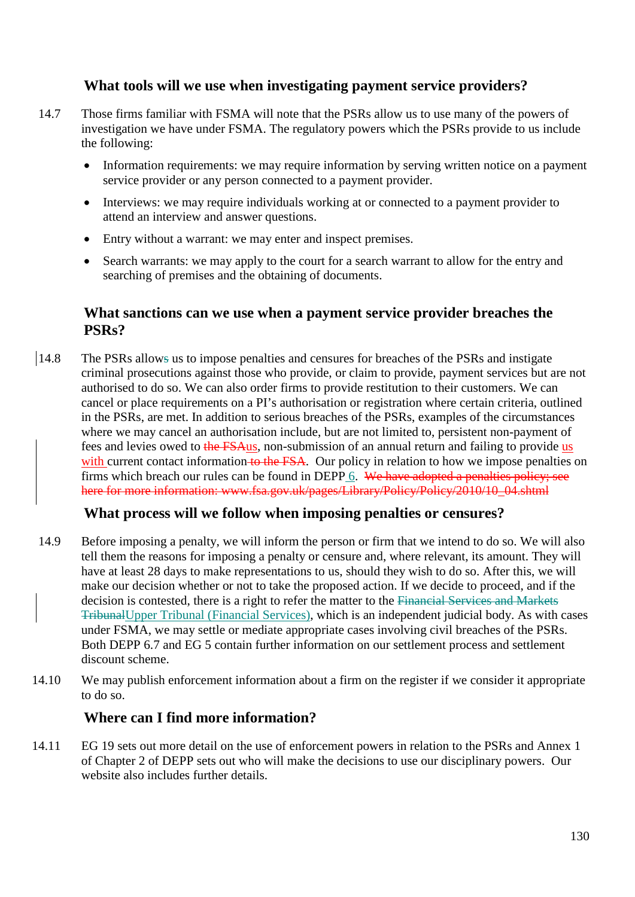#### **What tools will we use when investigating payment service providers?**

- 14.7 Those firms familiar with FSMA will note that the PSRs allow us to use many of the powers of investigation we have under FSMA. The regulatory powers which the PSRs provide to us include the following:
	- Information requirements: we may require information by serving written notice on a payment service provider or any person connected to a payment provider.
	- Interviews: we may require individuals working at or connected to a payment provider to attend an interview and answer questions.
	- Entry without a warrant: we may enter and inspect premises.
	- Search warrants: we may apply to the court for a search warrant to allow for the entry and searching of premises and the obtaining of documents.

#### **What sanctions can we use when a payment service provider breaches the PSRs?**

14.8 The PSRs allows us to impose penalties and censures for breaches of the PSRs and instigate criminal prosecutions against those who provide, or claim to provide, payment services but are not authorised to do so. We can also order firms to provide restitution to their customers. We can cancel or place requirements on a PI's authorisation or registration where certain criteria, outlined in the PSRs, are met. In addition to serious breaches of the PSRs, examples of the circumstances where we may cancel an authorisation include, but are not limited to, persistent non-payment of fees and levies owed to the FSAus, non-submission of an annual return and failing to provide us with current contact information to the FSA. Our policy in relation to how we impose penalties on firms which breach our rules can be found in DEPP 6. We have adopted a penalties policy; see here for more information: www.fsa.gov.uk/pages/Library/Policy/Policy/2010/10\_04.shtml

#### **What process will we follow when imposing penalties or censures?**

- 14.9 Before imposing a penalty, we will inform the person or firm that we intend to do so. We will also tell them the reasons for imposing a penalty or censure and, where relevant, its amount. They will have at least 28 days to make representations to us, should they wish to do so. After this, we will make our decision whether or not to take the proposed action. If we decide to proceed, and if the decision is contested, there is a right to refer the matter to the Financial Services and Markets TribunalUpper Tribunal (Financial Services), which is an independent judicial body. As with cases under FSMA, we may settle or mediate appropriate cases involving civil breaches of the PSRs. Both DEPP [6.7](http://fsahandbook.info/FSA/html/handbook/DEPP/6/7) and [EG 5](http://fsahandbook.info/FSA/extra/5086.pdf) contain further information on our settlement process and settlement discount scheme.
- 14.10 We may publish enforcement information about a firm on the register if we consider it appropriate to do so.

#### **Where can I find more information?**

14.11 EG 19 sets out more detail on the use of enforcement powers in relation to the PSRs and Annex 1 of Chapter 2 of DEPP sets out who will make the decisions to use our disciplinary powers. Our website also includes further details.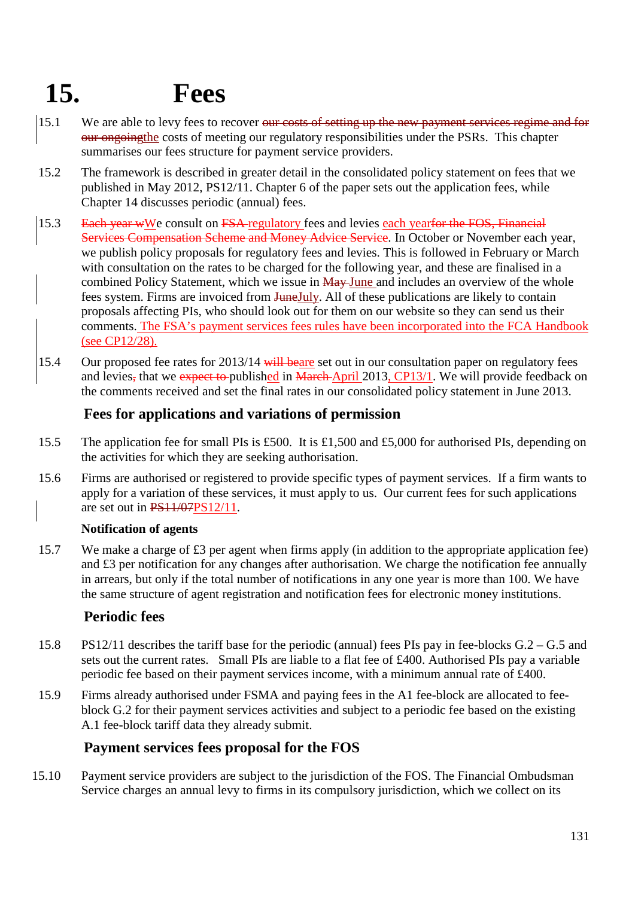# **15. Fees**

- 15.1 We are able to levy fees to recover <del>our costs of setting up the new payment services regime and for</del> our ongoingthe costs of meeting our regulatory responsibilities under the PSRs. This chapter summarises our fees structure for payment service providers.
- 15.2 The framework is described in greater detail in the consolidated policy statement on fees that we published in May 2012, PS12/11. Chapter 6 of the paper sets out the application fees, while Chapter 14 discusses periodic (annual) fees.
- 15.3 Each year wWe consult on FSA regulatory fees and levies each yearfor the FOS, Financial Services Compensation Scheme and Money Advice Service. In October or November each year, we publish policy proposals for regulatory fees and levies. This is followed in February or March with consultation on the rates to be charged for the following year, and these are finalised in a combined Policy Statement, which we issue in May June and includes an overview of the whole fees system. Firms are invoiced from JuneJuly. All of these publications are likely to contain proposals affecting PIs, who should look out for them on our website so they can send us their comments. The FSA's payment services fees rules have been incorporated into the FCA Handbook (see [CP12/28\)](http://www.fca.org.uk/your-fca/documents/consultation-papers/fsa-cp1228).
- 15.4 Our proposed fee rates for 2013/14 will beare set out in our consultation paper on regulatory fees and levies, that we expect to published in March April 2013, [CP13/1.](http://www.fca.org.uk/your-fca/documents/consultation-papers/cp13-01) We will provide feedback on the comments received and set the final rates in our consolidated policy statement in June 2013.

### **Fees for applications and variations of permission**

- 15.5 The application fee for small PIs is £500. It is £1,500 and £5,000 for authorised PIs, depending on the activities for which they are seeking authorisation.
- 15.6 Firms are authorised or registered to provide specific types of payment services. If a firm wants to apply for a variation of these services, it must apply to us. Our current fees for such applications are set out in PS11/0[7PS12/11.](http://www.fca.org.uk/your-fca/documents/policy-statements/fsa-ps1211)

#### **Notification of agents**

15.7 We make a charge of £3 per agent when firms apply (in addition to the appropriate application fee) and £3 per notification for any changes after authorisation. We charge the notification fee annually in arrears, but only if the total number of notifications in any one year is more than 100. We have the same structure of agent registration and notification fees for electronic money institutions.

#### **Periodic fees**

- 15.8 PS12/11 describes the tariff base for the periodic (annual) fees PIs pay in fee-blocks G.2 G.5 and sets out the current rates. Small PIs are liable to a flat fee of £400. Authorised PIs pay a variable periodic fee based on their payment services income, with a minimum annual rate of £400.
- 15.9 Firms already authorised under FSMA and paying fees in the A1 fee-block are allocated to feeblock G.2 for their payment services activities and subject to a periodic fee based on the existing A.1 fee-block tariff data they already submit.

### **Payment services fees proposal for the FOS**

15.10 Payment service providers are subject to the jurisdiction of the FOS. The Financial Ombudsman Service charges an annual levy to firms in its compulsory jurisdiction, which we collect on its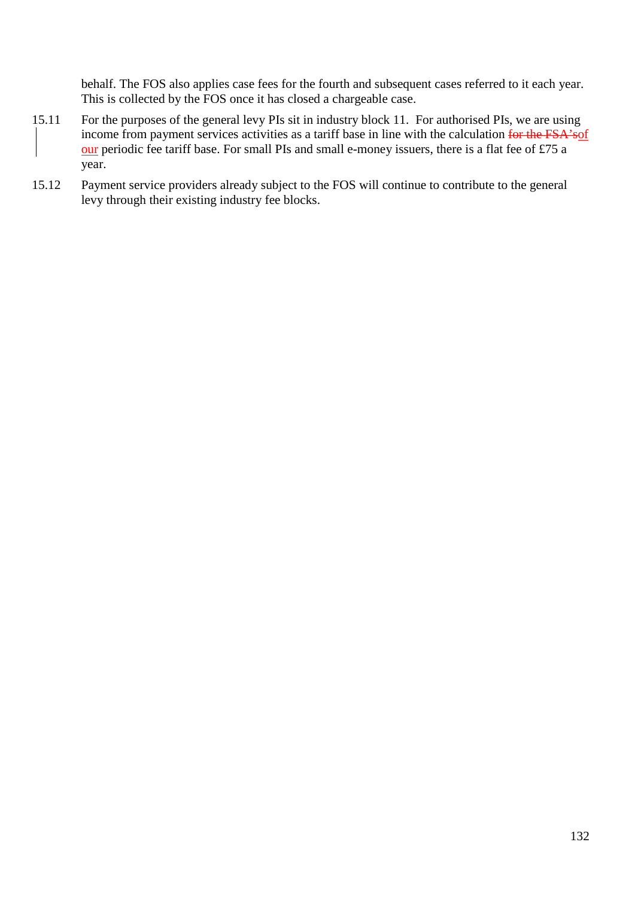behalf. The FOS also applies case fees for the fourth and subsequent cases referred to it each year. This is collected by the FOS once it has closed a chargeable case.

- 15.11 For the purposes of the general levy PIs sit in industry block 11. For authorised PIs, we are using income from payment services activities as a tariff base in line with the calculation for the FSA'sof our periodic fee tariff base. For small PIs and small e-money issuers, there is a flat fee of £75 a year.
- 15.12 Payment service providers already subject to the FOS will continue to contribute to the general levy through their existing industry fee blocks.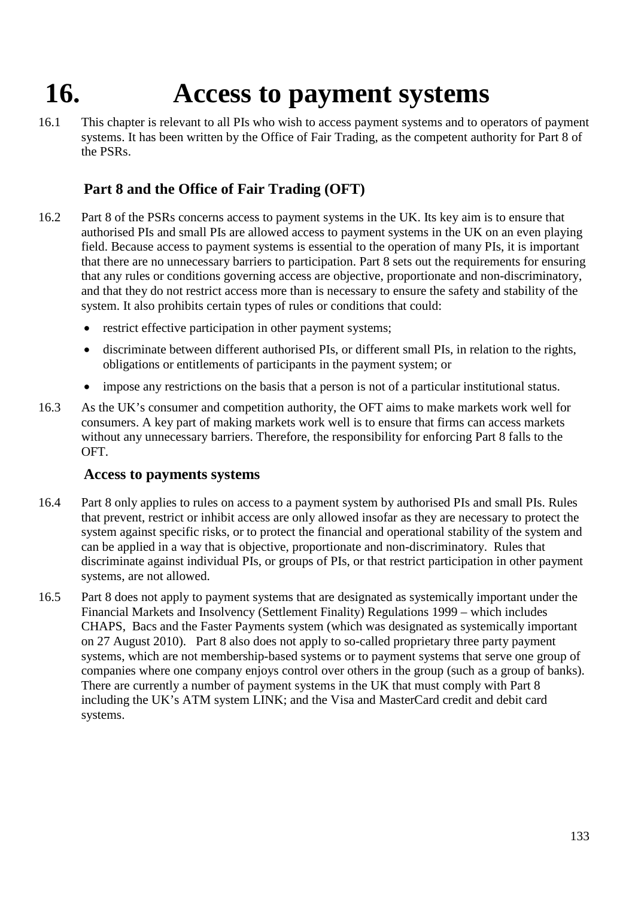# **16. Access to payment systems**

16.1 This chapter is relevant to all PIs who wish to access payment systems and to operators of payment systems. It has been written by the Office of Fair Trading, as the competent authority for Part 8 of the PSRs.

## **Part 8 and the Office of Fair Trading (OFT)**

- 16.2 Part 8 of the PSRs concerns access to payment systems in the UK. Its key aim is to ensure that authorised PIs and small PIs are allowed access to payment systems in the UK on an even playing field. Because access to payment systems is essential to the operation of many PIs, it is important that there are no unnecessary barriers to participation. Part 8 sets out the requirements for ensuring that any rules or conditions governing access are objective, proportionate and non-discriminatory, and that they do not restrict access more than is necessary to ensure the safety and stability of the system. It also prohibits certain types of rules or conditions that could:
	- restrict effective participation in other payment systems;
	- discriminate between different authorised PIs, or different small PIs, in relation to the rights, obligations or entitlements of participants in the payment system; or
	- impose any restrictions on the basis that a person is not of a particular institutional status.
- 16.3 As the UK's consumer and competition authority, the OFT aims to make markets work well for consumers. A key part of making markets work well is to ensure that firms can access markets without any unnecessary barriers. Therefore, the responsibility for enforcing Part 8 falls to the OFT.

#### **Access to payments systems**

- 16.4 Part 8 only applies to rules on access to a payment system by authorised PIs and small PIs. Rules that prevent, restrict or inhibit access are only allowed insofar as they are necessary to protect the system against specific risks, or to protect the financial and operational stability of the system and can be applied in a way that is objective, proportionate and non-discriminatory. Rules that discriminate against individual PIs, or groups of PIs, or that restrict participation in other payment systems, are not allowed.
- 16.5 Part 8 does not apply to payment systems that are designated as systemically important under the Financial Markets and Insolvency (Settlement Finality) Regulations 1999 – which includes CHAPS, Bacs and the Faster Payments system (which was designated as systemically important on 27 August 2010). Part 8 also does not apply to so-called proprietary three party payment systems, which are not membership-based systems or to payment systems that serve one group of companies where one company enjoys control over others in the group (such as a group of banks). There are currently a number of payment systems in the UK that must comply with Part 8 including the UK's ATM system LINK; and the Visa and MasterCard credit and debit card systems.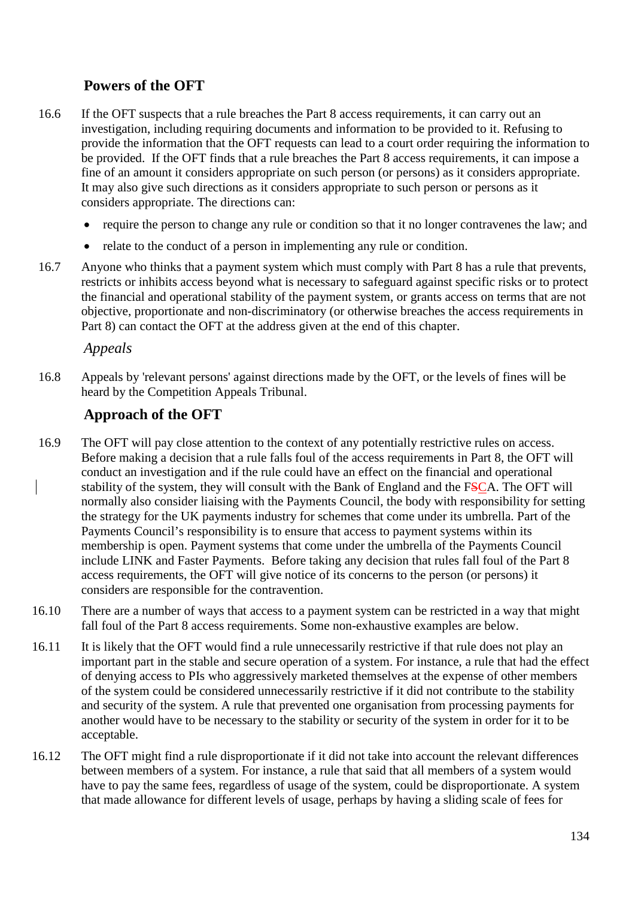### **Powers of the OFT**

- 16.6 If the OFT suspects that a rule breaches the Part 8 access requirements, it can carry out an investigation, including requiring documents and information to be provided to it. Refusing to provide the information that the OFT requests can lead to a court order requiring the information to be provided. If the OFT finds that a rule breaches the Part 8 access requirements, it can impose a fine of an amount it considers appropriate on such person (or persons) as it considers appropriate. It may also give such directions as it considers appropriate to such person or persons as it considers appropriate. The directions can:
	- require the person to change any rule or condition so that it no longer contravenes the law; and
	- relate to the conduct of a person in implementing any rule or condition.
- 16.7 Anyone who thinks that a payment system which must comply with Part 8 has a rule that prevents, restricts or inhibits access beyond what is necessary to safeguard against specific risks or to protect the financial and operational stability of the payment system, or grants access on terms that are not objective, proportionate and non-discriminatory (or otherwise breaches the access requirements in Part 8) can contact the OFT at the address given at the end of this chapter.

#### *Appeals*

16.8 Appeals by 'relevant persons' against directions made by the OFT, or the levels of fines will be heard by the Competition Appeals Tribunal.

#### **Approach of the OFT**

- 16.9 The OFT will pay close attention to the context of any potentially restrictive rules on access. Before making a decision that a rule falls foul of the access requirements in Part 8, the OFT will conduct an investigation and if the rule could have an effect on the financial and operational stability of the system, they will consult with the Bank of England and the FSCA. The OFT will normally also consider liaising with the Payments Council, the body with responsibility for setting the strategy for the UK payments industry for schemes that come under its umbrella. Part of the Payments Council's responsibility is to ensure that access to payment systems within its membership is open. Payment systems that come under the umbrella of the Payments Council include LINK and Faster Payments. Before taking any decision that rules fall foul of the Part 8 access requirements, the OFT will give notice of its concerns to the person (or persons) it considers are responsible for the contravention.
- 16.10 There are a number of ways that access to a payment system can be restricted in a way that might fall foul of the Part 8 access requirements. Some non-exhaustive examples are below.
- 16.11 It is likely that the OFT would find a rule unnecessarily restrictive if that rule does not play an important part in the stable and secure operation of a system. For instance, a rule that had the effect of denying access to PIs who aggressively marketed themselves at the expense of other members of the system could be considered unnecessarily restrictive if it did not contribute to the stability and security of the system. A rule that prevented one organisation from processing payments for another would have to be necessary to the stability or security of the system in order for it to be acceptable.
- 16.12 The OFT might find a rule disproportionate if it did not take into account the relevant differences between members of a system. For instance, a rule that said that all members of a system would have to pay the same fees, regardless of usage of the system, could be disproportionate. A system that made allowance for different levels of usage, perhaps by having a sliding scale of fees for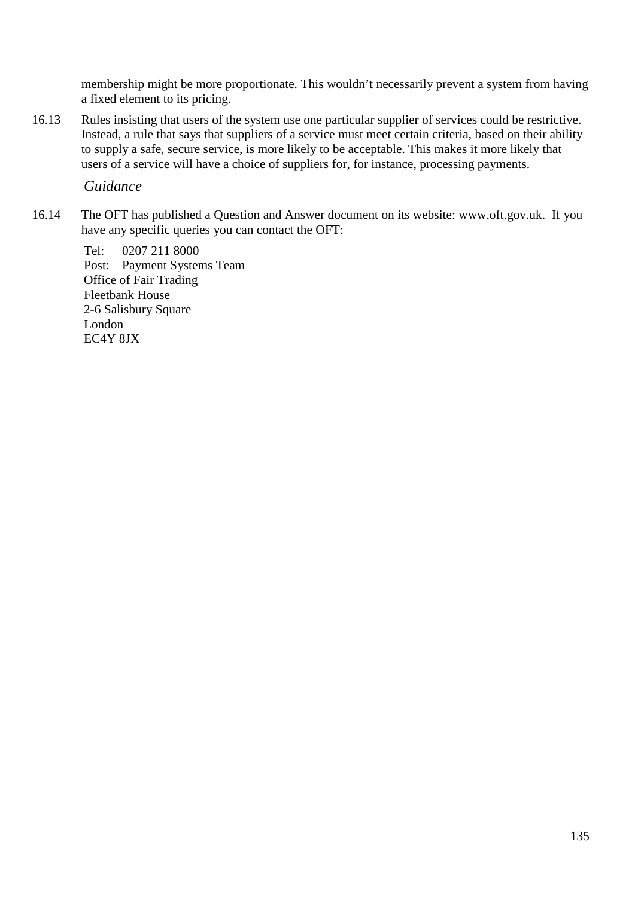membership might be more proportionate. This wouldn't necessarily prevent a system from having a fixed element to its pricing.

16.13 Rules insisting that users of the system use one particular supplier of services could be restrictive. Instead, a rule that says that suppliers of a service must meet certain criteria, based on their ability to supply a safe, secure service, is more likely to be acceptable. This makes it more likely that users of a service will have a choice of suppliers for, for instance, processing payments.

#### *Guidance*

16.14 The OFT has published a Question and Answer document on its website: [www.oft.gov.uk.](http://www.oft.gov.uk/) If you have any specific queries you can contact the OFT:

Tel: 0207 211 8000 Post: Payment Systems Team Office of Fair Trading Fleetbank House 2-6 Salisbury Square London EC4Y 8JX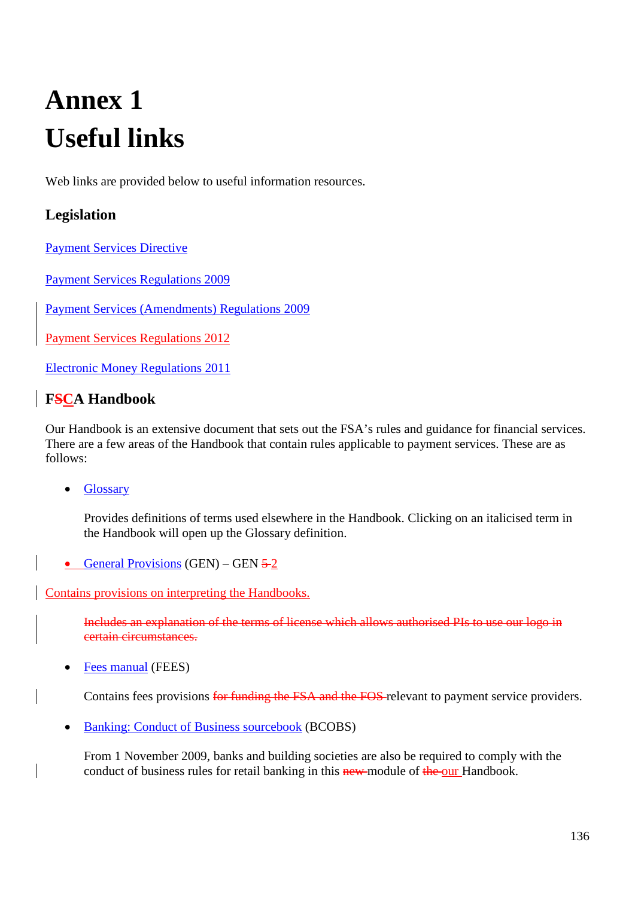# **Annex 1 Useful links**

Web links are provided below to useful information resources.

## **Legislation**

[Payment Services Directive](http://eur-lex.europa.eu/LexUriServ/LexUriServ.do?uri=OJ:L:2007:319:0001:01:EN:HTML)

[Payment Services Regulations 2009](http://www.hm-treasury.gov.uk/d/si_payment_services_regulations100209.pdf)

[Payment Services \(Amendments\) Regulations 2009](http://www.opsi.gov.uk/si/si2009/uksi_20092475_en_1)

[Payment Services Regulations 2012](http://www.legislation.gov.uk/uksi/2012/1791/contents/made)

[Electronic Money Regulations 2011](http://www.legislation.gov.uk/uksi/2011/99/contents/made)

## **FSCA Handbook**

Our Handbook is an extensive document that sets out the FSA's rules and guidance for financial services. There are a few areas of the Handbook that contain rules applicable to payment services. These are as follows:

• [Glossary](http://fshandbook.info/FS/html/handbook/Glossary) 

Provides definitions of terms used elsewhere in the Handbook. Clicking on an italicised term in the Handbook will open up the Glossary definition.

• [General Provisions](http://fshandbook.info/FS/html/handbook/GEN/2) (GEN) – GEN  $5-2$ 

Contains provisions on interpreting the Handbooks.

Includes an explanation of the terms of license which allows authorised PIs to use our logo in certain circumstances.

• [Fees manual](http://fshandbook.info/FS/html/handbook/FEES) (FEES)

Contains fees provisions for funding the FSA and the FOS relevant to payment service providers.

• [Banking: Conduct of Business sourcebook](http://fshandbook.info/FS/html/handbook/BCOBS) (BCOBS)

From 1 November 2009, banks and building societies are also be required to comply with the conduct of business rules for retail banking in this new module of the our Handbook.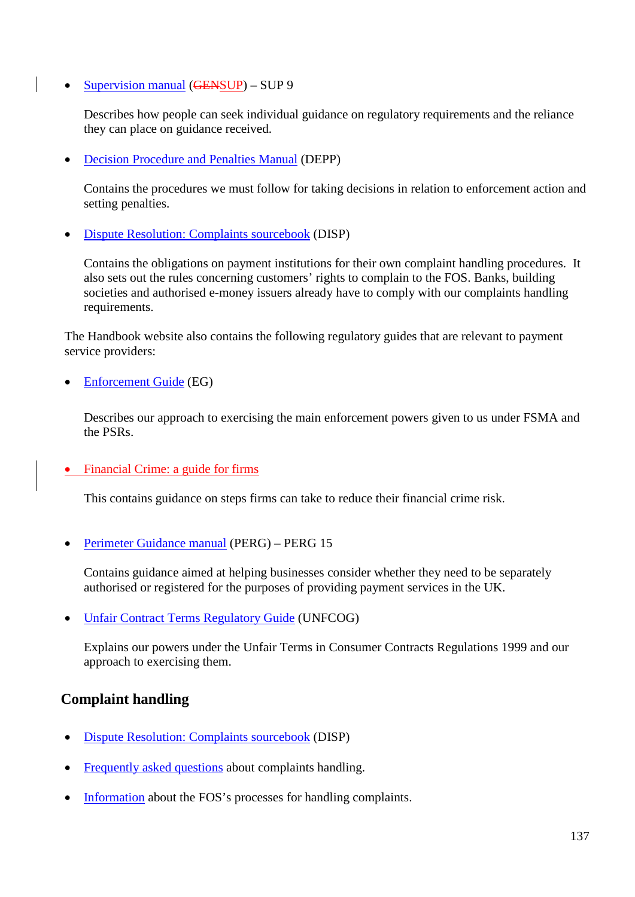• [Supervision manual](http://fshandbook.info/FS/html/handbook/SUP/9) (GENSUP) – SUP 9

Describes how people can seek individual guidance on regulatory requirements and the reliance they can place on guidance received.

• [Decision Procedure and Penalties Manual](http://fshandbook.info/FS/html/handbook/DEPP) (DEPP)

Contains the procedures we must follow for taking decisions in relation to enforcement action and setting penalties.

• [Dispute Resolution: Complaints sourcebook](http://fshandbook.info/FS/html/handbook/DISP) (DISP)

Contains the obligations on payment institutions for their own complaint handling procedures. It also sets out the rules concerning customers' rights to complain to the FOS. Banks, building societies and authorised e-money issuers already have to comply with our complaints handling requirements.

The Handbook website also contains the following regulatory guides that are relevant to payment service providers:

• [Enforcement Guide](http://fshandbook.info/FS/html/handbook/EG/link) (EG)

Describes our approach to exercising the main enforcement powers given to us under FSMA and the PSRs.

• [Financial Crime: a guide for firms](http://fshandbook.info/FS/html/handbook/FC)

This contains guidance on steps firms can take to reduce their financial crime risk.

• [Perimeter Guidance manual](http://fshandbook.info/FS/html/handbook/PERG) (PERG) – PERG 15

Contains guidance aimed at helping businesses consider whether they need to be separately authorised or registered for the purposes of providing payment services in the UK.

• [Unfair Contract Terms Regulatory Guide](http://fshandbook.info/FS/html/handbook/UNFCOG) (UNFCOG)

Explains our powers under the Unfair Terms in Consumer Contracts Regulations 1999 and our approach to exercising them.

#### **Complaint handling**

- [Dispute Resolution: Complaints sourcebook](http://fshandbook.info/FS/html/handbook/DISP) (DISP)
- [Frequently asked questions](http://www.fsa.gov.uk/smallfirms/resources/faqs/complaints_sourcebook.shtml) about complaints handling.
- [Information](http://www.financial-ombudsman.org.uk/faq/businesses/index.htm) about the FOS's processes for handling complaints.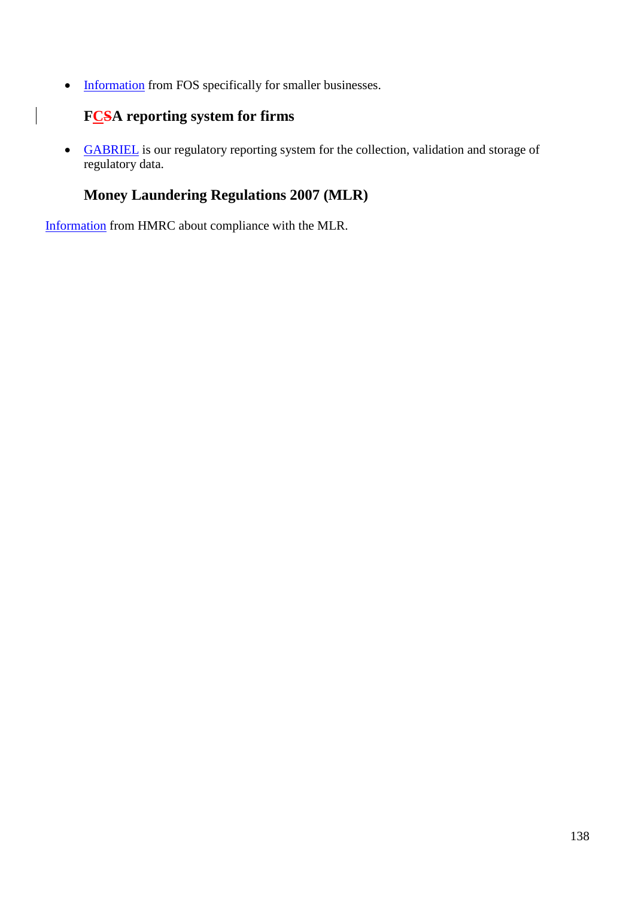• [Information](http://www.financial-ombudsman.org.uk/faq/smaller_businesses.html) from FOS specifically for smaller businesses.

# **FCSA reporting system for firms**

 $\begin{array}{c} \hline \end{array}$ 

• [GABRIEL](http://www.fca.org.uk/firms/systems-reporting/gabriel) is our regulatory reporting system for the collection, validation and storage of regulatory data.

## **Money Laundering Regulations 2007 (MLR)**

[Information](http://www.hmrc.gov.uk/mlr/) from HMRC about compliance with the MLR.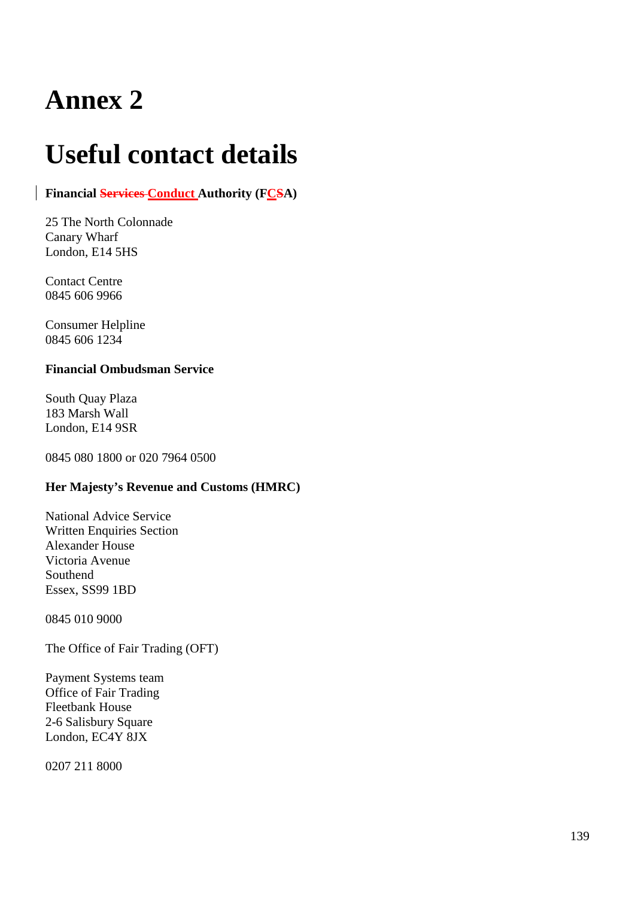# **Useful contact details**

#### **Financial Services Conduct Authority (FCSA)**

25 The North Colonnade Canary Wharf London, E14 5HS

Contact Centre 0845 606 9966

Consumer Helpline 0845 606 1234

#### **Financial Ombudsman Service**

South Quay Plaza 183 Marsh Wall London, E14 9SR

0845 080 1800 or 020 7964 0500

#### **Her Majesty's Revenue and Customs (HMRC)**

National Advice Service Written Enquiries Section Alexander House Victoria Avenue Southend Essex, SS99 1BD

0845 010 9000

The Office of Fair Trading (OFT)

Payment Systems team Office of Fair Trading Fleetbank House 2-6 Salisbury Square London, EC4Y 8JX

0207 211 8000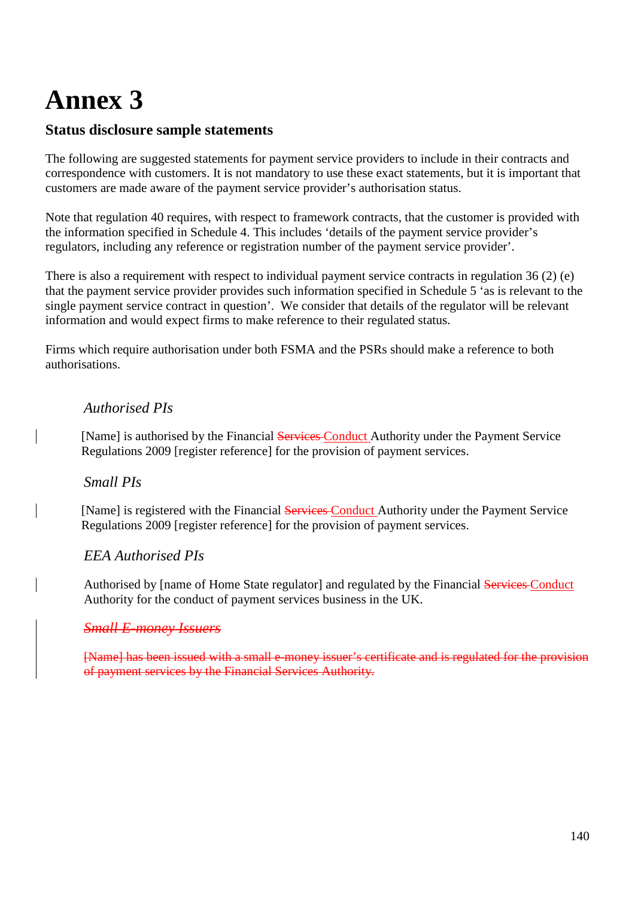#### **Status disclosure sample statements**

The following are suggested statements for payment service providers to include in their contracts and correspondence with customers. It is not mandatory to use these exact statements, but it is important that customers are made aware of the payment service provider's authorisation status.

Note that regulation 40 requires, with respect to framework contracts, that the customer is provided with the information specified in Schedule 4. This includes 'details of the payment service provider's regulators, including any reference or registration number of the payment service provider'.

There is also a requirement with respect to individual payment service contracts in regulation 36 (2) (e) that the payment service provider provides such information specified in Schedule 5 'as is relevant to the single payment service contract in question'. We consider that details of the regulator will be relevant information and would expect firms to make reference to their regulated status.

Firms which require authorisation under both FSMA and the PSRs should make a reference to both authorisations.

#### *Authorised PIs*

[Name] is authorised by the Financial Services Conduct Authority under the Payment Service Regulations 2009 [register reference] for the provision of payment services.

#### *Small PIs*

[Name] is registered with the Financial Services Conduct Authority under the Payment Service Regulations 2009 [register reference] for the provision of payment services.

#### *EEA Authorised PIs*

Authorised by [name of Home State regulator] and regulated by the Financial Services Conduct Authority for the conduct of payment services business in the UK.

#### *Small E-money Issuers*

[Name] has been issued with a small e-money issuer's certificate and is regulated for the provision of payment services by the Financial Services Authority.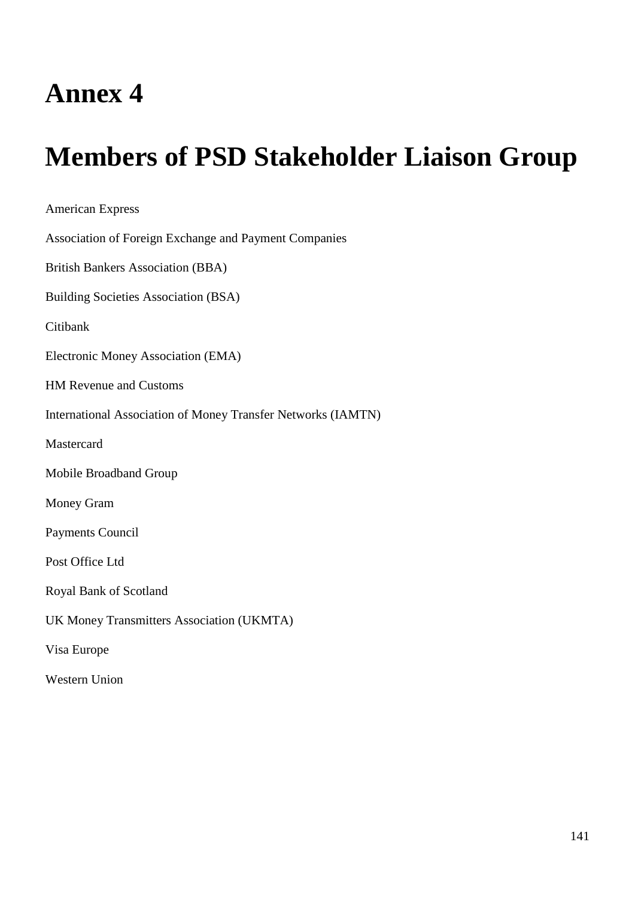# **Members of PSD Stakeholder Liaison Group**

American Express Association of Foreign Exchange and Payment Companies British Bankers Association (BBA) Building Societies Association (BSA) Citibank Electronic Money Association (EMA) HM Revenue and Customs International Association of Money Transfer Networks (IAMTN) **Mastercard** Mobile Broadband Group Money Gram Payments Council Post Office Ltd Royal Bank of Scotland UK Money Transmitters Association (UKMTA) Visa Europe Western Union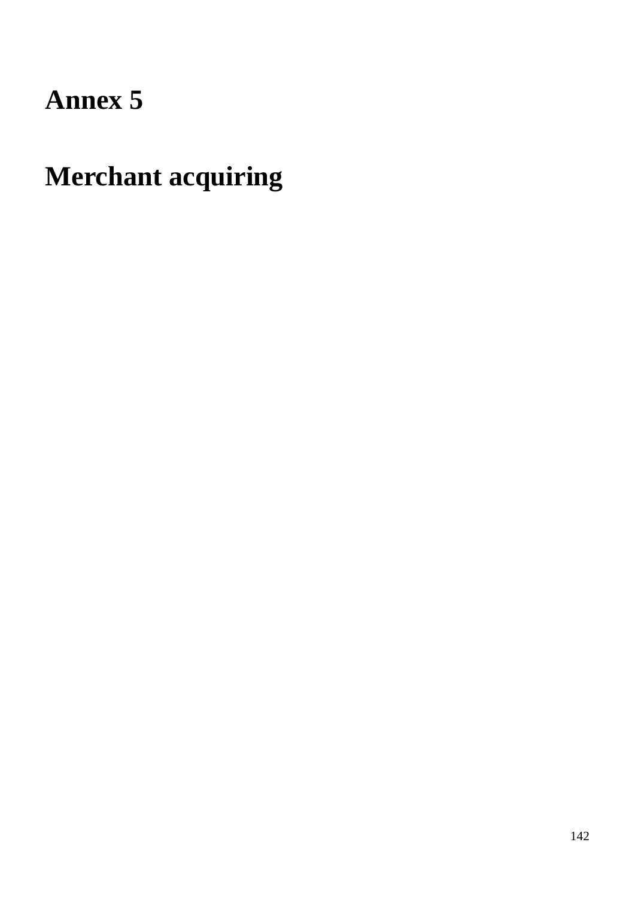# **Merchant acquiring**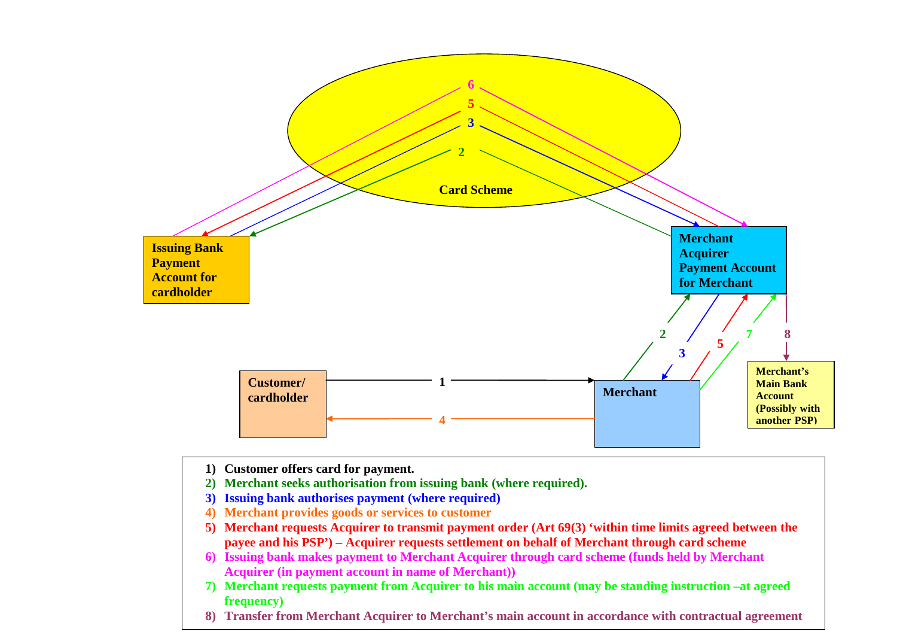

**1) Customer offers card for payment.**

- **2) Merchant seeks authorisation from issuing bank (where required).**
- **3) Issuing bank authorises payment (where required)**
- **4) Merchant provides goods or services to customer**
- **5) Merchant requests Acquirer to transmit payment order (Art 69(3) 'within time limits agreed between the payee and his PSP') – Acquirer requests settlement on behalf of Merchant through card scheme**
- **6) Issuing bank makes payment to Merchant Acquirer through card scheme (funds held by Merchant Acquirer (in payment account in name of Merchant))**
- **7) Merchant requests payment from Acquirer to his main account (may be standing instruction –at agreed frequency)**
- **8) Transfer from Merchant Acquirer to Merchant's main account in accordance with contractual agreement**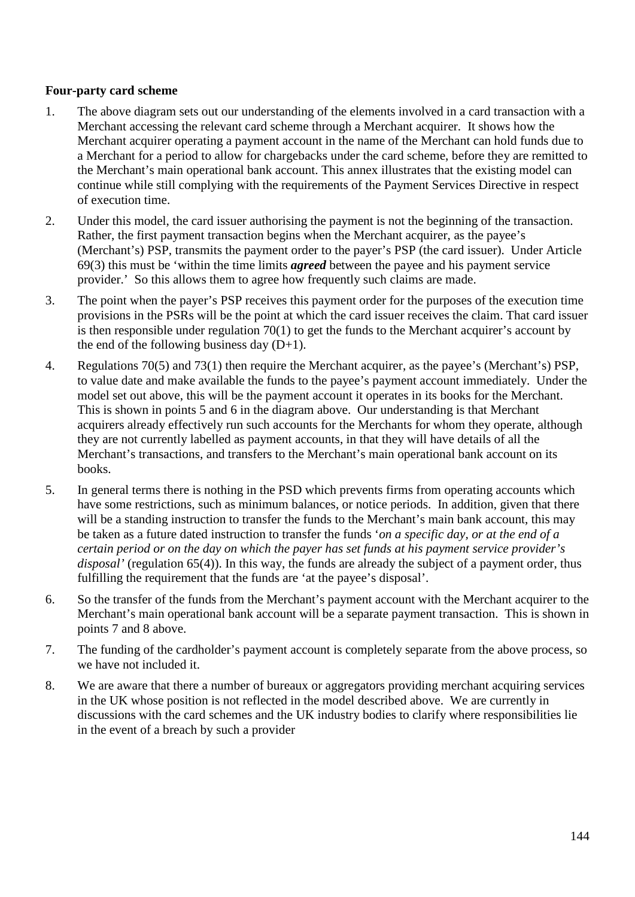#### **Four-party card scheme**

- 1. The above diagram sets out our understanding of the elements involved in a card transaction with a Merchant accessing the relevant card scheme through a Merchant acquirer. It shows how the Merchant acquirer operating a payment account in the name of the Merchant can hold funds due to a Merchant for a period to allow for chargebacks under the card scheme, before they are remitted to the Merchant's main operational bank account. This annex illustrates that the existing model can continue while still complying with the requirements of the Payment Services Directive in respect of execution time.
- 2. Under this model, the card issuer authorising the payment is not the beginning of the transaction. Rather, the first payment transaction begins when the Merchant acquirer, as the payee's (Merchant's) PSP, transmits the payment order to the payer's PSP (the card issuer). Under Article 69(3) this must be 'within the time limits *agreed* between the payee and his payment service provider.' So this allows them to agree how frequently such claims are made.
- 3. The point when the payer's PSP receives this payment order for the purposes of the execution time provisions in the PSRs will be the point at which the card issuer receives the claim. That card issuer is then responsible under regulation 70(1) to get the funds to the Merchant acquirer's account by the end of the following business day  $(D+1)$ .
- 4. Regulations 70(5) and 73(1) then require the Merchant acquirer, as the payee's (Merchant's) PSP, to value date and make available the funds to the payee's payment account immediately. Under the model set out above, this will be the payment account it operates in its books for the Merchant. This is shown in points 5 and 6 in the diagram above. Our understanding is that Merchant acquirers already effectively run such accounts for the Merchants for whom they operate, although they are not currently labelled as payment accounts, in that they will have details of all the Merchant's transactions, and transfers to the Merchant's main operational bank account on its books.
- 5. In general terms there is nothing in the PSD which prevents firms from operating accounts which have some restrictions, such as minimum balances, or notice periods. In addition, given that there will be a standing instruction to transfer the funds to the Merchant's main bank account, this may be taken as a future dated instruction to transfer the funds '*on a specific day, or at the end of a certain period or on the day on which the payer has set funds at his payment service provider's disposal'* (regulation 65(4)). In this way, the funds are already the subject of a payment order, thus fulfilling the requirement that the funds are 'at the payee's disposal'.
- 6. So the transfer of the funds from the Merchant's payment account with the Merchant acquirer to the Merchant's main operational bank account will be a separate payment transaction. This is shown in points 7 and 8 above.
- 7. The funding of the cardholder's payment account is completely separate from the above process, so we have not included it.
- 8. We are aware that there a number of bureaux or aggregators providing merchant acquiring services in the UK whose position is not reflected in the model described above. We are currently in discussions with the card schemes and the UK industry bodies to clarify where responsibilities lie in the event of a breach by such a provider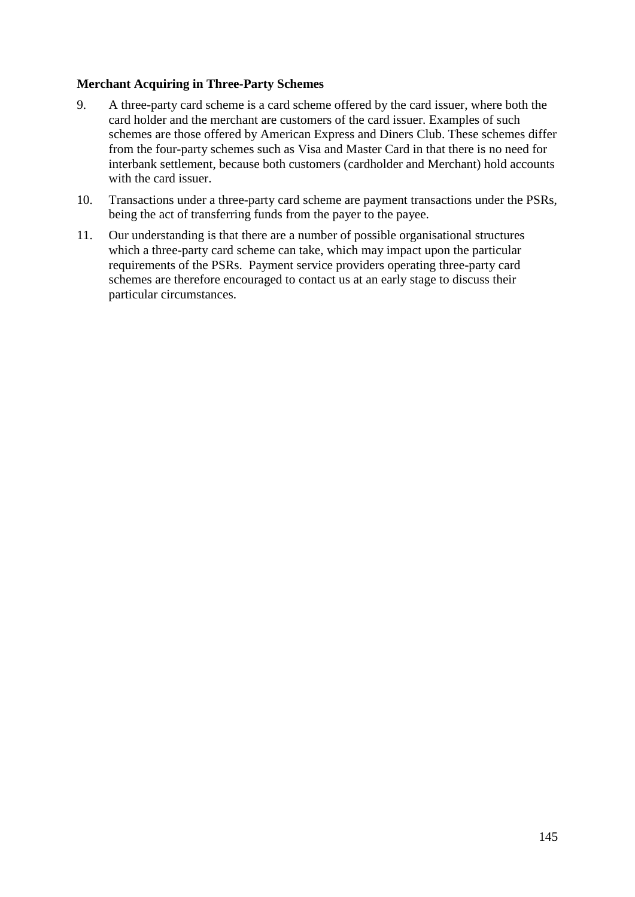#### **Merchant Acquiring in Three-Party Schemes**

- 9. A three-party card scheme is a card scheme offered by the card issuer, where both the card holder and the merchant are customers of the card issuer. Examples of such schemes are those offered by American Express and Diners Club. These schemes differ from the four-party schemes such as Visa and Master Card in that there is no need for interbank settlement, because both customers (cardholder and Merchant) hold accounts with the card issuer.
- 10. Transactions under a three-party card scheme are payment transactions under the PSRs, being the act of transferring funds from the payer to the payee.
- 11. Our understanding is that there are a number of possible organisational structures which a three-party card scheme can take, which may impact upon the particular requirements of the PSRs. Payment service providers operating three-party card schemes are therefore encouraged to contact us at an early stage to discuss their particular circumstances.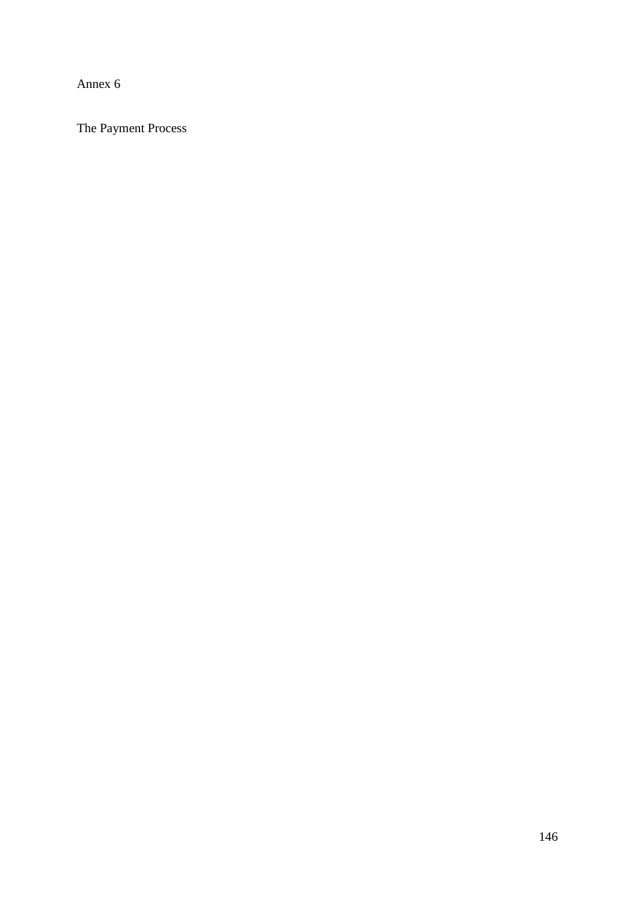Annex 6

The Payment Process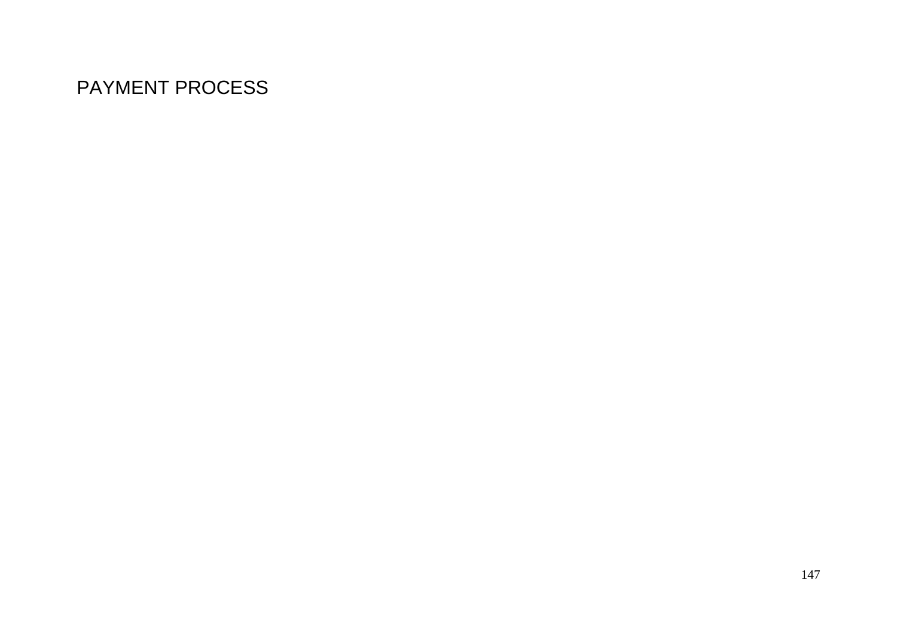# PAYMENT PROCESS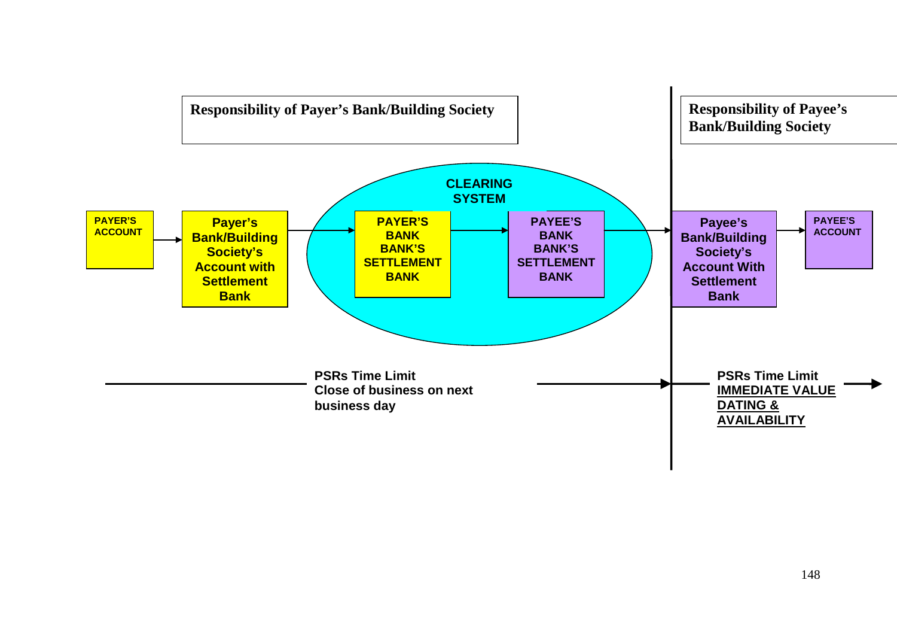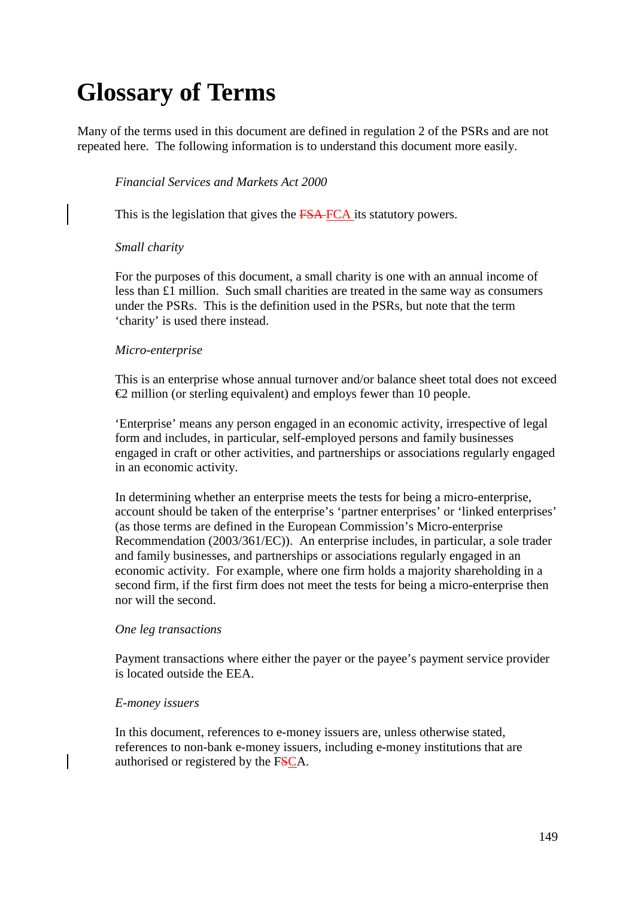# **Glossary of Terms**

Many of the terms used in this document are defined in regulation 2 of the PSRs and are not repeated here. The following information is to understand this document more easily.

#### *Financial Services and Markets Act 2000*

This is the legislation that gives the FSA-FCA its statutory powers.

#### *Small charity*

For the purposes of this document, a small charity is one with an annual income of less than £1 million. Such small charities are treated in the same way as consumers under the PSRs. This is the definition used in the PSRs, but note that the term 'charity' is used there instead.

#### *Micro-enterprise*

This is an enterprise whose annual turnover and/or balance sheet total does not exceed  $\triangle$  million (or sterling equivalent) and employs fewer than 10 people.

'Enterprise' means any person engaged in an economic activity, irrespective of legal form and includes, in particular, self-employed persons and family businesses engaged in craft or other activities, and partnerships or associations regularly engaged in an economic activity.

In determining whether an enterprise meets the tests for being a micro-enterprise, account should be taken of the enterprise's 'partner enterprises' or 'linked enterprises' (as those terms are defined in the European Commission's Micro*-*enterprise Recommendation (2003/361/EC)). An enterprise includes, in particular, a sole trader and family businesses, and partnerships or associations regularly engaged in an economic activity. For example, where one firm holds a majority shareholding in a second firm, if the first firm does not meet the tests for being a micro-enterprise then nor will the second.

#### *One leg transactions*

Payment transactions where either the payer or the payee's payment service provider is located outside the EEA.

#### *E-money issuers*

In this document, references to e-money issuers are, unless otherwise stated, references to non-bank e-money issuers, including e-money institutions that are authorised or registered by the FSCA.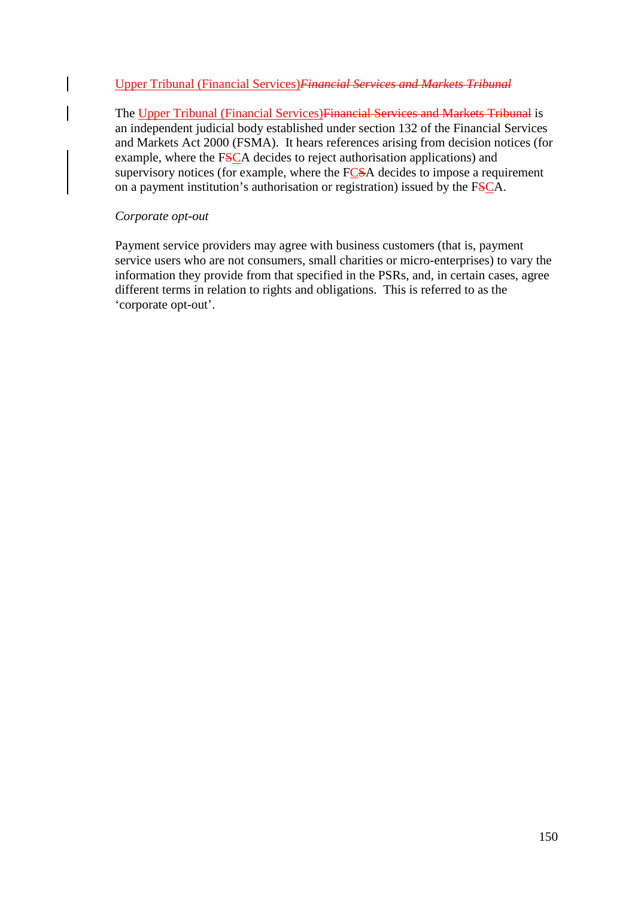#### Upper Tribunal (Financial Services)*Financial Services and Markets Tribunal*

The Upper Tribunal (Financial Services)Financial Services and Markets Tribunal is an independent judicial body established under section 132 of the Financial Services and Markets Act 2000 (FSMA). It hears references arising from decision notices (for example, where the FSCA decides to reject authorisation applications) and supervisory notices (for example, where the FCSA decides to impose a requirement on a payment institution's authorisation or registration) issued by the FSCA.

#### *Corporate opt-out*

Payment service providers may agree with business customers (that is, payment service users who are not consumers, small charities or micro-enterprises) to vary the information they provide from that specified in the PSRs, and, in certain cases, agree different terms in relation to rights and obligations. This is referred to as the 'corporate opt-out'.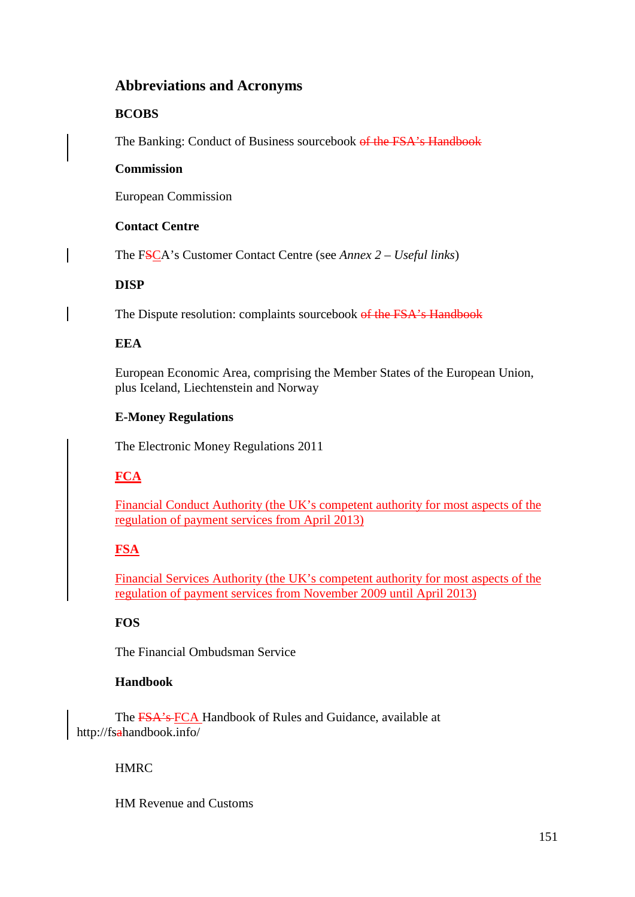# **Abbreviations and Acronyms**

# **BCOBS**

The Banking: Conduct of Business sourcebook of the FSA's Handbook

#### **Commission**

European Commission

# **Contact Centre**

The FSCA's Customer Contact Centre (see *Annex 2 – Useful links*)

# **DISP**

The Dispute resolution: complaints sourcebook of the FSA's Handbook

# **EEA**

European Economic Area, comprising the Member States of the European Union, plus Iceland, Liechtenstein and Norway

# **E-Money Regulations**

The Electronic Money Regulations 2011

# **FCA**

Financial Conduct Authority (the UK's competent authority for most aspects of the regulation of payment services from April 2013)

# **FSA**

Financial Services Authority (the UK's competent authority for most aspects of the regulation of payment services from November 2009 until April 2013)

# **FOS**

The Financial Ombudsman Service

# **Handbook**

The FSA's FCA Handbook of Rules and Guidance, available at <http://fsahandbook.info/>

# **HMRC**

HM Revenue and Customs